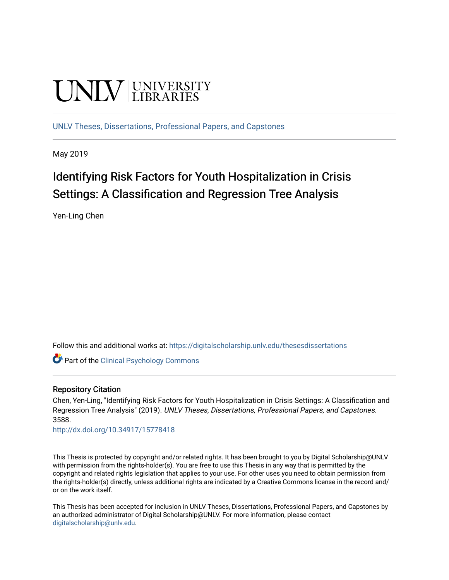# **UNIVERSITY**

[UNLV Theses, Dissertations, Professional Papers, and Capstones](https://digitalscholarship.unlv.edu/thesesdissertations)

May 2019

# Identifying Risk Factors for Youth Hospitalization in Crisis Settings: A Classification and Regression Tree Analysis

Yen-Ling Chen

Follow this and additional works at: [https://digitalscholarship.unlv.edu/thesesdissertations](https://digitalscholarship.unlv.edu/thesesdissertations?utm_source=digitalscholarship.unlv.edu%2Fthesesdissertations%2F3588&utm_medium=PDF&utm_campaign=PDFCoverPages)

**Part of the Clinical Psychology Commons** 

### Repository Citation

Chen, Yen-Ling, "Identifying Risk Factors for Youth Hospitalization in Crisis Settings: A Classification and Regression Tree Analysis" (2019). UNLV Theses, Dissertations, Professional Papers, and Capstones. 3588.

<http://dx.doi.org/10.34917/15778418>

This Thesis is protected by copyright and/or related rights. It has been brought to you by Digital Scholarship@UNLV with permission from the rights-holder(s). You are free to use this Thesis in any way that is permitted by the copyright and related rights legislation that applies to your use. For other uses you need to obtain permission from the rights-holder(s) directly, unless additional rights are indicated by a Creative Commons license in the record and/ or on the work itself.

This Thesis has been accepted for inclusion in UNLV Theses, Dissertations, Professional Papers, and Capstones by an authorized administrator of Digital Scholarship@UNLV. For more information, please contact [digitalscholarship@unlv.edu](mailto:digitalscholarship@unlv.edu).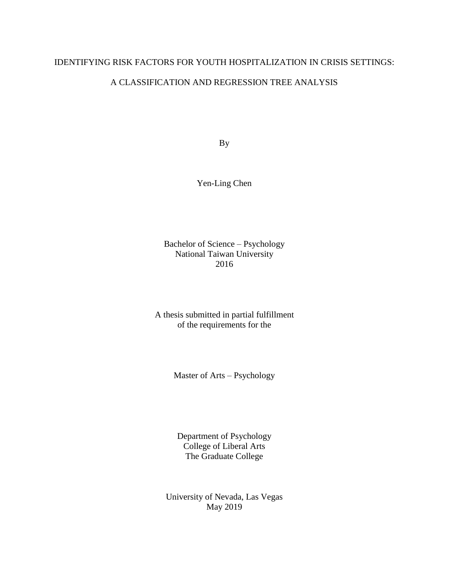# IDENTIFYING RISK FACTORS FOR YOUTH HOSPITALIZATION IN CRISIS SETTINGS:

# A CLASSIFICATION AND REGRESSION TREE ANALYSIS

By

Yen-Ling Chen

Bachelor of Science – Psychology National Taiwan University 2016

A thesis submitted in partial fulfillment of the requirements for the

Master of Arts – Psychology

Department of Psychology College of Liberal Arts The Graduate College

University of Nevada, Las Vegas May 2019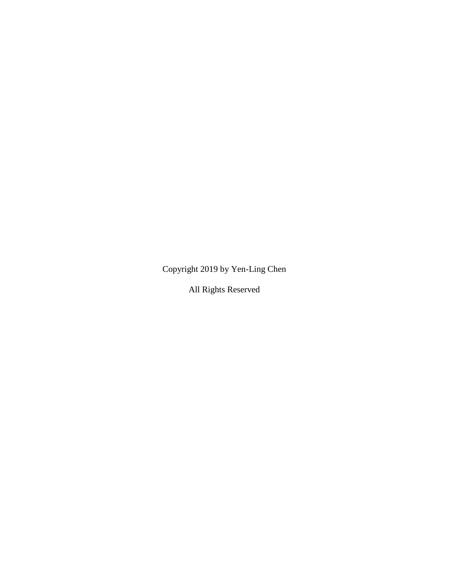Copyright 2019 by Yen-Ling Chen

All Rights Reserved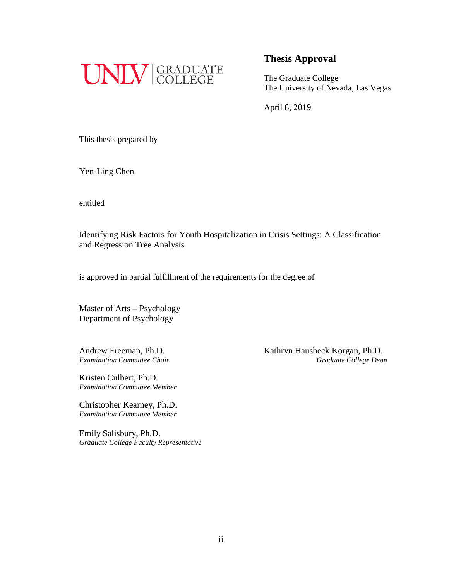

The Graduate College The University of Nevada, Las Vegas

April 8, 2019

This thesis prepared by

Yen-Ling Chen

entitled

Identifying Risk Factors for Youth Hospitalization in Crisis Settings: A Classification and Regression Tree Analysis

is approved in partial fulfillment of the requirements for the degree of

Master of Arts – Psychology Department of Psychology

Kristen Culbert, Ph.D. *Examination Committee Member*

Christopher Kearney, Ph.D. *Examination Committee Member*

Emily Salisbury, Ph.D. *Graduate College Faculty Representative*

Andrew Freeman, Ph.D. Kathryn Hausbeck Korgan, Ph.D. *Examination Committee Chair Graduate College Dean*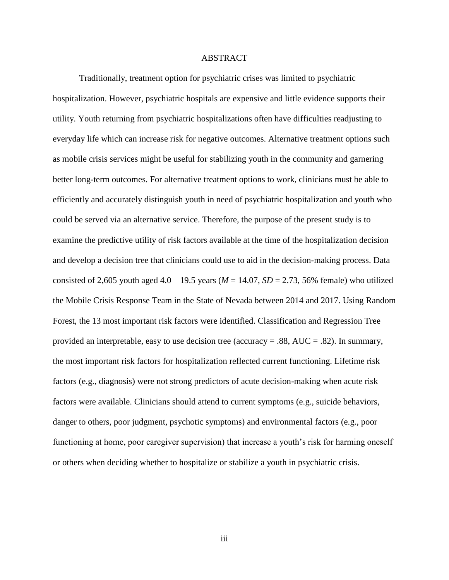#### ABSTRACT

<span id="page-4-0"></span>Traditionally, treatment option for psychiatric crises was limited to psychiatric hospitalization. However, psychiatric hospitals are expensive and little evidence supports their utility. Youth returning from psychiatric hospitalizations often have difficulties readjusting to everyday life which can increase risk for negative outcomes. Alternative treatment options such as mobile crisis services might be useful for stabilizing youth in the community and garnering better long-term outcomes. For alternative treatment options to work, clinicians must be able to efficiently and accurately distinguish youth in need of psychiatric hospitalization and youth who could be served via an alternative service. Therefore, the purpose of the present study is to examine the predictive utility of risk factors available at the time of the hospitalization decision and develop a decision tree that clinicians could use to aid in the decision-making process. Data consisted of 2,605 youth aged  $4.0 - 19.5$  years ( $M = 14.07$ ,  $SD = 2.73$ , 56% female) who utilized the Mobile Crisis Response Team in the State of Nevada between 2014 and 2017. Using Random Forest, the 13 most important risk factors were identified. Classification and Regression Tree provided an interpretable, easy to use decision tree (accuracy  $= .88$ , AUC  $= .82$ ). In summary, the most important risk factors for hospitalization reflected current functioning. Lifetime risk factors (e.g., diagnosis) were not strong predictors of acute decision-making when acute risk factors were available. Clinicians should attend to current symptoms (e.g., suicide behaviors, danger to others, poor judgment, psychotic symptoms) and environmental factors (e.g., poor functioning at home, poor caregiver supervision) that increase a youth's risk for harming oneself or others when deciding whether to hospitalize or stabilize a youth in psychiatric crisis.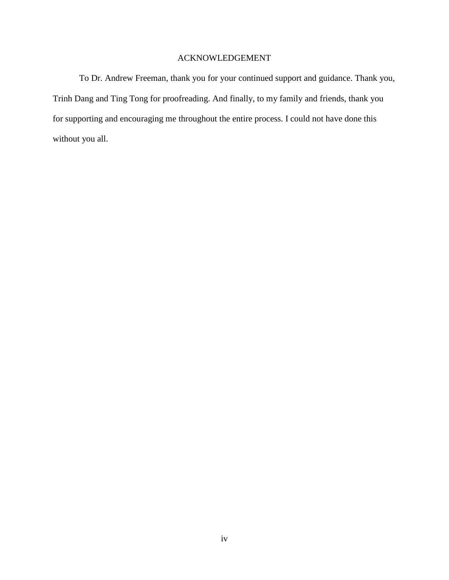# ACKNOWLEDGEMENT

<span id="page-5-0"></span>To Dr. Andrew Freeman, thank you for your continued support and guidance. Thank you, Trinh Dang and Ting Tong for proofreading. And finally, to my family and friends, thank you for supporting and encouraging me throughout the entire process. I could not have done this without you all.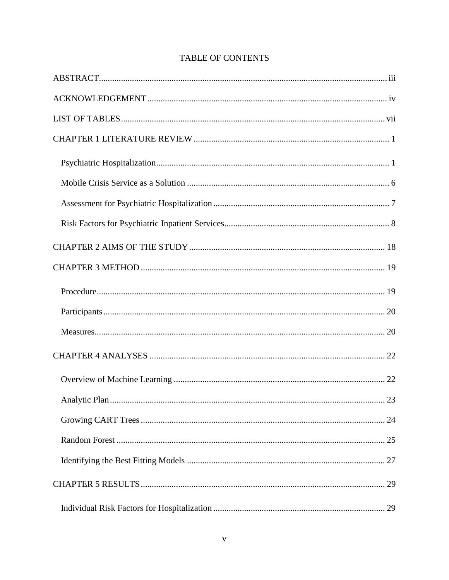# TABLE OF CONTENTS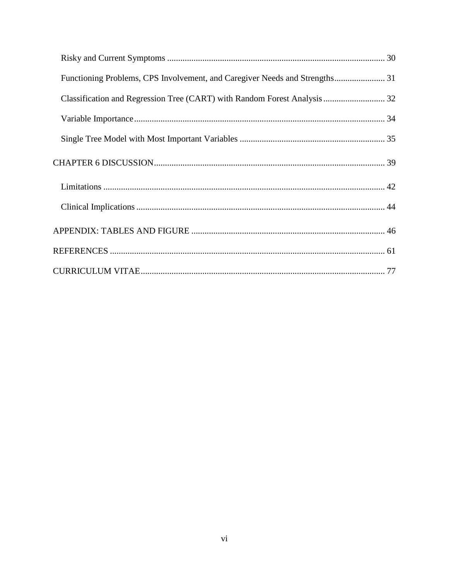| Functioning Problems, CPS Involvement, and Caregiver Needs and Strengths 31 |  |
|-----------------------------------------------------------------------------|--|
|                                                                             |  |
|                                                                             |  |
|                                                                             |  |
|                                                                             |  |
|                                                                             |  |
|                                                                             |  |
|                                                                             |  |
|                                                                             |  |
|                                                                             |  |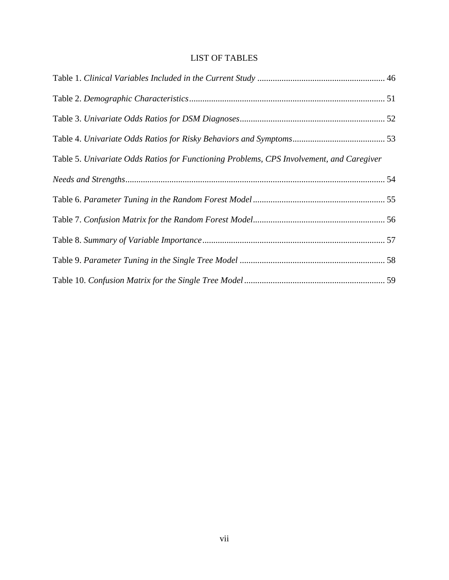# LIST OF TABLES

<span id="page-8-0"></span>

| Table 5. Univariate Odds Ratios for Functioning Problems, CPS Involvement, and Caregiver |  |
|------------------------------------------------------------------------------------------|--|
|                                                                                          |  |
|                                                                                          |  |
|                                                                                          |  |
|                                                                                          |  |
|                                                                                          |  |
|                                                                                          |  |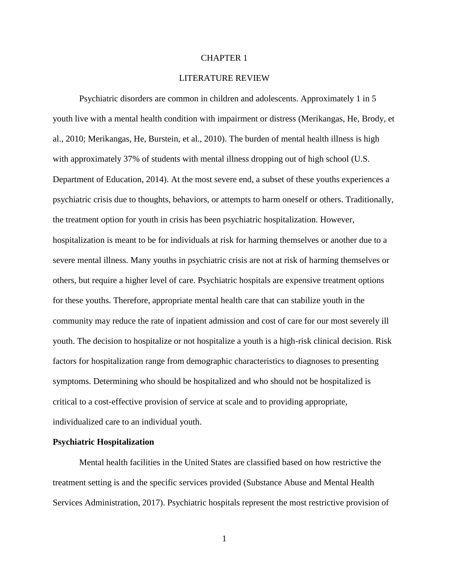#### CHAPTER 1

## LITERATURE REVIEW

<span id="page-9-0"></span>Psychiatric disorders are common in children and adolescents. Approximately 1 in 5 youth live with a mental health condition with impairment or distress (Merikangas, He, Brody, et al., 2010; Merikangas, He, Burstein, et al., 2010). The burden of mental health illness is high with approximately 37% of students with mental illness dropping out of high school (U.S. Department of Education, 2014). At the most severe end, a subset of these youths experiences a psychiatric crisis due to thoughts, behaviors, or attempts to harm oneself or others. Traditionally, the treatment option for youth in crisis has been psychiatric hospitalization. However, hospitalization is meant to be for individuals at risk for harming themselves or another due to a severe mental illness. Many youths in psychiatric crisis are not at risk of harming themselves or others, but require a higher level of care. Psychiatric hospitals are expensive treatment options for these youths. Therefore, appropriate mental health care that can stabilize youth in the community may reduce the rate of inpatient admission and cost of care for our most severely ill youth. The decision to hospitalize or not hospitalize a youth is a high-risk clinical decision. Risk factors for hospitalization range from demographic characteristics to diagnoses to presenting symptoms. Determining who should be hospitalized and who should not be hospitalized is critical to a cost-effective provision of service at scale and to providing appropriate, individualized care to an individual youth.

#### <span id="page-9-1"></span>**Psychiatric Hospitalization**

Mental health facilities in the United States are classified based on how restrictive the treatment setting is and the specific services provided (Substance Abuse and Mental Health Services Administration, 2017). Psychiatric hospitals represent the most restrictive provision of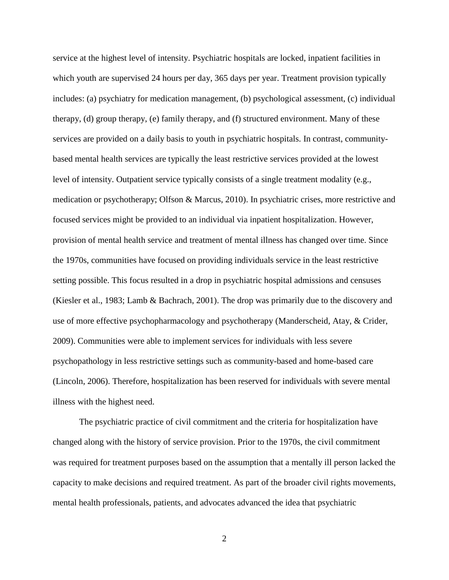service at the highest level of intensity. Psychiatric hospitals are locked, inpatient facilities in which youth are supervised 24 hours per day, 365 days per year. Treatment provision typically includes: (a) psychiatry for medication management, (b) psychological assessment, (c) individual therapy, (d) group therapy, (e) family therapy, and (f) structured environment. Many of these services are provided on a daily basis to youth in psychiatric hospitals. In contrast, communitybased mental health services are typically the least restrictive services provided at the lowest level of intensity. Outpatient service typically consists of a single treatment modality (e.g., medication or psychotherapy; Olfson & Marcus, 2010). In psychiatric crises, more restrictive and focused services might be provided to an individual via inpatient hospitalization. However, provision of mental health service and treatment of mental illness has changed over time. Since the 1970s, communities have focused on providing individuals service in the least restrictive setting possible. This focus resulted in a drop in psychiatric hospital admissions and censuses (Kiesler et al., 1983; Lamb & Bachrach, 2001). The drop was primarily due to the discovery and use of more effective psychopharmacology and psychotherapy (Manderscheid, Atay, & Crider, 2009). Communities were able to implement services for individuals with less severe psychopathology in less restrictive settings such as community-based and home-based care (Lincoln, 2006). Therefore, hospitalization has been reserved for individuals with severe mental illness with the highest need.

The psychiatric practice of civil commitment and the criteria for hospitalization have changed along with the history of service provision. Prior to the 1970s, the civil commitment was required for treatment purposes based on the assumption that a mentally ill person lacked the capacity to make decisions and required treatment. As part of the broader civil rights movements, mental health professionals, patients, and advocates advanced the idea that psychiatric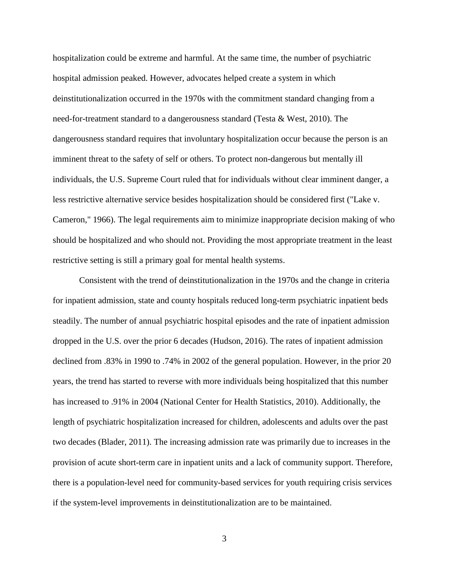hospitalization could be extreme and harmful. At the same time, the number of psychiatric hospital admission peaked. However, advocates helped create a system in which deinstitutionalization occurred in the 1970s with the commitment standard changing from a need-for-treatment standard to a dangerousness standard (Testa & West, 2010). The dangerousness standard requires that involuntary hospitalization occur because the person is an imminent threat to the safety of self or others. To protect non-dangerous but mentally ill individuals, the U.S. Supreme Court ruled that for individuals without clear imminent danger, a less restrictive alternative service besides hospitalization should be considered first ("Lake v. Cameron," 1966). The legal requirements aim to minimize inappropriate decision making of who should be hospitalized and who should not. Providing the most appropriate treatment in the least restrictive setting is still a primary goal for mental health systems.

Consistent with the trend of deinstitutionalization in the 1970s and the change in criteria for inpatient admission, state and county hospitals reduced long-term psychiatric inpatient beds steadily. The number of annual psychiatric hospital episodes and the rate of inpatient admission dropped in the U.S. over the prior 6 decades (Hudson, 2016). The rates of inpatient admission declined from .83% in 1990 to .74% in 2002 of the general population. However, in the prior 20 years, the trend has started to reverse with more individuals being hospitalized that this number has increased to .91% in 2004 (National Center for Health Statistics, 2010). Additionally, the length of psychiatric hospitalization increased for children, adolescents and adults over the past two decades (Blader, 2011). The increasing admission rate was primarily due to increases in the provision of acute short-term care in inpatient units and a lack of community support. Therefore, there is a population-level need for community-based services for youth requiring crisis services if the system-level improvements in deinstitutionalization are to be maintained.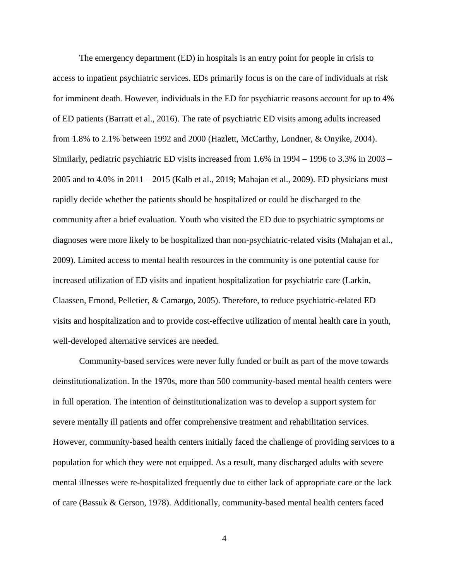The emergency department (ED) in hospitals is an entry point for people in crisis to access to inpatient psychiatric services. EDs primarily focus is on the care of individuals at risk for imminent death. However, individuals in the ED for psychiatric reasons account for up to 4% of ED patients (Barratt et al., 2016). The rate of psychiatric ED visits among adults increased from 1.8% to 2.1% between 1992 and 2000 (Hazlett, McCarthy, Londner, & Onyike, 2004). Similarly, pediatric psychiatric ED visits increased from 1.6% in 1994 – 1996 to 3.3% in 2003 – 2005 and to 4.0% in 2011 – 2015 (Kalb et al., 2019; Mahajan et al., 2009). ED physicians must rapidly decide whether the patients should be hospitalized or could be discharged to the community after a brief evaluation. Youth who visited the ED due to psychiatric symptoms or diagnoses were more likely to be hospitalized than non-psychiatric-related visits (Mahajan et al., 2009). Limited access to mental health resources in the community is one potential cause for increased utilization of ED visits and inpatient hospitalization for psychiatric care (Larkin, Claassen, Emond, Pelletier, & Camargo, 2005). Therefore, to reduce psychiatric-related ED visits and hospitalization and to provide cost-effective utilization of mental health care in youth, well-developed alternative services are needed.

Community-based services were never fully funded or built as part of the move towards deinstitutionalization. In the 1970s, more than 500 community-based mental health centers were in full operation. The intention of deinstitutionalization was to develop a support system for severe mentally ill patients and offer comprehensive treatment and rehabilitation services. However, community-based health centers initially faced the challenge of providing services to a population for which they were not equipped. As a result, many discharged adults with severe mental illnesses were re-hospitalized frequently due to either lack of appropriate care or the lack of care (Bassuk & Gerson, 1978). Additionally, community-based mental health centers faced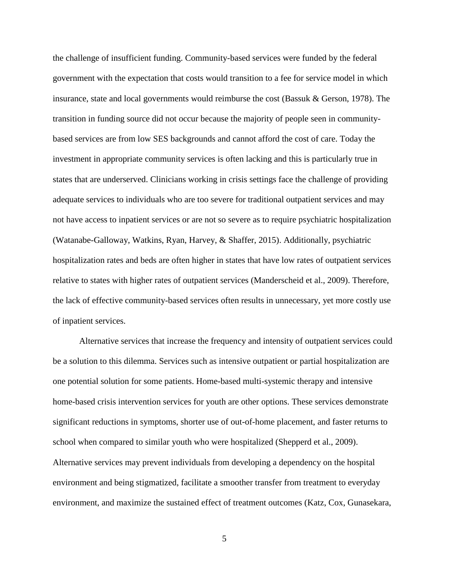the challenge of insufficient funding. Community-based services were funded by the federal government with the expectation that costs would transition to a fee for service model in which insurance, state and local governments would reimburse the cost (Bassuk & Gerson, 1978). The transition in funding source did not occur because the majority of people seen in communitybased services are from low SES backgrounds and cannot afford the cost of care. Today the investment in appropriate community services is often lacking and this is particularly true in states that are underserved. Clinicians working in crisis settings face the challenge of providing adequate services to individuals who are too severe for traditional outpatient services and may not have access to inpatient services or are not so severe as to require psychiatric hospitalization (Watanabe-Galloway, Watkins, Ryan, Harvey, & Shaffer, 2015). Additionally, psychiatric hospitalization rates and beds are often higher in states that have low rates of outpatient services relative to states with higher rates of outpatient services (Manderscheid et al., 2009). Therefore, the lack of effective community-based services often results in unnecessary, yet more costly use of inpatient services.

Alternative services that increase the frequency and intensity of outpatient services could be a solution to this dilemma. Services such as intensive outpatient or partial hospitalization are one potential solution for some patients. Home-based multi-systemic therapy and intensive home-based crisis intervention services for youth are other options. These services demonstrate significant reductions in symptoms, shorter use of out-of-home placement, and faster returns to school when compared to similar youth who were hospitalized (Shepperd et al., 2009). Alternative services may prevent individuals from developing a dependency on the hospital environment and being stigmatized, facilitate a smoother transfer from treatment to everyday environment, and maximize the sustained effect of treatment outcomes (Katz, Cox, Gunasekara,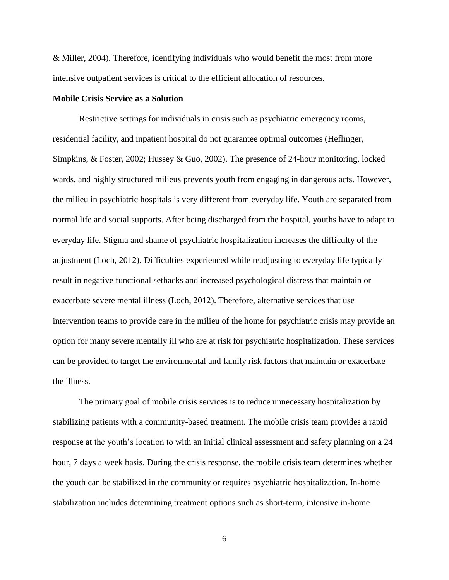& Miller, 2004). Therefore, identifying individuals who would benefit the most from more intensive outpatient services is critical to the efficient allocation of resources.

#### <span id="page-14-0"></span>**Mobile Crisis Service as a Solution**

Restrictive settings for individuals in crisis such as psychiatric emergency rooms, residential facility, and inpatient hospital do not guarantee optimal outcomes (Heflinger, Simpkins, & Foster, 2002; Hussey & Guo, 2002). The presence of 24-hour monitoring, locked wards, and highly structured milieus prevents youth from engaging in dangerous acts. However, the milieu in psychiatric hospitals is very different from everyday life. Youth are separated from normal life and social supports. After being discharged from the hospital, youths have to adapt to everyday life. Stigma and shame of psychiatric hospitalization increases the difficulty of the adjustment (Loch, 2012). Difficulties experienced while readjusting to everyday life typically result in negative functional setbacks and increased psychological distress that maintain or exacerbate severe mental illness (Loch, 2012). Therefore, alternative services that use intervention teams to provide care in the milieu of the home for psychiatric crisis may provide an option for many severe mentally ill who are at risk for psychiatric hospitalization. These services can be provided to target the environmental and family risk factors that maintain or exacerbate the illness.

The primary goal of mobile crisis services is to reduce unnecessary hospitalization by stabilizing patients with a community-based treatment. The mobile crisis team provides a rapid response at the youth's location to with an initial clinical assessment and safety planning on a 24 hour, 7 days a week basis. During the crisis response, the mobile crisis team determines whether the youth can be stabilized in the community or requires psychiatric hospitalization. In-home stabilization includes determining treatment options such as short-term, intensive in-home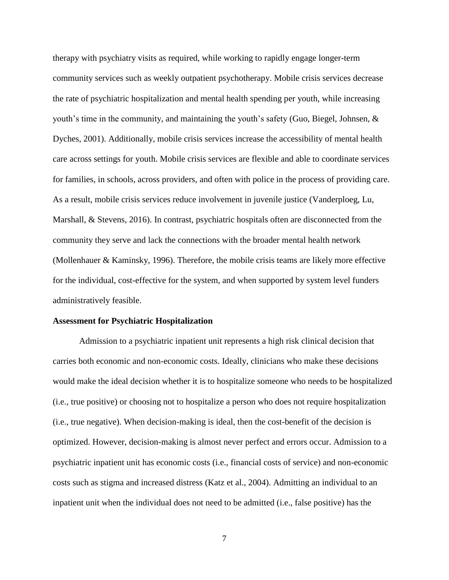therapy with psychiatry visits as required, while working to rapidly engage longer-term community services such as weekly outpatient psychotherapy. Mobile crisis services decrease the rate of psychiatric hospitalization and mental health spending per youth, while increasing youth's time in the community, and maintaining the youth's safety (Guo, Biegel, Johnsen, & Dyches, 2001). Additionally, mobile crisis services increase the accessibility of mental health care across settings for youth. Mobile crisis services are flexible and able to coordinate services for families, in schools, across providers, and often with police in the process of providing care. As a result, mobile crisis services reduce involvement in juvenile justice (Vanderploeg, Lu, Marshall, & Stevens, 2016). In contrast, psychiatric hospitals often are disconnected from the community they serve and lack the connections with the broader mental health network (Mollenhauer & Kaminsky, 1996). Therefore, the mobile crisis teams are likely more effective for the individual, cost-effective for the system, and when supported by system level funders administratively feasible.

#### <span id="page-15-0"></span>**Assessment for Psychiatric Hospitalization**

Admission to a psychiatric inpatient unit represents a high risk clinical decision that carries both economic and non-economic costs. Ideally, clinicians who make these decisions would make the ideal decision whether it is to hospitalize someone who needs to be hospitalized (i.e., true positive) or choosing not to hospitalize a person who does not require hospitalization (i.e., true negative). When decision-making is ideal, then the cost-benefit of the decision is optimized. However, decision-making is almost never perfect and errors occur. Admission to a psychiatric inpatient unit has economic costs (i.e., financial costs of service) and non-economic costs such as stigma and increased distress (Katz et al., 2004). Admitting an individual to an inpatient unit when the individual does not need to be admitted (i.e., false positive) has the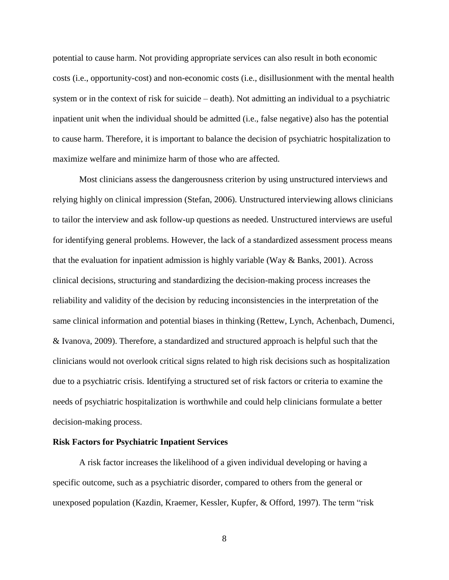potential to cause harm. Not providing appropriate services can also result in both economic costs (i.e., opportunity-cost) and non-economic costs (i.e., disillusionment with the mental health system or in the context of risk for suicide – death). Not admitting an individual to a psychiatric inpatient unit when the individual should be admitted (i.e., false negative) also has the potential to cause harm. Therefore, it is important to balance the decision of psychiatric hospitalization to maximize welfare and minimize harm of those who are affected.

Most clinicians assess the dangerousness criterion by using unstructured interviews and relying highly on clinical impression (Stefan, 2006). Unstructured interviewing allows clinicians to tailor the interview and ask follow-up questions as needed. Unstructured interviews are useful for identifying general problems. However, the lack of a standardized assessment process means that the evaluation for inpatient admission is highly variable (Way & Banks, 2001). Across clinical decisions, structuring and standardizing the decision-making process increases the reliability and validity of the decision by reducing inconsistencies in the interpretation of the same clinical information and potential biases in thinking (Rettew, Lynch, Achenbach, Dumenci, & Ivanova, 2009). Therefore, a standardized and structured approach is helpful such that the clinicians would not overlook critical signs related to high risk decisions such as hospitalization due to a psychiatric crisis. Identifying a structured set of risk factors or criteria to examine the needs of psychiatric hospitalization is worthwhile and could help clinicians formulate a better decision-making process.

#### <span id="page-16-0"></span>**Risk Factors for Psychiatric Inpatient Services**

A risk factor increases the likelihood of a given individual developing or having a specific outcome, such as a psychiatric disorder, compared to others from the general or unexposed population (Kazdin, Kraemer, Kessler, Kupfer, & Offord, 1997). The term "risk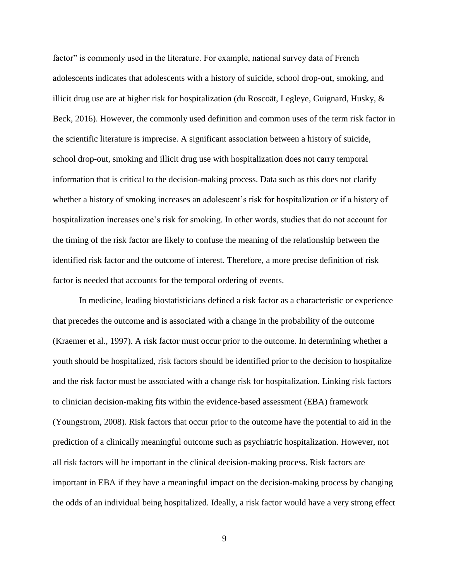factor" is commonly used in the literature. For example, national survey data of French adolescents indicates that adolescents with a history of suicide, school drop-out, smoking, and illicit drug use are at higher risk for hospitalization (du Roscoät, Legleye, Guignard, Husky, & Beck, 2016). However, the commonly used definition and common uses of the term risk factor in the scientific literature is imprecise. A significant association between a history of suicide, school drop-out, smoking and illicit drug use with hospitalization does not carry temporal information that is critical to the decision-making process. Data such as this does not clarify whether a history of smoking increases an adolescent's risk for hospitalization or if a history of hospitalization increases one's risk for smoking. In other words, studies that do not account for the timing of the risk factor are likely to confuse the meaning of the relationship between the identified risk factor and the outcome of interest. Therefore, a more precise definition of risk factor is needed that accounts for the temporal ordering of events.

In medicine, leading biostatisticians defined a risk factor as a characteristic or experience that precedes the outcome and is associated with a change in the probability of the outcome (Kraemer et al., 1997). A risk factor must occur prior to the outcome. In determining whether a youth should be hospitalized, risk factors should be identified prior to the decision to hospitalize and the risk factor must be associated with a change risk for hospitalization. Linking risk factors to clinician decision-making fits within the evidence-based assessment (EBA) framework (Youngstrom, 2008). Risk factors that occur prior to the outcome have the potential to aid in the prediction of a clinically meaningful outcome such as psychiatric hospitalization. However, not all risk factors will be important in the clinical decision-making process. Risk factors are important in EBA if they have a meaningful impact on the decision-making process by changing the odds of an individual being hospitalized. Ideally, a risk factor would have a very strong effect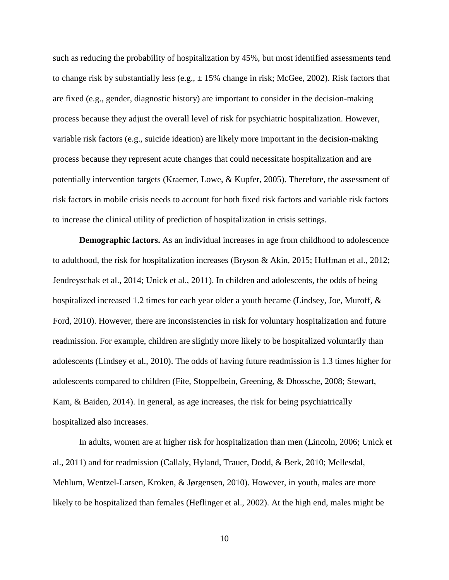such as reducing the probability of hospitalization by 45%, but most identified assessments tend to change risk by substantially less (e.g.,  $\pm$  15% change in risk; McGee, 2002). Risk factors that are fixed (e.g., gender, diagnostic history) are important to consider in the decision-making process because they adjust the overall level of risk for psychiatric hospitalization. However, variable risk factors (e.g., suicide ideation) are likely more important in the decision-making process because they represent acute changes that could necessitate hospitalization and are potentially intervention targets (Kraemer, Lowe, & Kupfer, 2005). Therefore, the assessment of risk factors in mobile crisis needs to account for both fixed risk factors and variable risk factors to increase the clinical utility of prediction of hospitalization in crisis settings.

**Demographic factors.** As an individual increases in age from childhood to adolescence to adulthood, the risk for hospitalization increases (Bryson & Akin, 2015; Huffman et al., 2012; Jendreyschak et al., 2014; Unick et al., 2011). In children and adolescents, the odds of being hospitalized increased 1.2 times for each year older a youth became (Lindsey, Joe, Muroff, & Ford, 2010). However, there are inconsistencies in risk for voluntary hospitalization and future readmission. For example, children are slightly more likely to be hospitalized voluntarily than adolescents (Lindsey et al., 2010). The odds of having future readmission is 1.3 times higher for adolescents compared to children (Fite, Stoppelbein, Greening, & Dhossche, 2008; Stewart, Kam, & Baiden, 2014). In general, as age increases, the risk for being psychiatrically hospitalized also increases.

In adults, women are at higher risk for hospitalization than men (Lincoln, 2006; Unick et al., 2011) and for readmission (Callaly, Hyland, Trauer, Dodd, & Berk, 2010; Mellesdal, Mehlum, Wentzel-Larsen, Kroken, & Jørgensen, 2010). However, in youth, males are more likely to be hospitalized than females (Heflinger et al., 2002). At the high end, males might be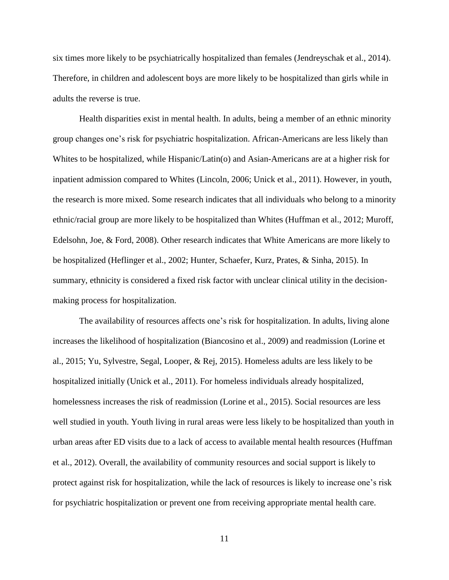six times more likely to be psychiatrically hospitalized than females (Jendreyschak et al., 2014). Therefore, in children and adolescent boys are more likely to be hospitalized than girls while in adults the reverse is true.

Health disparities exist in mental health. In adults, being a member of an ethnic minority group changes one's risk for psychiatric hospitalization. African-Americans are less likely than Whites to be hospitalized, while Hispanic/Latin(o) and Asian-Americans are at a higher risk for inpatient admission compared to Whites (Lincoln, 2006; Unick et al., 2011). However, in youth, the research is more mixed. Some research indicates that all individuals who belong to a minority ethnic/racial group are more likely to be hospitalized than Whites (Huffman et al., 2012; Muroff, Edelsohn, Joe, & Ford, 2008). Other research indicates that White Americans are more likely to be hospitalized (Heflinger et al., 2002; Hunter, Schaefer, Kurz, Prates, & Sinha, 2015). In summary, ethnicity is considered a fixed risk factor with unclear clinical utility in the decisionmaking process for hospitalization.

The availability of resources affects one's risk for hospitalization. In adults, living alone increases the likelihood of hospitalization (Biancosino et al., 2009) and readmission (Lorine et al., 2015; Yu, Sylvestre, Segal, Looper, & Rej, 2015). Homeless adults are less likely to be hospitalized initially (Unick et al., 2011). For homeless individuals already hospitalized, homelessness increases the risk of readmission (Lorine et al., 2015). Social resources are less well studied in youth. Youth living in rural areas were less likely to be hospitalized than youth in urban areas after ED visits due to a lack of access to available mental health resources (Huffman et al., 2012). Overall, the availability of community resources and social support is likely to protect against risk for hospitalization, while the lack of resources is likely to increase one's risk for psychiatric hospitalization or prevent one from receiving appropriate mental health care.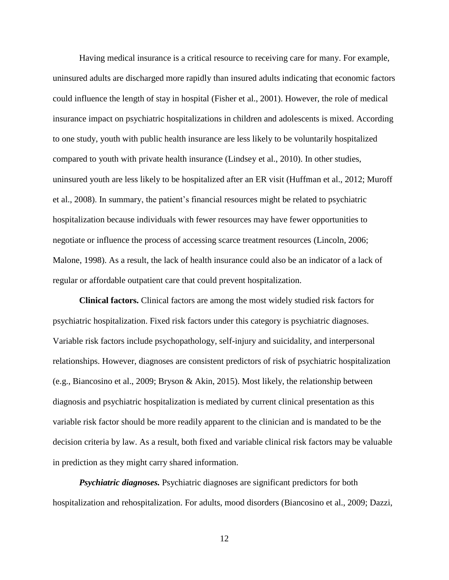Having medical insurance is a critical resource to receiving care for many. For example, uninsured adults are discharged more rapidly than insured adults indicating that economic factors could influence the length of stay in hospital (Fisher et al., 2001). However, the role of medical insurance impact on psychiatric hospitalizations in children and adolescents is mixed. According to one study, youth with public health insurance are less likely to be voluntarily hospitalized compared to youth with private health insurance (Lindsey et al., 2010). In other studies, uninsured youth are less likely to be hospitalized after an ER visit (Huffman et al., 2012; Muroff et al., 2008). In summary, the patient's financial resources might be related to psychiatric hospitalization because individuals with fewer resources may have fewer opportunities to negotiate or influence the process of accessing scarce treatment resources (Lincoln, 2006; Malone, 1998). As a result, the lack of health insurance could also be an indicator of a lack of regular or affordable outpatient care that could prevent hospitalization.

**Clinical factors.** Clinical factors are among the most widely studied risk factors for psychiatric hospitalization. Fixed risk factors under this category is psychiatric diagnoses. Variable risk factors include psychopathology, self-injury and suicidality, and interpersonal relationships. However, diagnoses are consistent predictors of risk of psychiatric hospitalization (e.g., Biancosino et al., 2009; Bryson & Akin, 2015). Most likely, the relationship between diagnosis and psychiatric hospitalization is mediated by current clinical presentation as this variable risk factor should be more readily apparent to the clinician and is mandated to be the decision criteria by law. As a result, both fixed and variable clinical risk factors may be valuable in prediction as they might carry shared information.

*Psychiatric diagnoses.* Psychiatric diagnoses are significant predictors for both hospitalization and rehospitalization. For adults, mood disorders (Biancosino et al., 2009; Dazzi,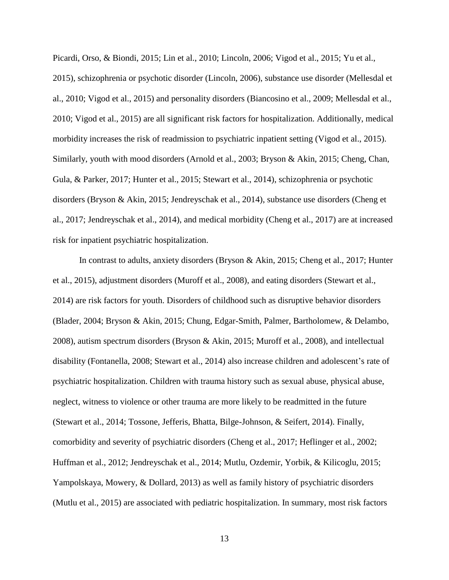Picardi, Orso, & Biondi, 2015; Lin et al., 2010; Lincoln, 2006; Vigod et al., 2015; Yu et al., 2015), schizophrenia or psychotic disorder (Lincoln, 2006), substance use disorder (Mellesdal et al., 2010; Vigod et al., 2015) and personality disorders (Biancosino et al., 2009; Mellesdal et al., 2010; Vigod et al., 2015) are all significant risk factors for hospitalization. Additionally, medical morbidity increases the risk of readmission to psychiatric inpatient setting (Vigod et al., 2015). Similarly, youth with mood disorders (Arnold et al., 2003; Bryson & Akin, 2015; Cheng, Chan, Gula, & Parker, 2017; Hunter et al., 2015; Stewart et al., 2014), schizophrenia or psychotic disorders (Bryson & Akin, 2015; Jendreyschak et al., 2014), substance use disorders (Cheng et al., 2017; Jendreyschak et al., 2014), and medical morbidity (Cheng et al., 2017) are at increased risk for inpatient psychiatric hospitalization.

In contrast to adults, anxiety disorders (Bryson & Akin, 2015; Cheng et al., 2017; Hunter et al., 2015), adjustment disorders (Muroff et al., 2008), and eating disorders (Stewart et al., 2014) are risk factors for youth. Disorders of childhood such as disruptive behavior disorders (Blader, 2004; Bryson & Akin, 2015; Chung, Edgar-Smith, Palmer, Bartholomew, & Delambo, 2008), autism spectrum disorders (Bryson & Akin, 2015; Muroff et al., 2008), and intellectual disability (Fontanella, 2008; Stewart et al., 2014) also increase children and adolescent's rate of psychiatric hospitalization. Children with trauma history such as sexual abuse, physical abuse, neglect, witness to violence or other trauma are more likely to be readmitted in the future (Stewart et al., 2014; Tossone, Jefferis, Bhatta, Bilge-Johnson, & Seifert, 2014). Finally, comorbidity and severity of psychiatric disorders (Cheng et al., 2017; Heflinger et al., 2002; Huffman et al., 2012; Jendreyschak et al., 2014; Mutlu, Ozdemir, Yorbik, & Kilicoglu, 2015; Yampolskaya, Mowery, & Dollard, 2013) as well as family history of psychiatric disorders (Mutlu et al., 2015) are associated with pediatric hospitalization. In summary, most risk factors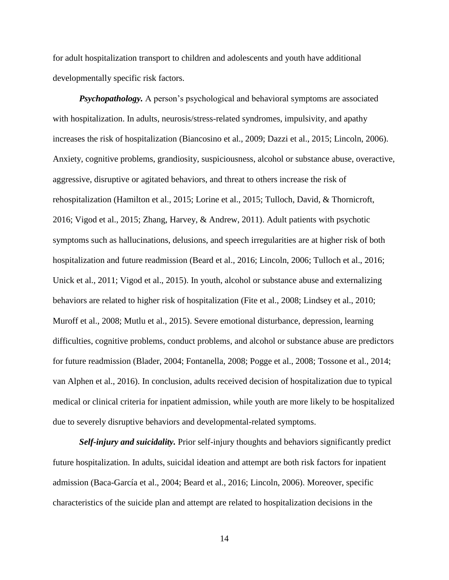for adult hospitalization transport to children and adolescents and youth have additional developmentally specific risk factors.

*Psychopathology.* A person's psychological and behavioral symptoms are associated with hospitalization. In adults, neurosis/stress-related syndromes, impulsivity, and apathy increases the risk of hospitalization (Biancosino et al., 2009; Dazzi et al., 2015; Lincoln, 2006). Anxiety, cognitive problems, grandiosity, suspiciousness, alcohol or substance abuse, overactive, aggressive, disruptive or agitated behaviors, and threat to others increase the risk of rehospitalization (Hamilton et al., 2015; Lorine et al., 2015; Tulloch, David, & Thornicroft, 2016; Vigod et al., 2015; Zhang, Harvey, & Andrew, 2011). Adult patients with psychotic symptoms such as hallucinations, delusions, and speech irregularities are at higher risk of both hospitalization and future readmission (Beard et al., 2016; Lincoln, 2006; Tulloch et al., 2016; Unick et al., 2011; Vigod et al., 2015). In youth, alcohol or substance abuse and externalizing behaviors are related to higher risk of hospitalization (Fite et al., 2008; Lindsey et al., 2010; Muroff et al., 2008; Mutlu et al., 2015). Severe emotional disturbance, depression, learning difficulties, cognitive problems, conduct problems, and alcohol or substance abuse are predictors for future readmission (Blader, 2004; Fontanella, 2008; Pogge et al., 2008; Tossone et al., 2014; van Alphen et al., 2016). In conclusion, adults received decision of hospitalization due to typical medical or clinical criteria for inpatient admission, while youth are more likely to be hospitalized due to severely disruptive behaviors and developmental-related symptoms.

*Self-injury and suicidality.* Prior self-injury thoughts and behaviors significantly predict future hospitalization. In adults, suicidal ideation and attempt are both risk factors for inpatient admission (Baca-García et al., 2004; Beard et al., 2016; Lincoln, 2006). Moreover, specific characteristics of the suicide plan and attempt are related to hospitalization decisions in the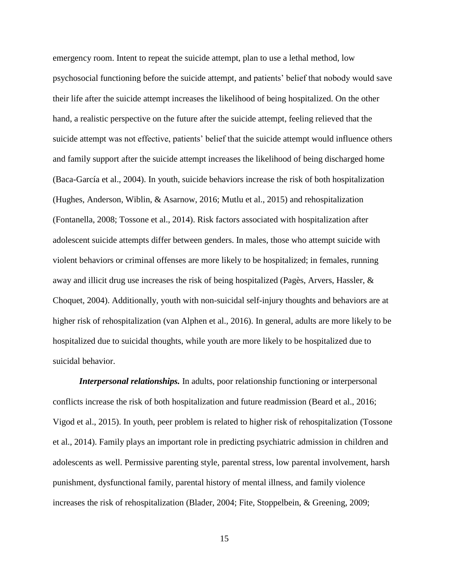emergency room. Intent to repeat the suicide attempt, plan to use a lethal method, low psychosocial functioning before the suicide attempt, and patients' belief that nobody would save their life after the suicide attempt increases the likelihood of being hospitalized. On the other hand, a realistic perspective on the future after the suicide attempt, feeling relieved that the suicide attempt was not effective, patients' belief that the suicide attempt would influence others and family support after the suicide attempt increases the likelihood of being discharged home (Baca-García et al., 2004). In youth, suicide behaviors increase the risk of both hospitalization (Hughes, Anderson, Wiblin, & Asarnow, 2016; Mutlu et al., 2015) and rehospitalization (Fontanella, 2008; Tossone et al., 2014). Risk factors associated with hospitalization after adolescent suicide attempts differ between genders. In males, those who attempt suicide with violent behaviors or criminal offenses are more likely to be hospitalized; in females, running away and illicit drug use increases the risk of being hospitalized (Pagès, Arvers, Hassler, & Choquet, 2004). Additionally, youth with non-suicidal self-injury thoughts and behaviors are at higher risk of rehospitalization (van Alphen et al., 2016). In general, adults are more likely to be hospitalized due to suicidal thoughts, while youth are more likely to be hospitalized due to suicidal behavior.

*Interpersonal relationships.* In adults, poor relationship functioning or interpersonal conflicts increase the risk of both hospitalization and future readmission (Beard et al., 2016; Vigod et al., 2015). In youth, peer problem is related to higher risk of rehospitalization (Tossone et al., 2014). Family plays an important role in predicting psychiatric admission in children and adolescents as well. Permissive parenting style, parental stress, low parental involvement, harsh punishment, dysfunctional family, parental history of mental illness, and family violence increases the risk of rehospitalization (Blader, 2004; Fite, Stoppelbein, & Greening, 2009;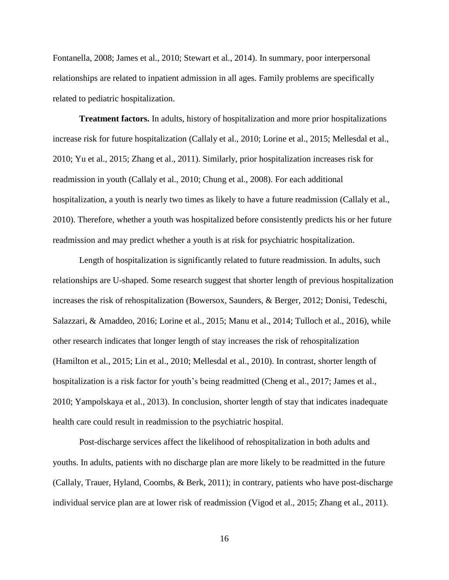Fontanella, 2008; James et al., 2010; Stewart et al., 2014). In summary, poor interpersonal relationships are related to inpatient admission in all ages. Family problems are specifically related to pediatric hospitalization.

**Treatment factors.** In adults, history of hospitalization and more prior hospitalizations increase risk for future hospitalization (Callaly et al., 2010; Lorine et al., 2015; Mellesdal et al., 2010; Yu et al., 2015; Zhang et al., 2011). Similarly, prior hospitalization increases risk for readmission in youth (Callaly et al., 2010; Chung et al., 2008). For each additional hospitalization, a youth is nearly two times as likely to have a future readmission (Callaly et al., 2010). Therefore, whether a youth was hospitalized before consistently predicts his or her future readmission and may predict whether a youth is at risk for psychiatric hospitalization.

Length of hospitalization is significantly related to future readmission. In adults, such relationships are U-shaped. Some research suggest that shorter length of previous hospitalization increases the risk of rehospitalization (Bowersox, Saunders, & Berger, 2012; Donisi, Tedeschi, Salazzari, & Amaddeo, 2016; Lorine et al., 2015; Manu et al., 2014; Tulloch et al., 2016), while other research indicates that longer length of stay increases the risk of rehospitalization (Hamilton et al., 2015; Lin et al., 2010; Mellesdal et al., 2010). In contrast, shorter length of hospitalization is a risk factor for youth's being readmitted (Cheng et al., 2017; James et al., 2010; Yampolskaya et al., 2013). In conclusion, shorter length of stay that indicates inadequate health care could result in readmission to the psychiatric hospital.

Post-discharge services affect the likelihood of rehospitalization in both adults and youths. In adults, patients with no discharge plan are more likely to be readmitted in the future (Callaly, Trauer, Hyland, Coombs, & Berk, 2011); in contrary, patients who have post-discharge individual service plan are at lower risk of readmission (Vigod et al., 2015; Zhang et al., 2011).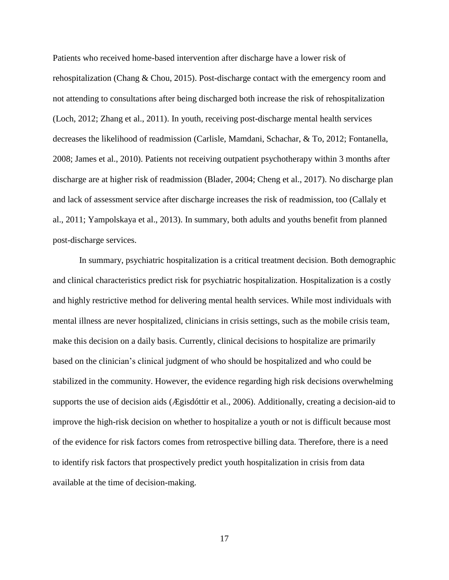Patients who received home-based intervention after discharge have a lower risk of rehospitalization (Chang & Chou, 2015). Post-discharge contact with the emergency room and not attending to consultations after being discharged both increase the risk of rehospitalization (Loch, 2012; Zhang et al., 2011). In youth, receiving post-discharge mental health services decreases the likelihood of readmission (Carlisle, Mamdani, Schachar, & To, 2012; Fontanella, 2008; James et al., 2010). Patients not receiving outpatient psychotherapy within 3 months after discharge are at higher risk of readmission (Blader, 2004; Cheng et al., 2017). No discharge plan and lack of assessment service after discharge increases the risk of readmission, too (Callaly et al., 2011; Yampolskaya et al., 2013). In summary, both adults and youths benefit from planned post-discharge services.

In summary, psychiatric hospitalization is a critical treatment decision. Both demographic and clinical characteristics predict risk for psychiatric hospitalization. Hospitalization is a costly and highly restrictive method for delivering mental health services. While most individuals with mental illness are never hospitalized, clinicians in crisis settings, such as the mobile crisis team, make this decision on a daily basis. Currently, clinical decisions to hospitalize are primarily based on the clinician's clinical judgment of who should be hospitalized and who could be stabilized in the community. However, the evidence regarding high risk decisions overwhelming supports the use of decision aids (Ægisdóttir et al., 2006). Additionally, creating a decision-aid to improve the high-risk decision on whether to hospitalize a youth or not is difficult because most of the evidence for risk factors comes from retrospective billing data. Therefore, there is a need to identify risk factors that prospectively predict youth hospitalization in crisis from data available at the time of decision-making.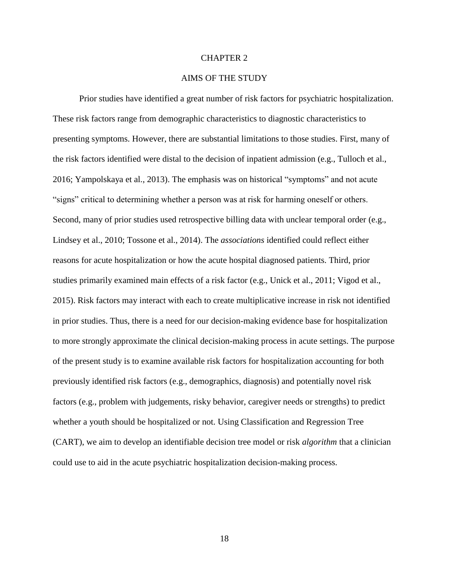#### CHAPTER 2

### AIMS OF THE STUDY

<span id="page-26-0"></span>Prior studies have identified a great number of risk factors for psychiatric hospitalization. These risk factors range from demographic characteristics to diagnostic characteristics to presenting symptoms. However, there are substantial limitations to those studies. First, many of the risk factors identified were distal to the decision of inpatient admission (e.g., Tulloch et al., 2016; Yampolskaya et al., 2013). The emphasis was on historical "symptoms" and not acute "signs" critical to determining whether a person was at risk for harming oneself or others. Second, many of prior studies used retrospective billing data with unclear temporal order (e.g., Lindsey et al., 2010; Tossone et al., 2014). The *associations* identified could reflect either reasons for acute hospitalization or how the acute hospital diagnosed patients. Third, prior studies primarily examined main effects of a risk factor (e.g., Unick et al., 2011; Vigod et al., 2015). Risk factors may interact with each to create multiplicative increase in risk not identified in prior studies. Thus, there is a need for our decision-making evidence base for hospitalization to more strongly approximate the clinical decision-making process in acute settings. The purpose of the present study is to examine available risk factors for hospitalization accounting for both previously identified risk factors (e.g., demographics, diagnosis) and potentially novel risk factors (e.g., problem with judgements, risky behavior, caregiver needs or strengths) to predict whether a youth should be hospitalized or not. Using Classification and Regression Tree (CART), we aim to develop an identifiable decision tree model or risk *algorithm* that a clinician could use to aid in the acute psychiatric hospitalization decision-making process.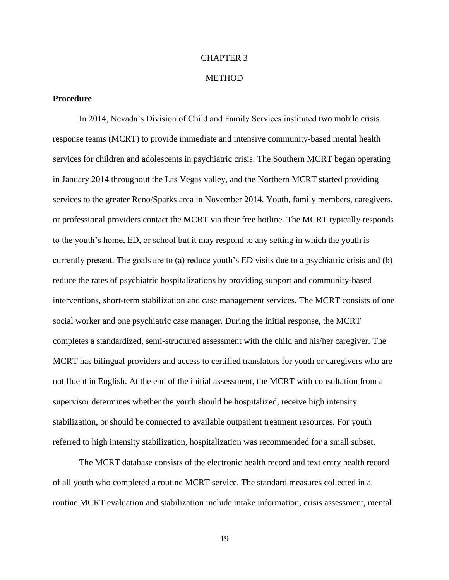#### CHAPTER 3

#### **METHOD**

#### <span id="page-27-1"></span><span id="page-27-0"></span>**Procedure**

In 2014, Nevada's Division of Child and Family Services instituted two mobile crisis response teams (MCRT) to provide immediate and intensive community-based mental health services for children and adolescents in psychiatric crisis. The Southern MCRT began operating in January 2014 throughout the Las Vegas valley, and the Northern MCRT started providing services to the greater Reno/Sparks area in November 2014. Youth, family members, caregivers, or professional providers contact the MCRT via their free hotline. The MCRT typically responds to the youth's home, ED, or school but it may respond to any setting in which the youth is currently present. The goals are to (a) reduce youth's ED visits due to a psychiatric crisis and (b) reduce the rates of psychiatric hospitalizations by providing support and community-based interventions, short-term stabilization and case management services. The MCRT consists of one social worker and one psychiatric case manager. During the initial response, the MCRT completes a standardized, semi-structured assessment with the child and his/her caregiver. The MCRT has bilingual providers and access to certified translators for youth or caregivers who are not fluent in English. At the end of the initial assessment, the MCRT with consultation from a supervisor determines whether the youth should be hospitalized, receive high intensity stabilization, or should be connected to available outpatient treatment resources. For youth referred to high intensity stabilization, hospitalization was recommended for a small subset.

The MCRT database consists of the electronic health record and text entry health record of all youth who completed a routine MCRT service. The standard measures collected in a routine MCRT evaluation and stabilization include intake information, crisis assessment, mental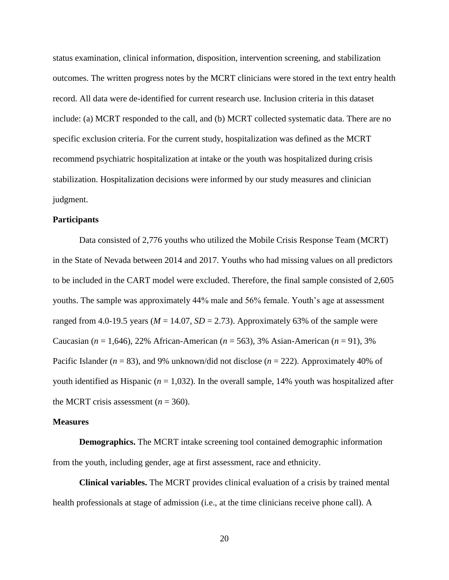status examination, clinical information, disposition, intervention screening, and stabilization outcomes. The written progress notes by the MCRT clinicians were stored in the text entry health record. All data were de-identified for current research use. Inclusion criteria in this dataset include: (a) MCRT responded to the call, and (b) MCRT collected systematic data. There are no specific exclusion criteria. For the current study, hospitalization was defined as the MCRT recommend psychiatric hospitalization at intake or the youth was hospitalized during crisis stabilization. Hospitalization decisions were informed by our study measures and clinician judgment.

#### <span id="page-28-0"></span>**Participants**

Data consisted of 2,776 youths who utilized the Mobile Crisis Response Team (MCRT) in the State of Nevada between 2014 and 2017. Youths who had missing values on all predictors to be included in the CART model were excluded. Therefore, the final sample consisted of 2,605 youths. The sample was approximately 44% male and 56% female. Youth's age at assessment ranged from 4.0-19.5 years ( $M = 14.07$ ,  $SD = 2.73$ ). Approximately 63% of the sample were Caucasian (*n* = 1,646), 22% African-American (*n* = 563), 3% Asian-American (*n* = 91), 3% Pacific Islander (*n* = 83), and 9% unknown/did not disclose (*n* = 222). Approximately 40% of youth identified as Hispanic ( $n = 1,032$ ). In the overall sample, 14% youth was hospitalized after the MCRT crisis assessment  $(n = 360)$ .

#### <span id="page-28-1"></span>**Measures**

**Demographics.** The MCRT intake screening tool contained demographic information from the youth, including gender, age at first assessment, race and ethnicity.

**Clinical variables.** The MCRT provides clinical evaluation of a crisis by trained mental health professionals at stage of admission (i.e., at the time clinicians receive phone call). A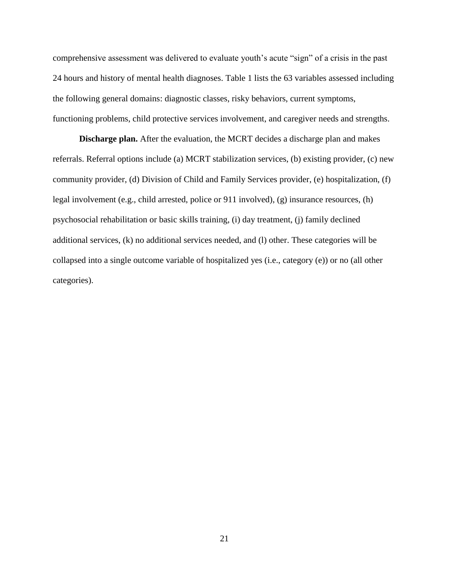comprehensive assessment was delivered to evaluate youth's acute "sign" of a crisis in the past 24 hours and history of mental health diagnoses. Table 1 lists the 63 variables assessed including the following general domains: diagnostic classes, risky behaviors, current symptoms, functioning problems, child protective services involvement, and caregiver needs and strengths.

**Discharge plan.** After the evaluation, the MCRT decides a discharge plan and makes referrals. Referral options include (a) MCRT stabilization services, (b) existing provider, (c) new community provider, (d) Division of Child and Family Services provider, (e) hospitalization, (f) legal involvement (e.g., child arrested, police or 911 involved), (g) insurance resources, (h) psychosocial rehabilitation or basic skills training, (i) day treatment, (j) family declined additional services, (k) no additional services needed, and (l) other. These categories will be collapsed into a single outcome variable of hospitalized yes (i.e., category (e)) or no (all other categories).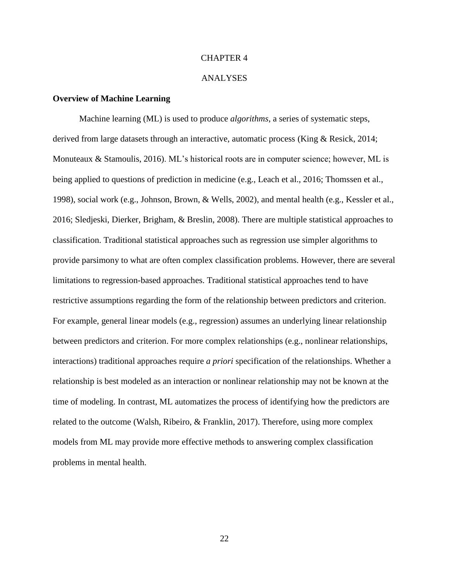#### CHAPTER 4

#### ANALYSES

#### <span id="page-30-1"></span><span id="page-30-0"></span>**Overview of Machine Learning**

Machine learning (ML) is used to produce *algorithms*, a series of systematic steps, derived from large datasets through an interactive, automatic process (King & Resick, 2014; Monuteaux & Stamoulis, 2016). ML's historical roots are in computer science; however, ML is being applied to questions of prediction in medicine (e.g., Leach et al., 2016; Thomssen et al., 1998), social work (e.g., Johnson, Brown, & Wells, 2002), and mental health (e.g., Kessler et al., 2016; Sledjeski, Dierker, Brigham, & Breslin, 2008). There are multiple statistical approaches to classification. Traditional statistical approaches such as regression use simpler algorithms to provide parsimony to what are often complex classification problems. However, there are several limitations to regression-based approaches. Traditional statistical approaches tend to have restrictive assumptions regarding the form of the relationship between predictors and criterion. For example, general linear models (e.g., regression) assumes an underlying linear relationship between predictors and criterion. For more complex relationships (e.g., nonlinear relationships, interactions) traditional approaches require *a priori* specification of the relationships. Whether a relationship is best modeled as an interaction or nonlinear relationship may not be known at the time of modeling. In contrast, ML automatizes the process of identifying how the predictors are related to the outcome (Walsh, Ribeiro, & Franklin, 2017). Therefore, using more complex models from ML may provide more effective methods to answering complex classification problems in mental health.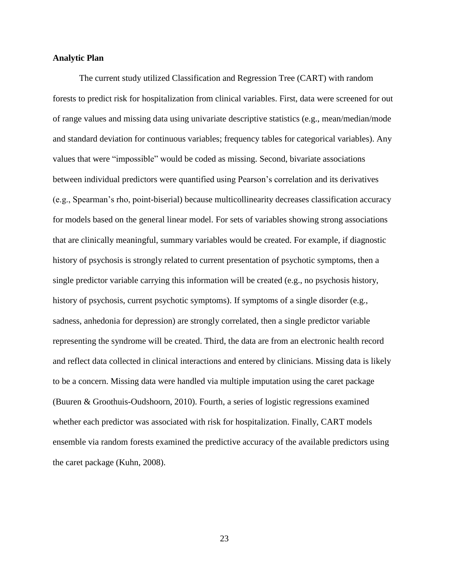#### <span id="page-31-0"></span>**Analytic Plan**

The current study utilized Classification and Regression Tree (CART) with random forests to predict risk for hospitalization from clinical variables. First, data were screened for out of range values and missing data using univariate descriptive statistics (e.g., mean/median/mode and standard deviation for continuous variables; frequency tables for categorical variables). Any values that were "impossible" would be coded as missing. Second, bivariate associations between individual predictors were quantified using Pearson's correlation and its derivatives (e.g., Spearman's rho, point-biserial) because multicollinearity decreases classification accuracy for models based on the general linear model. For sets of variables showing strong associations that are clinically meaningful, summary variables would be created. For example, if diagnostic history of psychosis is strongly related to current presentation of psychotic symptoms, then a single predictor variable carrying this information will be created (e.g., no psychosis history, history of psychosis, current psychotic symptoms). If symptoms of a single disorder (e.g., sadness, anhedonia for depression) are strongly correlated, then a single predictor variable representing the syndrome will be created. Third, the data are from an electronic health record and reflect data collected in clinical interactions and entered by clinicians. Missing data is likely to be a concern. Missing data were handled via multiple imputation using the caret package (Buuren & Groothuis-Oudshoorn, 2010). Fourth, a series of logistic regressions examined whether each predictor was associated with risk for hospitalization. Finally, CART models ensemble via random forests examined the predictive accuracy of the available predictors using the caret package (Kuhn, 2008).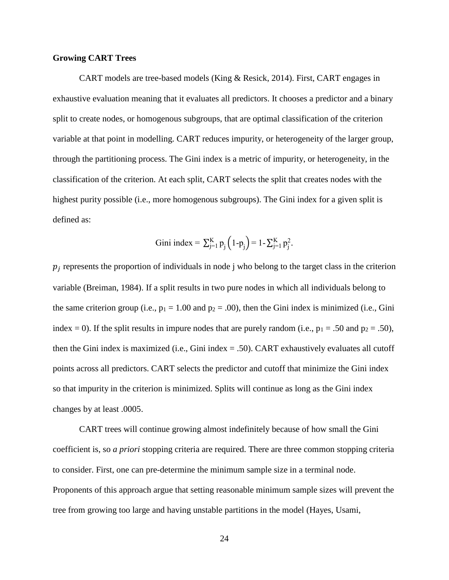#### <span id="page-32-0"></span>**Growing CART Trees**

CART models are tree-based models (King & Resick, 2014). First, CART engages in exhaustive evaluation meaning that it evaluates all predictors. It chooses a predictor and a binary split to create nodes, or homogenous subgroups, that are optimal classification of the criterion variable at that point in modelling. CART reduces impurity, or heterogeneity of the larger group, through the partitioning process. The Gini index is a metric of impurity, or heterogeneity, in the classification of the criterion. At each split, CART selects the split that creates nodes with the highest purity possible (i.e., more homogenous subgroups). The Gini index for a given split is defined as:

Gini index = 
$$
\sum_{j=1}^{K} p_j (1-p_j) = 1 - \sum_{j=1}^{K} p_j^2
$$
.

 $p_j$  represents the proportion of individuals in node j who belong to the target class in the criterion variable (Breiman, 1984). If a split results in two pure nodes in which all individuals belong to the same criterion group (i.e.,  $p_1 = 1.00$  and  $p_2 = .00$ ), then the Gini index is minimized (i.e., Gini index = 0). If the split results in impure nodes that are purely random (i.e.,  $p_1 = .50$  and  $p_2 = .50$ ), then the Gini index is maximized (i.e., Gini index  $= .50$ ). CART exhaustively evaluates all cutoff points across all predictors. CART selects the predictor and cutoff that minimize the Gini index so that impurity in the criterion is minimized. Splits will continue as long as the Gini index changes by at least .0005.

CART trees will continue growing almost indefinitely because of how small the Gini coefficient is, so *a priori* stopping criteria are required. There are three common stopping criteria to consider. First, one can pre-determine the minimum sample size in a terminal node. Proponents of this approach argue that setting reasonable minimum sample sizes will prevent the tree from growing too large and having unstable partitions in the model (Hayes, Usami,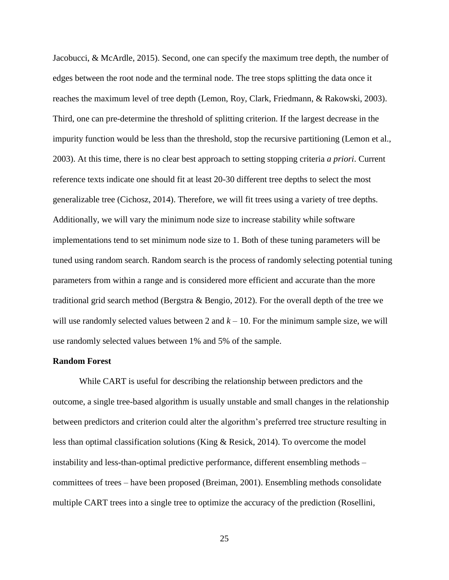Jacobucci, & McArdle, 2015). Second, one can specify the maximum tree depth, the number of edges between the root node and the terminal node. The tree stops splitting the data once it reaches the maximum level of tree depth (Lemon, Roy, Clark, Friedmann, & Rakowski, 2003). Third, one can pre-determine the threshold of splitting criterion. If the largest decrease in the impurity function would be less than the threshold, stop the recursive partitioning (Lemon et al., 2003). At this time, there is no clear best approach to setting stopping criteria *a priori*. Current reference texts indicate one should fit at least 20-30 different tree depths to select the most generalizable tree (Cichosz, 2014). Therefore, we will fit trees using a variety of tree depths. Additionally, we will vary the minimum node size to increase stability while software implementations tend to set minimum node size to 1. Both of these tuning parameters will be tuned using random search. Random search is the process of randomly selecting potential tuning parameters from within a range and is considered more efficient and accurate than the more traditional grid search method (Bergstra & Bengio, 2012). For the overall depth of the tree we will use randomly selected values between 2 and  $k - 10$ . For the minimum sample size, we will use randomly selected values between 1% and 5% of the sample.

#### <span id="page-33-0"></span>**Random Forest**

While CART is useful for describing the relationship between predictors and the outcome, a single tree-based algorithm is usually unstable and small changes in the relationship between predictors and criterion could alter the algorithm's preferred tree structure resulting in less than optimal classification solutions (King & Resick, 2014). To overcome the model instability and less-than-optimal predictive performance, different ensembling methods – committees of trees – have been proposed (Breiman, 2001). Ensembling methods consolidate multiple CART trees into a single tree to optimize the accuracy of the prediction (Rosellini,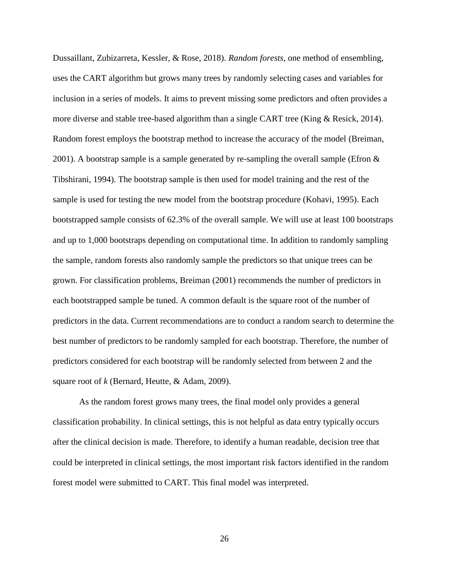Dussaillant, Zubizarreta, Kessler, & Rose, 2018). *Random forests*, one method of ensembling, uses the CART algorithm but grows many trees by randomly selecting cases and variables for inclusion in a series of models. It aims to prevent missing some predictors and often provides a more diverse and stable tree-based algorithm than a single CART tree (King & Resick, 2014). Random forest employs the bootstrap method to increase the accuracy of the model (Breiman, 2001). A bootstrap sample is a sample generated by re-sampling the overall sample (Efron & Tibshirani, 1994). The bootstrap sample is then used for model training and the rest of the sample is used for testing the new model from the bootstrap procedure (Kohavi, 1995). Each bootstrapped sample consists of 62.3% of the overall sample. We will use at least 100 bootstraps and up to 1,000 bootstraps depending on computational time. In addition to randomly sampling the sample, random forests also randomly sample the predictors so that unique trees can be grown. For classification problems, Breiman (2001) recommends the number of predictors in each bootstrapped sample be tuned. A common default is the square root of the number of predictors in the data. Current recommendations are to conduct a random search to determine the best number of predictors to be randomly sampled for each bootstrap. Therefore, the number of predictors considered for each bootstrap will be randomly selected from between 2 and the square root of *k* (Bernard, Heutte, & Adam, 2009).

As the random forest grows many trees, the final model only provides a general classification probability. In clinical settings, this is not helpful as data entry typically occurs after the clinical decision is made. Therefore, to identify a human readable, decision tree that could be interpreted in clinical settings, the most important risk factors identified in the random forest model were submitted to CART. This final model was interpreted.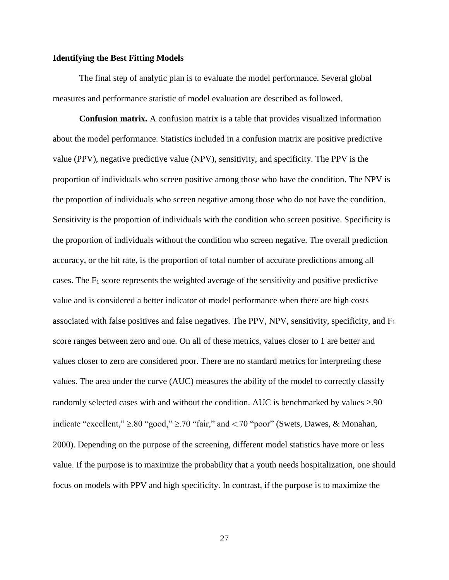#### <span id="page-35-0"></span>**Identifying the Best Fitting Models**

The final step of analytic plan is to evaluate the model performance. Several global measures and performance statistic of model evaluation are described as followed.

**Confusion matrix***.* A confusion matrix is a table that provides visualized information about the model performance. Statistics included in a confusion matrix are positive predictive value (PPV), negative predictive value (NPV), sensitivity, and specificity. The PPV is the proportion of individuals who screen positive among those who have the condition. The NPV is the proportion of individuals who screen negative among those who do not have the condition. Sensitivity is the proportion of individuals with the condition who screen positive. Specificity is the proportion of individuals without the condition who screen negative. The overall prediction accuracy, or the hit rate, is the proportion of total number of accurate predictions among all cases. The  $F_1$  score represents the weighted average of the sensitivity and positive predictive value and is considered a better indicator of model performance when there are high costs associated with false positives and false negatives. The PPV, NPV, sensitivity, specificity, and F<sup>1</sup> score ranges between zero and one. On all of these metrics, values closer to 1 are better and values closer to zero are considered poor. There are no standard metrics for interpreting these values. The area under the curve (AUC) measures the ability of the model to correctly classify randomly selected cases with and without the condition. AUC is benchmarked by values  $\geq 90$ indicate "excellent,"  $\geq 80$  "good,"  $\geq 70$  "fair," and <.70 "poor" (Swets, Dawes, & Monahan, 2000). Depending on the purpose of the screening, different model statistics have more or less value. If the purpose is to maximize the probability that a youth needs hospitalization, one should focus on models with PPV and high specificity. In contrast, if the purpose is to maximize the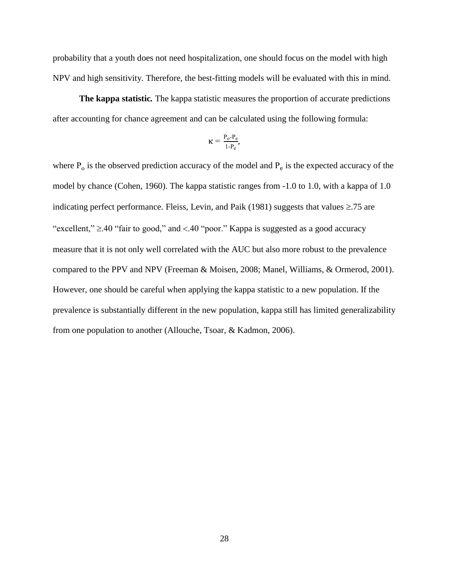probability that a youth does not need hospitalization, one should focus on the model with high NPV and high sensitivity. Therefore, the best-fitting models will be evaluated with this in mind.

**The kappa statistic***.* The kappa statistic measures the proportion of accurate predictions after accounting for chance agreement and can be calculated using the following formula:

$$
\kappa = \tfrac{P_o\text{-}P_e}{1\text{-}P_e},
$$

where  $P_0$  is the observed prediction accuracy of the model and  $P_e$  is the expected accuracy of the model by chance (Cohen, 1960). The kappa statistic ranges from -1.0 to 1.0, with a kappa of 1.0 indicating perfect performance. Fleiss, Levin, and Paik (1981) suggests that values  $\geq$ .75 are "excellent,"  $\geq$ .40 "fair to good," and <.40 "poor." Kappa is suggested as a good accuracy measure that it is not only well correlated with the AUC but also more robust to the prevalence compared to the PPV and NPV (Freeman & Moisen, 2008; Manel, Williams, & Ormerod, 2001). However, one should be careful when applying the kappa statistic to a new population. If the prevalence is substantially different in the new population, kappa still has limited generalizability from one population to another (Allouche, Tsoar, & Kadmon, 2006).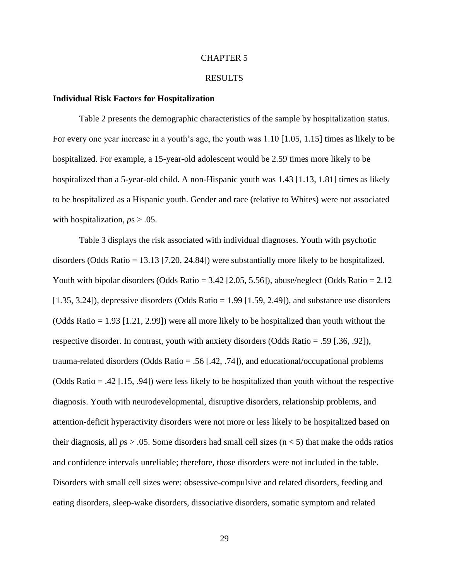## CHAPTER 5

## RESULTS

### **Individual Risk Factors for Hospitalization**

Table 2 presents the demographic characteristics of the sample by hospitalization status. For every one year increase in a youth's age, the youth was 1.10 [1.05, 1.15] times as likely to be hospitalized. For example, a 15-year-old adolescent would be 2.59 times more likely to be hospitalized than a 5-year-old child. A non-Hispanic youth was 1.43 [1.13, 1.81] times as likely to be hospitalized as a Hispanic youth. Gender and race (relative to Whites) were not associated with hospitalization,  $ps > .05$ .

Table 3 displays the risk associated with individual diagnoses. Youth with psychotic disorders (Odds Ratio = 13.13 [7.20, 24.84]) were substantially more likely to be hospitalized. Youth with bipolar disorders (Odds Ratio =  $3.42$  [2.05, 5.56]), abuse/neglect (Odds Ratio =  $2.12$  $[1.35, 3.24]$ ), depressive disorders (Odds Ratio = 1.99 [1.59, 2.49]), and substance use disorders (Odds Ratio = 1.93 [1.21, 2.99]) were all more likely to be hospitalized than youth without the respective disorder. In contrast, youth with anxiety disorders (Odds Ratio = .59 [.36, .92]), trauma-related disorders (Odds Ratio = .56 [.42, .74]), and educational/occupational problems (Odds Ratio = .42 [.15, .94]) were less likely to be hospitalized than youth without the respective diagnosis. Youth with neurodevelopmental, disruptive disorders, relationship problems, and attention-deficit hyperactivity disorders were not more or less likely to be hospitalized based on their diagnosis, all *p*s > .05. Some disorders had small cell sizes (n < 5) that make the odds ratios and confidence intervals unreliable; therefore, those disorders were not included in the table. Disorders with small cell sizes were: obsessive-compulsive and related disorders, feeding and eating disorders, sleep-wake disorders, dissociative disorders, somatic symptom and related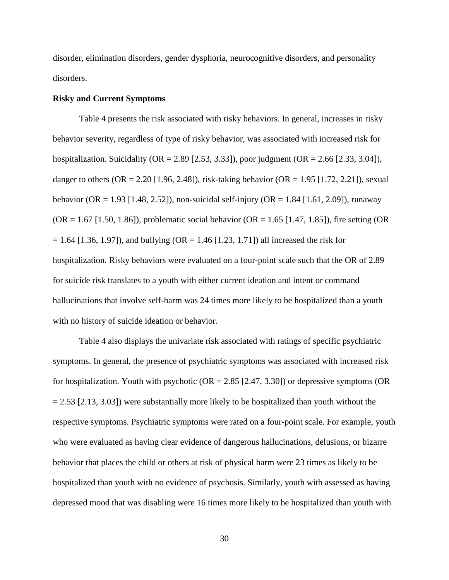disorder, elimination disorders, gender dysphoria, neurocognitive disorders, and personality disorders.

## **Risky and Current Symptoms**

Table 4 presents the risk associated with risky behaviors. In general, increases in risky behavior severity, regardless of type of risky behavior, was associated with increased risk for hospitalization. Suicidality ( $OR = 2.89$  [2.53, 3.33]), poor judgment ( $OR = 2.66$  [2.33, 3.04]), danger to others (OR = 2.20 [1.96, 2.48]), risk-taking behavior (OR = 1.95 [1.72, 2.21]), sexual behavior (OR = 1.93 [1.48, 2.52]), non-suicidal self-injury (OR = 1.84 [1.61, 2.09]), runaway  $(OR = 1.67$  [1.50, 1.86]), problematic social behavior  $(OR = 1.65$  [1.47, 1.85]), fire setting  $(OR = 1.67)$  $= 1.64$  [1.36, 1.97]), and bullying (OR  $= 1.46$  [1.23, 1.71]) all increased the risk for hospitalization. Risky behaviors were evaluated on a four-point scale such that the OR of 2.89 for suicide risk translates to a youth with either current ideation and intent or command hallucinations that involve self-harm was 24 times more likely to be hospitalized than a youth with no history of suicide ideation or behavior.

Table 4 also displays the univariate risk associated with ratings of specific psychiatric symptoms. In general, the presence of psychiatric symptoms was associated with increased risk for hospitalization. Youth with psychotic  $(OR = 2.85 [2.47, 3.30])$  or depressive symptoms  $(OR = 2.85 [2.47, 3.30])$  $= 2.53$  [2.13, 3.03]) were substantially more likely to be hospitalized than youth without the respective symptoms. Psychiatric symptoms were rated on a four-point scale. For example, youth who were evaluated as having clear evidence of dangerous hallucinations, delusions, or bizarre behavior that places the child or others at risk of physical harm were 23 times as likely to be hospitalized than youth with no evidence of psychosis. Similarly, youth with assessed as having depressed mood that was disabling were 16 times more likely to be hospitalized than youth with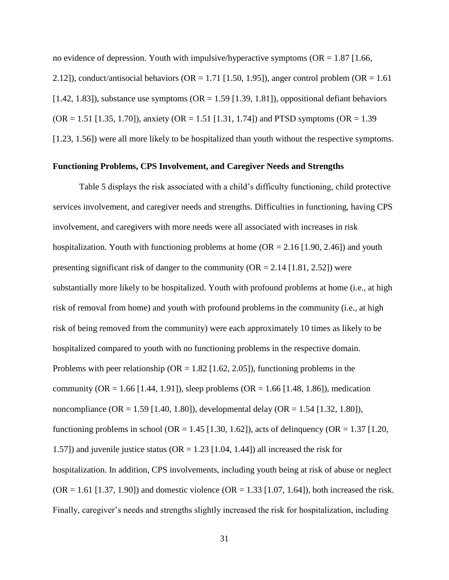no evidence of depression. Youth with impulsive/hyperactive symptoms ( $OR = 1.87$  [1.66, 2.12]), conduct/antisocial behaviors ( $OR = 1.71$  [1.50, 1.95]), anger control problem ( $OR = 1.61$ ) [1.42, 1.83]), substance use symptoms ( $OR = 1.59$  [1.39, 1.81]), oppositional defiant behaviors  $(OR = 1.51$  [1.35, 1.70]), anxiety  $(OR = 1.51$  [1.31, 1.74]) and PTSD symptoms  $(OR = 1.39$ [1.23, 1.56]) were all more likely to be hospitalized than youth without the respective symptoms.

## **Functioning Problems, CPS Involvement, and Caregiver Needs and Strengths**

Table 5 displays the risk associated with a child's difficulty functioning, child protective services involvement, and caregiver needs and strengths. Difficulties in functioning, having CPS involvement, and caregivers with more needs were all associated with increases in risk hospitalization. Youth with functioning problems at home ( $OR = 2.16$  [1.90, 2.46]) and youth presenting significant risk of danger to the community ( $OR = 2.14$  [1.81, 2.52]) were substantially more likely to be hospitalized. Youth with profound problems at home (i.e., at high risk of removal from home) and youth with profound problems in the community (i.e., at high risk of being removed from the community) were each approximately 10 times as likely to be hospitalized compared to youth with no functioning problems in the respective domain. Problems with peer relationship ( $OR = 1.82$  [1.62, 2.05]), functioning problems in the community (OR = 1.66 [1.44, 1.91]), sleep problems (OR = 1.66 [1.48, 1.86]), medication noncompliance (OR = 1.59 [1.40, 1.80]), developmental delay (OR = 1.54 [1.32, 1.80]), functioning problems in school (OR = 1.45 [1.30, 1.62]), acts of delinquency (OR = 1.37 [1.20, 1.57]) and juvenile justice status ( $OR = 1.23$  [1.04, 1.44]) all increased the risk for hospitalization. In addition, CPS involvements, including youth being at risk of abuse or neglect  $(OR = 1.61 [1.37, 1.90])$  and domestic violence  $(OR = 1.33 [1.07, 1.64])$ , both increased the risk. Finally, caregiver's needs and strengths slightly increased the risk for hospitalization, including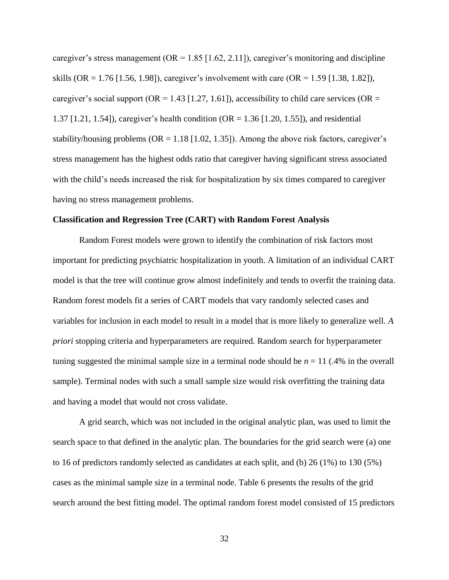caregiver's stress management ( $OR = 1.85$  [1.62, 2.11]), caregiver's monitoring and discipline skills (OR = 1.76 [1.56, 1.98]), caregiver's involvement with care (OR = 1.59 [1.38, 1.82]), caregiver's social support (OR =  $1.43$  [1.27, 1.61]), accessibility to child care services (OR = 1.37 [1.21, 1.54]), caregiver's health condition (OR = 1.36 [1.20, 1.55]), and residential stability/housing problems ( $OR = 1.18$  [1.02, 1.35]). Among the above risk factors, caregiver's stress management has the highest odds ratio that caregiver having significant stress associated with the child's needs increased the risk for hospitalization by six times compared to caregiver having no stress management problems.

## **Classification and Regression Tree (CART) with Random Forest Analysis**

Random Forest models were grown to identify the combination of risk factors most important for predicting psychiatric hospitalization in youth. A limitation of an individual CART model is that the tree will continue grow almost indefinitely and tends to overfit the training data. Random forest models fit a series of CART models that vary randomly selected cases and variables for inclusion in each model to result in a model that is more likely to generalize well. *A priori* stopping criteria and hyperparameters are required. Random search for hyperparameter tuning suggested the minimal sample size in a terminal node should be  $n = 11$  (.4% in the overall sample). Terminal nodes with such a small sample size would risk overfitting the training data and having a model that would not cross validate.

A grid search, which was not included in the original analytic plan, was used to limit the search space to that defined in the analytic plan. The boundaries for the grid search were (a) one to 16 of predictors randomly selected as candidates at each split, and (b) 26 (1%) to 130 (5%) cases as the minimal sample size in a terminal node. Table 6 presents the results of the grid search around the best fitting model. The optimal random forest model consisted of 15 predictors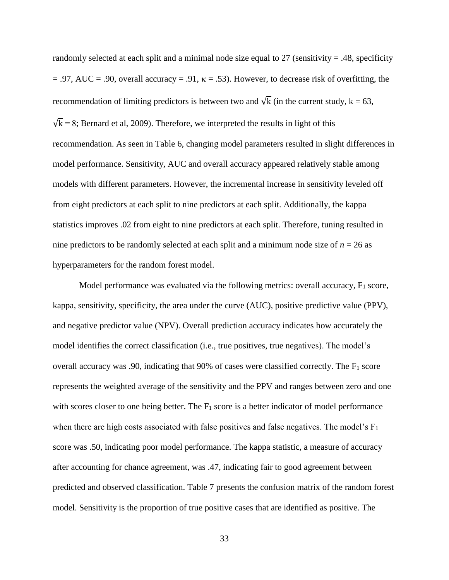randomly selected at each split and a minimal node size equal to  $27$  (sensitivity = .48, specificity  $= .97, \text{ AUC} = .90, \text{ overall accuracy} = .91, \kappa = .53).$  However, to decrease risk of overfitting, the recommendation of limiting predictors is between two and  $\sqrt{k}$  (in the current study, k = 63,  $\sqrt{k}$  = 8; Bernard et al, 2009). Therefore, we interpreted the results in light of this recommendation. As seen in Table 6, changing model parameters resulted in slight differences in model performance. Sensitivity, AUC and overall accuracy appeared relatively stable among models with different parameters. However, the incremental increase in sensitivity leveled off from eight predictors at each split to nine predictors at each split. Additionally, the kappa statistics improves .02 from eight to nine predictors at each split. Therefore, tuning resulted in nine predictors to be randomly selected at each split and a minimum node size of  $n = 26$  as hyperparameters for the random forest model.

Model performance was evaluated via the following metrics: overall accuracy,  $F_1$  score, kappa, sensitivity, specificity, the area under the curve (AUC), positive predictive value (PPV), and negative predictor value (NPV). Overall prediction accuracy indicates how accurately the model identifies the correct classification (i.e., true positives, true negatives). The model's overall accuracy was .90, indicating that  $90\%$  of cases were classified correctly. The  $F_1$  score represents the weighted average of the sensitivity and the PPV and ranges between zero and one with scores closer to one being better. The  $F_1$  score is a better indicator of model performance when there are high costs associated with false positives and false negatives. The model's  $F_1$ score was .50, indicating poor model performance. The kappa statistic, a measure of accuracy after accounting for chance agreement, was .47, indicating fair to good agreement between predicted and observed classification. Table 7 presents the confusion matrix of the random forest model. Sensitivity is the proportion of true positive cases that are identified as positive. The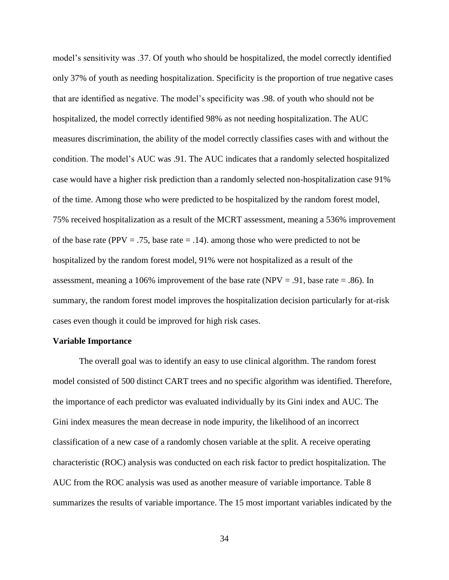model's sensitivity was .37. Of youth who should be hospitalized, the model correctly identified only 37% of youth as needing hospitalization. Specificity is the proportion of true negative cases that are identified as negative. The model's specificity was .98. of youth who should not be hospitalized, the model correctly identified 98% as not needing hospitalization. The AUC measures discrimination, the ability of the model correctly classifies cases with and without the condition. The model's AUC was .91. The AUC indicates that a randomly selected hospitalized case would have a higher risk prediction than a randomly selected non-hospitalization case 91% of the time. Among those who were predicted to be hospitalized by the random forest model, 75% received hospitalization as a result of the MCRT assessment, meaning a 536% improvement of the base rate (PPV = .75, base rate  $=$  .14). among those who were predicted to not be hospitalized by the random forest model, 91% were not hospitalized as a result of the assessment, meaning a 106% improvement of the base rate (NPV = .91, base rate = .86). In summary, the random forest model improves the hospitalization decision particularly for at-risk cases even though it could be improved for high risk cases.

#### **Variable Importance**

The overall goal was to identify an easy to use clinical algorithm. The random forest model consisted of 500 distinct CART trees and no specific algorithm was identified. Therefore, the importance of each predictor was evaluated individually by its Gini index and AUC. The Gini index measures the mean decrease in node impurity, the likelihood of an incorrect classification of a new case of a randomly chosen variable at the split. A receive operating characteristic (ROC) analysis was conducted on each risk factor to predict hospitalization. The AUC from the ROC analysis was used as another measure of variable importance. Table 8 summarizes the results of variable importance. The 15 most important variables indicated by the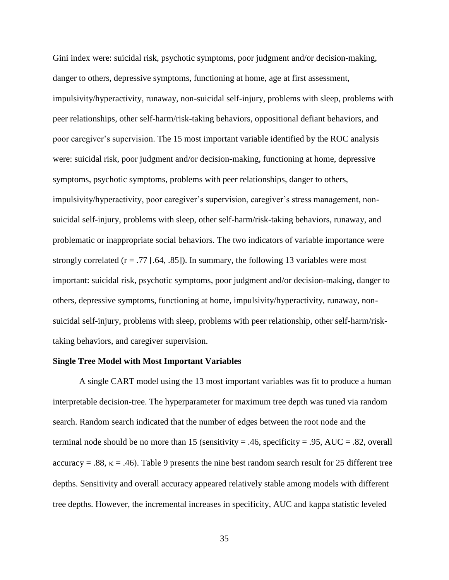Gini index were: suicidal risk, psychotic symptoms, poor judgment and/or decision-making, danger to others, depressive symptoms, functioning at home, age at first assessment, impulsivity/hyperactivity, runaway, non-suicidal self-injury, problems with sleep, problems with peer relationships, other self-harm/risk-taking behaviors, oppositional defiant behaviors, and poor caregiver's supervision. The 15 most important variable identified by the ROC analysis were: suicidal risk, poor judgment and/or decision-making, functioning at home, depressive symptoms, psychotic symptoms, problems with peer relationships, danger to others, impulsivity/hyperactivity, poor caregiver's supervision, caregiver's stress management, nonsuicidal self-injury, problems with sleep, other self-harm/risk-taking behaviors, runaway, and problematic or inappropriate social behaviors. The two indicators of variable importance were strongly correlated  $(r = .77$  [.64, .85]). In summary, the following 13 variables were most important: suicidal risk, psychotic symptoms, poor judgment and/or decision-making, danger to others, depressive symptoms, functioning at home, impulsivity/hyperactivity, runaway, nonsuicidal self-injury, problems with sleep, problems with peer relationship, other self-harm/risktaking behaviors, and caregiver supervision.

### **Single Tree Model with Most Important Variables**

A single CART model using the 13 most important variables was fit to produce a human interpretable decision-tree. The hyperparameter for maximum tree depth was tuned via random search. Random search indicated that the number of edges between the root node and the terminal node should be no more than 15 (sensitivity = .46, specificity = .95, AUC = .82, overall  $accuracy = .88$ ,  $\kappa = .46$ ). Table 9 presents the nine best random search result for 25 different tree depths. Sensitivity and overall accuracy appeared relatively stable among models with different tree depths. However, the incremental increases in specificity, AUC and kappa statistic leveled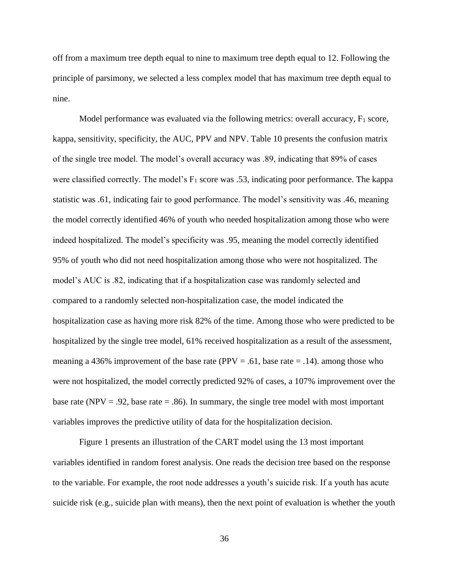off from a maximum tree depth equal to nine to maximum tree depth equal to 12. Following the principle of parsimony, we selected a less complex model that has maximum tree depth equal to nine.

Model performance was evaluated via the following metrics: overall accuracy,  $F_1$  score, kappa, sensitivity, specificity, the AUC, PPV and NPV. Table 10 presents the confusion matrix of the single tree model. The model's overall accuracy was .89, indicating that 89% of cases were classified correctly. The model's  $F_1$  score was .53, indicating poor performance. The kappa statistic was .61, indicating fair to good performance. The model's sensitivity was .46, meaning the model correctly identified 46% of youth who needed hospitalization among those who were indeed hospitalized. The model's specificity was .95, meaning the model correctly identified 95% of youth who did not need hospitalization among those who were not hospitalized. The model's AUC is .82, indicating that if a hospitalization case was randomly selected and compared to a randomly selected non-hospitalization case, the model indicated the hospitalization case as having more risk 82% of the time. Among those who were predicted to be hospitalized by the single tree model, 61% received hospitalization as a result of the assessment, meaning a 436% improvement of the base rate (PPV = .61, base rate = .14). among those who were not hospitalized, the model correctly predicted 92% of cases, a 107% improvement over the base rate (NPV = .92, base rate = .86). In summary, the single tree model with most important variables improves the predictive utility of data for the hospitalization decision.

Figure 1 presents an illustration of the CART model using the 13 most important variables identified in random forest analysis. One reads the decision tree based on the response to the variable. For example, the root node addresses a youth's suicide risk. If a youth has acute suicide risk (e.g., suicide plan with means), then the next point of evaluation is whether the youth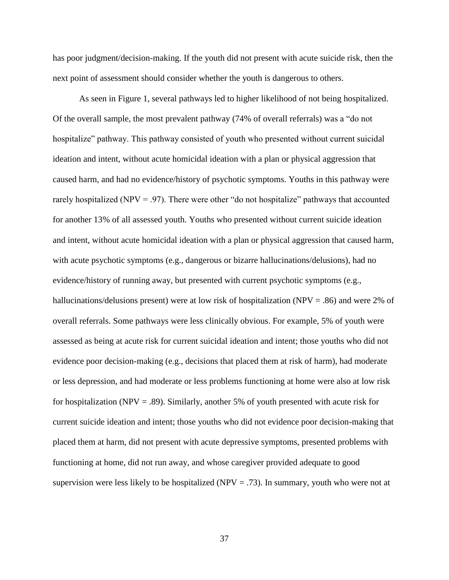has poor judgment/decision-making. If the youth did not present with acute suicide risk, then the next point of assessment should consider whether the youth is dangerous to others.

As seen in Figure 1, several pathways led to higher likelihood of not being hospitalized. Of the overall sample, the most prevalent pathway (74% of overall referrals) was a "do not hospitalize" pathway. This pathway consisted of youth who presented without current suicidal ideation and intent, without acute homicidal ideation with a plan or physical aggression that caused harm, and had no evidence/history of psychotic symptoms. Youths in this pathway were rarely hospitalized (NPV = .97). There were other "do not hospitalize" pathways that accounted for another 13% of all assessed youth. Youths who presented without current suicide ideation and intent, without acute homicidal ideation with a plan or physical aggression that caused harm, with acute psychotic symptoms (e.g., dangerous or bizarre hallucinations/delusions), had no evidence/history of running away, but presented with current psychotic symptoms (e.g., hallucinations/delusions present) were at low risk of hospitalization (NPV = .86) and were 2% of overall referrals. Some pathways were less clinically obvious. For example, 5% of youth were assessed as being at acute risk for current suicidal ideation and intent; those youths who did not evidence poor decision-making (e.g., decisions that placed them at risk of harm), had moderate or less depression, and had moderate or less problems functioning at home were also at low risk for hospitalization (NPV = .89). Similarly, another 5% of youth presented with acute risk for current suicide ideation and intent; those youths who did not evidence poor decision-making that placed them at harm, did not present with acute depressive symptoms, presented problems with functioning at home, did not run away, and whose caregiver provided adequate to good supervision were less likely to be hospitalized (NPV = .73). In summary, youth who were not at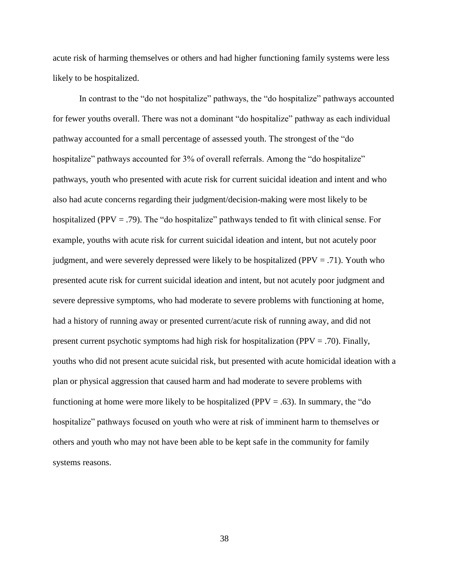acute risk of harming themselves or others and had higher functioning family systems were less likely to be hospitalized.

In contrast to the "do not hospitalize" pathways, the "do hospitalize" pathways accounted for fewer youths overall. There was not a dominant "do hospitalize" pathway as each individual pathway accounted for a small percentage of assessed youth. The strongest of the "do hospitalize" pathways accounted for 3% of overall referrals. Among the "do hospitalize" pathways, youth who presented with acute risk for current suicidal ideation and intent and who also had acute concerns regarding their judgment/decision-making were most likely to be hospitalized (PPV = .79). The "do hospitalize" pathways tended to fit with clinical sense. For example, youths with acute risk for current suicidal ideation and intent, but not acutely poor judgment, and were severely depressed were likely to be hospitalized ( $PPV = .71$ ). Youth who presented acute risk for current suicidal ideation and intent, but not acutely poor judgment and severe depressive symptoms, who had moderate to severe problems with functioning at home, had a history of running away or presented current/acute risk of running away, and did not present current psychotic symptoms had high risk for hospitalization (PPV = .70). Finally, youths who did not present acute suicidal risk, but presented with acute homicidal ideation with a plan or physical aggression that caused harm and had moderate to severe problems with functioning at home were more likely to be hospitalized (PPV  $=$  .63). In summary, the "do hospitalize" pathways focused on youth who were at risk of imminent harm to themselves or others and youth who may not have been able to be kept safe in the community for family systems reasons.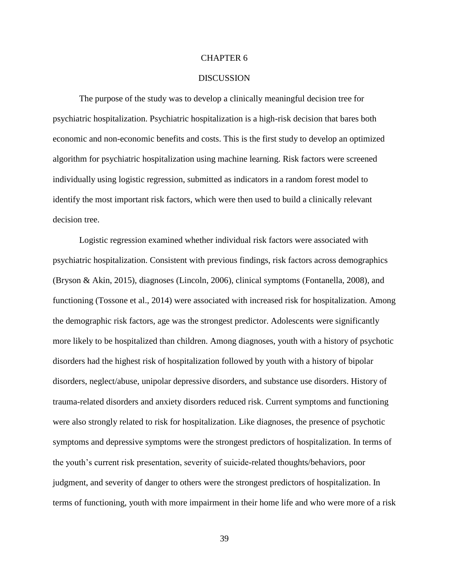## CHAPTER 6

## DISCUSSION

The purpose of the study was to develop a clinically meaningful decision tree for psychiatric hospitalization. Psychiatric hospitalization is a high-risk decision that bares both economic and non-economic benefits and costs. This is the first study to develop an optimized algorithm for psychiatric hospitalization using machine learning. Risk factors were screened individually using logistic regression, submitted as indicators in a random forest model to identify the most important risk factors, which were then used to build a clinically relevant decision tree.

Logistic regression examined whether individual risk factors were associated with psychiatric hospitalization. Consistent with previous findings, risk factors across demographics (Bryson & Akin, 2015), diagnoses (Lincoln, 2006), clinical symptoms (Fontanella, 2008), and functioning (Tossone et al., 2014) were associated with increased risk for hospitalization. Among the demographic risk factors, age was the strongest predictor. Adolescents were significantly more likely to be hospitalized than children. Among diagnoses, youth with a history of psychotic disorders had the highest risk of hospitalization followed by youth with a history of bipolar disorders, neglect/abuse, unipolar depressive disorders, and substance use disorders. History of trauma-related disorders and anxiety disorders reduced risk. Current symptoms and functioning were also strongly related to risk for hospitalization. Like diagnoses, the presence of psychotic symptoms and depressive symptoms were the strongest predictors of hospitalization. In terms of the youth's current risk presentation, severity of suicide-related thoughts/behaviors, poor judgment, and severity of danger to others were the strongest predictors of hospitalization. In terms of functioning, youth with more impairment in their home life and who were more of a risk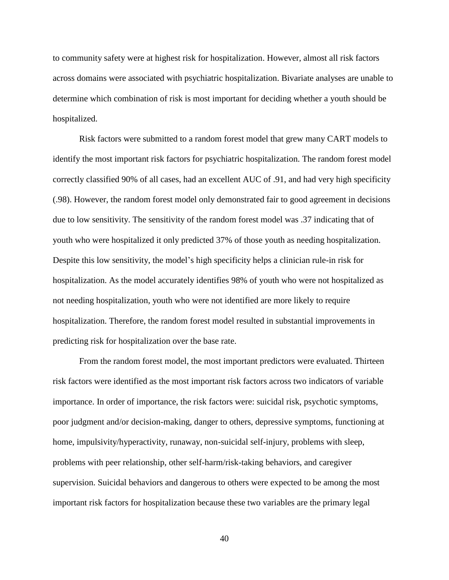to community safety were at highest risk for hospitalization. However, almost all risk factors across domains were associated with psychiatric hospitalization. Bivariate analyses are unable to determine which combination of risk is most important for deciding whether a youth should be hospitalized.

Risk factors were submitted to a random forest model that grew many CART models to identify the most important risk factors for psychiatric hospitalization. The random forest model correctly classified 90% of all cases, had an excellent AUC of .91, and had very high specificity (.98). However, the random forest model only demonstrated fair to good agreement in decisions due to low sensitivity. The sensitivity of the random forest model was .37 indicating that of youth who were hospitalized it only predicted 37% of those youth as needing hospitalization. Despite this low sensitivity, the model's high specificity helps a clinician rule-in risk for hospitalization. As the model accurately identifies 98% of youth who were not hospitalized as not needing hospitalization, youth who were not identified are more likely to require hospitalization. Therefore, the random forest model resulted in substantial improvements in predicting risk for hospitalization over the base rate.

From the random forest model, the most important predictors were evaluated. Thirteen risk factors were identified as the most important risk factors across two indicators of variable importance. In order of importance, the risk factors were: suicidal risk, psychotic symptoms, poor judgment and/or decision-making, danger to others, depressive symptoms, functioning at home, impulsivity/hyperactivity, runaway, non-suicidal self-injury, problems with sleep, problems with peer relationship, other self-harm/risk-taking behaviors, and caregiver supervision. Suicidal behaviors and dangerous to others were expected to be among the most important risk factors for hospitalization because these two variables are the primary legal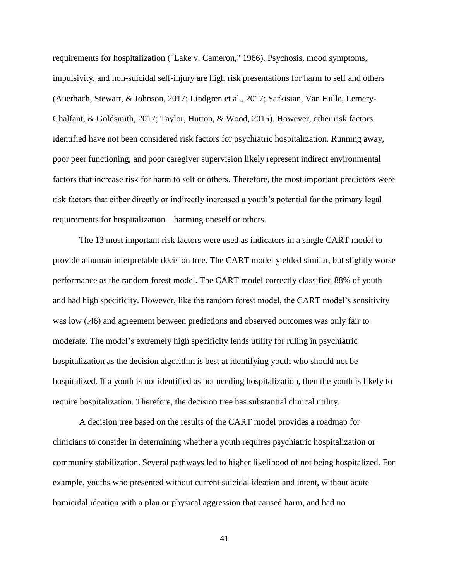requirements for hospitalization ("Lake v. Cameron," 1966). Psychosis, mood symptoms, impulsivity, and non-suicidal self-injury are high risk presentations for harm to self and others (Auerbach, Stewart, & Johnson, 2017; Lindgren et al., 2017; Sarkisian, Van Hulle, Lemery-Chalfant, & Goldsmith, 2017; Taylor, Hutton, & Wood, 2015). However, other risk factors identified have not been considered risk factors for psychiatric hospitalization. Running away, poor peer functioning, and poor caregiver supervision likely represent indirect environmental factors that increase risk for harm to self or others. Therefore, the most important predictors were risk factors that either directly or indirectly increased a youth's potential for the primary legal requirements for hospitalization – harming oneself or others.

The 13 most important risk factors were used as indicators in a single CART model to provide a human interpretable decision tree. The CART model yielded similar, but slightly worse performance as the random forest model. The CART model correctly classified 88% of youth and had high specificity. However, like the random forest model, the CART model's sensitivity was low (.46) and agreement between predictions and observed outcomes was only fair to moderate. The model's extremely high specificity lends utility for ruling in psychiatric hospitalization as the decision algorithm is best at identifying youth who should not be hospitalized. If a youth is not identified as not needing hospitalization, then the youth is likely to require hospitalization. Therefore, the decision tree has substantial clinical utility.

A decision tree based on the results of the CART model provides a roadmap for clinicians to consider in determining whether a youth requires psychiatric hospitalization or community stabilization. Several pathways led to higher likelihood of not being hospitalized. For example, youths who presented without current suicidal ideation and intent, without acute homicidal ideation with a plan or physical aggression that caused harm, and had no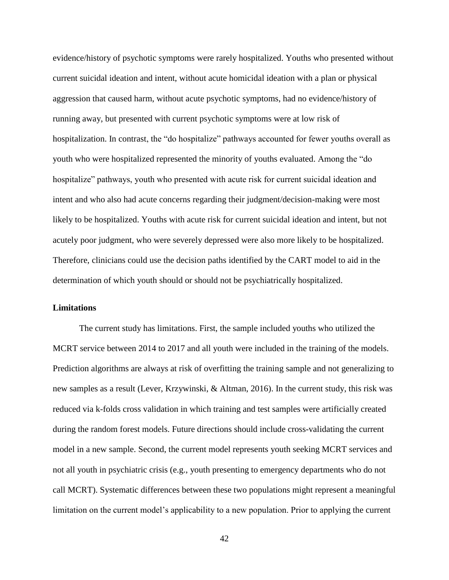evidence/history of psychotic symptoms were rarely hospitalized. Youths who presented without current suicidal ideation and intent, without acute homicidal ideation with a plan or physical aggression that caused harm, without acute psychotic symptoms, had no evidence/history of running away, but presented with current psychotic symptoms were at low risk of hospitalization. In contrast, the "do hospitalize" pathways accounted for fewer youths overall as youth who were hospitalized represented the minority of youths evaluated. Among the "do hospitalize" pathways, youth who presented with acute risk for current suicidal ideation and intent and who also had acute concerns regarding their judgment/decision-making were most likely to be hospitalized. Youths with acute risk for current suicidal ideation and intent, but not acutely poor judgment, who were severely depressed were also more likely to be hospitalized. Therefore, clinicians could use the decision paths identified by the CART model to aid in the determination of which youth should or should not be psychiatrically hospitalized.

## **Limitations**

The current study has limitations. First, the sample included youths who utilized the MCRT service between 2014 to 2017 and all youth were included in the training of the models. Prediction algorithms are always at risk of overfitting the training sample and not generalizing to new samples as a result (Lever, Krzywinski, & Altman, 2016). In the current study, this risk was reduced via k-folds cross validation in which training and test samples were artificially created during the random forest models. Future directions should include cross-validating the current model in a new sample. Second, the current model represents youth seeking MCRT services and not all youth in psychiatric crisis (e.g., youth presenting to emergency departments who do not call MCRT). Systematic differences between these two populations might represent a meaningful limitation on the current model's applicability to a new population. Prior to applying the current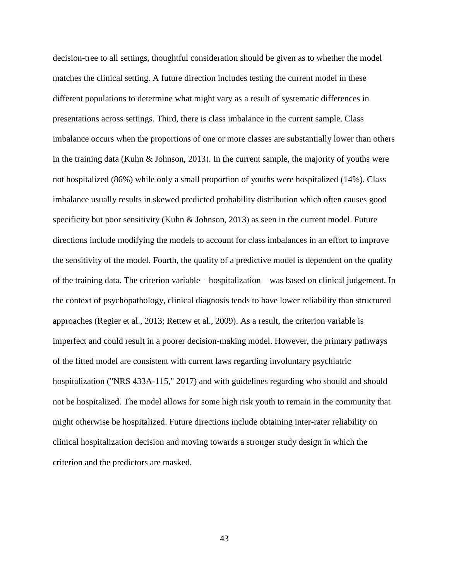decision-tree to all settings, thoughtful consideration should be given as to whether the model matches the clinical setting. A future direction includes testing the current model in these different populations to determine what might vary as a result of systematic differences in presentations across settings. Third, there is class imbalance in the current sample. Class imbalance occurs when the proportions of one or more classes are substantially lower than others in the training data (Kuhn & Johnson, 2013). In the current sample, the majority of youths were not hospitalized (86%) while only a small proportion of youths were hospitalized (14%). Class imbalance usually results in skewed predicted probability distribution which often causes good specificity but poor sensitivity (Kuhn & Johnson, 2013) as seen in the current model. Future directions include modifying the models to account for class imbalances in an effort to improve the sensitivity of the model. Fourth, the quality of a predictive model is dependent on the quality of the training data. The criterion variable – hospitalization – was based on clinical judgement. In the context of psychopathology, clinical diagnosis tends to have lower reliability than structured approaches (Regier et al., 2013; Rettew et al., 2009). As a result, the criterion variable is imperfect and could result in a poorer decision-making model. However, the primary pathways of the fitted model are consistent with current laws regarding involuntary psychiatric hospitalization ("NRS 433A-115," 2017) and with guidelines regarding who should and should not be hospitalized. The model allows for some high risk youth to remain in the community that might otherwise be hospitalized. Future directions include obtaining inter-rater reliability on clinical hospitalization decision and moving towards a stronger study design in which the criterion and the predictors are masked.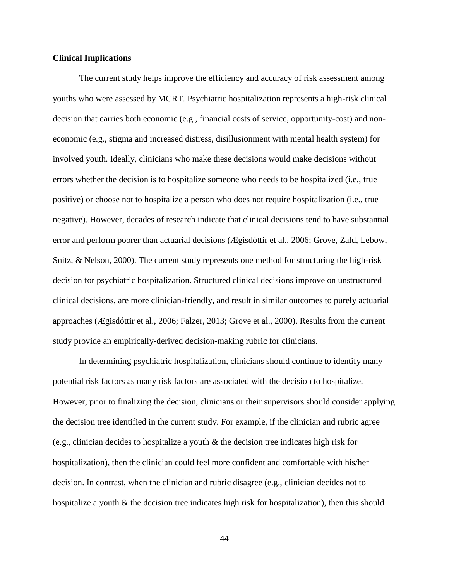## **Clinical Implications**

The current study helps improve the efficiency and accuracy of risk assessment among youths who were assessed by MCRT. Psychiatric hospitalization represents a high-risk clinical decision that carries both economic (e.g., financial costs of service, opportunity-cost) and noneconomic (e.g., stigma and increased distress, disillusionment with mental health system) for involved youth. Ideally, clinicians who make these decisions would make decisions without errors whether the decision is to hospitalize someone who needs to be hospitalized (i.e., true positive) or choose not to hospitalize a person who does not require hospitalization (i.e., true negative). However, decades of research indicate that clinical decisions tend to have substantial error and perform poorer than actuarial decisions (Ægisdóttir et al., 2006; Grove, Zald, Lebow, Snitz, & Nelson, 2000). The current study represents one method for structuring the high-risk decision for psychiatric hospitalization. Structured clinical decisions improve on unstructured clinical decisions, are more clinician-friendly, and result in similar outcomes to purely actuarial approaches (Ægisdóttir et al., 2006; Falzer, 2013; Grove et al., 2000). Results from the current study provide an empirically-derived decision-making rubric for clinicians.

In determining psychiatric hospitalization, clinicians should continue to identify many potential risk factors as many risk factors are associated with the decision to hospitalize. However, prior to finalizing the decision, clinicians or their supervisors should consider applying the decision tree identified in the current study. For example, if the clinician and rubric agree (e.g., clinician decides to hospitalize a youth & the decision tree indicates high risk for hospitalization), then the clinician could feel more confident and comfortable with his/her decision. In contrast, when the clinician and rubric disagree (e.g., clinician decides not to hospitalize a youth & the decision tree indicates high risk for hospitalization), then this should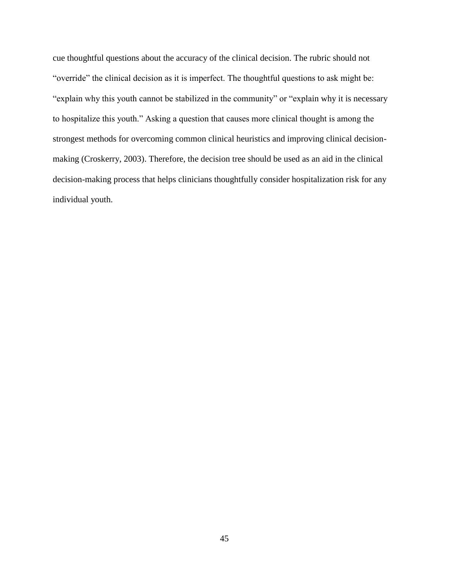cue thoughtful questions about the accuracy of the clinical decision. The rubric should not "override" the clinical decision as it is imperfect. The thoughtful questions to ask might be: "explain why this youth cannot be stabilized in the community" or "explain why it is necessary to hospitalize this youth." Asking a question that causes more clinical thought is among the strongest methods for overcoming common clinical heuristics and improving clinical decisionmaking (Croskerry, 2003). Therefore, the decision tree should be used as an aid in the clinical decision-making process that helps clinicians thoughtfully consider hospitalization risk for any individual youth.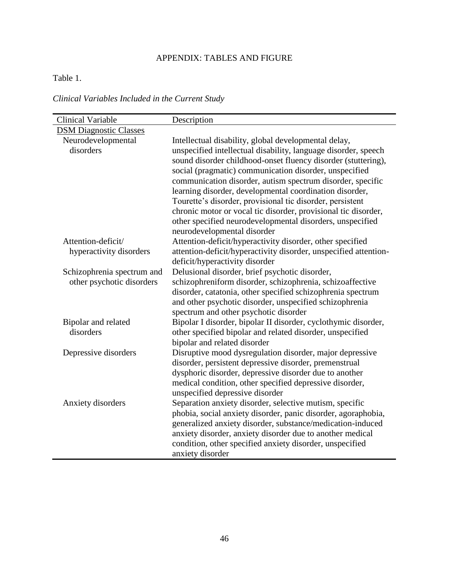# APPENDIX: TABLES AND FIGURE

# Table 1.

*Clinical Variables Included in the Current Study*

| <b>Clinical Variable</b>                                | Description                                                                                                                                                                                                                                                                                                                                                                                                                                                                                                                                                                                           |
|---------------------------------------------------------|-------------------------------------------------------------------------------------------------------------------------------------------------------------------------------------------------------------------------------------------------------------------------------------------------------------------------------------------------------------------------------------------------------------------------------------------------------------------------------------------------------------------------------------------------------------------------------------------------------|
| <b>DSM Diagnostic Classes</b>                           |                                                                                                                                                                                                                                                                                                                                                                                                                                                                                                                                                                                                       |
| Neurodevelopmental<br>disorders                         | Intellectual disability, global developmental delay,<br>unspecified intellectual disability, language disorder, speech<br>sound disorder childhood-onset fluency disorder (stuttering),<br>social (pragmatic) communication disorder, unspecified<br>communication disorder, autism spectrum disorder, specific<br>learning disorder, developmental coordination disorder,<br>Tourette's disorder, provisional tic disorder, persistent<br>chronic motor or vocal tic disorder, provisional tic disorder,<br>other specified neurodevelopmental disorders, unspecified<br>neurodevelopmental disorder |
| Attention-deficit/                                      | Attention-deficit/hyperactivity disorder, other specified                                                                                                                                                                                                                                                                                                                                                                                                                                                                                                                                             |
| hyperactivity disorders                                 | attention-deficit/hyperactivity disorder, unspecified attention-<br>deficit/hyperactivity disorder                                                                                                                                                                                                                                                                                                                                                                                                                                                                                                    |
| Schizophrenia spectrum and<br>other psychotic disorders | Delusional disorder, brief psychotic disorder,<br>schizophreniform disorder, schizophrenia, schizoaffective<br>disorder, catatonia, other specified schizophrenia spectrum<br>and other psychotic disorder, unspecified schizophrenia<br>spectrum and other psychotic disorder                                                                                                                                                                                                                                                                                                                        |
| Bipolar and related<br>disorders                        | Bipolar I disorder, bipolar II disorder, cyclothymic disorder,<br>other specified bipolar and related disorder, unspecified<br>bipolar and related disorder                                                                                                                                                                                                                                                                                                                                                                                                                                           |
| Depressive disorders                                    | Disruptive mood dysregulation disorder, major depressive<br>disorder, persistent depressive disorder, premenstrual<br>dysphoric disorder, depressive disorder due to another<br>medical condition, other specified depressive disorder,<br>unspecified depressive disorder                                                                                                                                                                                                                                                                                                                            |
| Anxiety disorders                                       | Separation anxiety disorder, selective mutism, specific<br>phobia, social anxiety disorder, panic disorder, agoraphobia,<br>generalized anxiety disorder, substance/medication-induced<br>anxiety disorder, anxiety disorder due to another medical<br>condition, other specified anxiety disorder, unspecified<br>anxiety disorder                                                                                                                                                                                                                                                                   |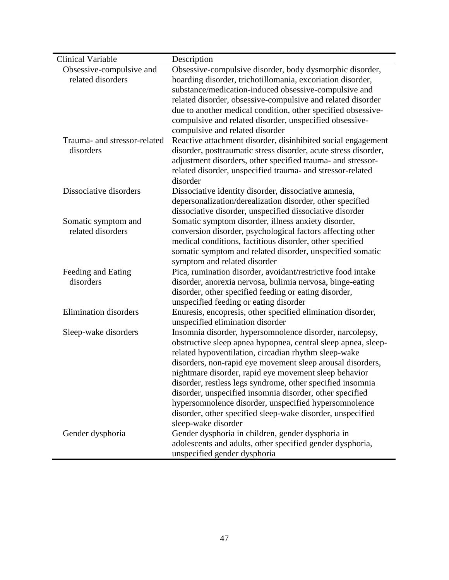| <b>Clinical Variable</b>     | Description                                                     |
|------------------------------|-----------------------------------------------------------------|
| Obsessive-compulsive and     | Obsessive-compulsive disorder, body dysmorphic disorder,        |
| related disorders            | hoarding disorder, trichotillomania, excoriation disorder,      |
|                              | substance/medication-induced obsessive-compulsive and           |
|                              | related disorder, obsessive-compulsive and related disorder     |
|                              | due to another medical condition, other specified obsessive-    |
|                              | compulsive and related disorder, unspecified obsessive-         |
|                              | compulsive and related disorder                                 |
| Trauma- and stressor-related | Reactive attachment disorder, disinhibited social engagement    |
| disorders                    | disorder, posttraumatic stress disorder, acute stress disorder, |
|                              | adjustment disorders, other specified trauma- and stressor-     |
|                              | related disorder, unspecified trauma- and stressor-related      |
|                              | disorder                                                        |
| Dissociative disorders       | Dissociative identity disorder, dissociative amnesia,           |
|                              | depersonalization/derealization disorder, other specified       |
|                              | dissociative disorder, unspecified dissociative disorder        |
| Somatic symptom and          | Somatic symptom disorder, illness anxiety disorder,             |
| related disorders            | conversion disorder, psychological factors affecting other      |
|                              | medical conditions, factitious disorder, other specified        |
|                              | somatic symptom and related disorder, unspecified somatic       |
|                              | symptom and related disorder                                    |
| Feeding and Eating           | Pica, rumination disorder, avoidant/restrictive food intake     |
| disorders                    | disorder, anorexia nervosa, bulimia nervosa, binge-eating       |
|                              | disorder, other specified feeding or eating disorder,           |
|                              | unspecified feeding or eating disorder                          |
| <b>Elimination</b> disorders | Enuresis, encopresis, other specified elimination disorder,     |
|                              | unspecified elimination disorder                                |
| Sleep-wake disorders         | Insomnia disorder, hypersomnolence disorder, narcolepsy,        |
|                              | obstructive sleep apnea hypopnea, central sleep apnea, sleep-   |
|                              | related hypoventilation, circadian rhythm sleep-wake            |
|                              | disorders, non-rapid eye movement sleep arousal disorders,      |
|                              | nightmare disorder, rapid eye movement sleep behavior           |
|                              | disorder, restless legs syndrome, other specified insomnia      |
|                              | disorder, unspecified insomnia disorder, other specified        |
|                              | hypersomnolence disorder, unspecified hypersomnolence           |
|                              | disorder, other specified sleep-wake disorder, unspecified      |
|                              | sleep-wake disorder                                             |
| Gender dysphoria             | Gender dysphoria in children, gender dysphoria in               |
|                              | adolescents and adults, other specified gender dysphoria,       |
|                              | unspecified gender dysphoria                                    |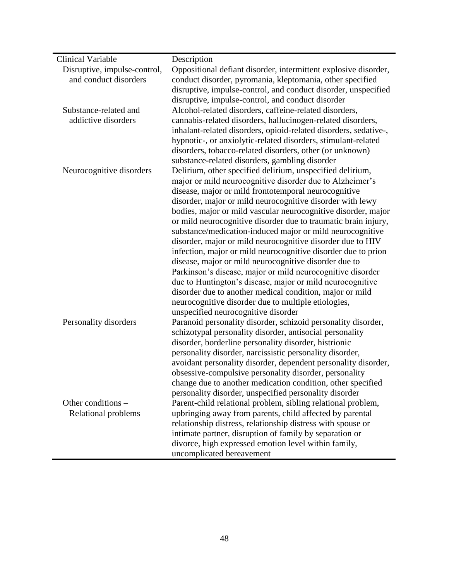| <b>Clinical Variable</b>     | Description                                                                                |
|------------------------------|--------------------------------------------------------------------------------------------|
| Disruptive, impulse-control, | Oppositional defiant disorder, intermittent explosive disorder,                            |
| and conduct disorders        | conduct disorder, pyromania, kleptomania, other specified                                  |
|                              | disruptive, impulse-control, and conduct disorder, unspecified                             |
|                              | disruptive, impulse-control, and conduct disorder                                          |
| Substance-related and        | Alcohol-related disorders, caffeine-related disorders,                                     |
| addictive disorders          | cannabis-related disorders, hallucinogen-related disorders,                                |
|                              | inhalant-related disorders, opioid-related disorders, sedative-,                           |
|                              | hypnotic-, or anxiolytic-related disorders, stimulant-related                              |
|                              | disorders, tobacco-related disorders, other (or unknown)                                   |
|                              | substance-related disorders, gambling disorder                                             |
| Neurocognitive disorders     | Delirium, other specified delirium, unspecified delirium,                                  |
|                              | major or mild neurocognitive disorder due to Alzheimer's                                   |
|                              | disease, major or mild frontotemporal neurocognitive                                       |
|                              | disorder, major or mild neurocognitive disorder with lewy                                  |
|                              | bodies, major or mild vascular neurocognitive disorder, major                              |
|                              | or mild neurocognitive disorder due to traumatic brain injury,                             |
|                              | substance/medication-induced major or mild neurocognitive                                  |
|                              | disorder, major or mild neurocognitive disorder due to HIV                                 |
|                              | infection, major or mild neurocognitive disorder due to prion                              |
|                              | disease, major or mild neurocognitive disorder due to                                      |
|                              | Parkinson's disease, major or mild neurocognitive disorder                                 |
|                              | due to Huntington's disease, major or mild neurocognitive                                  |
|                              | disorder due to another medical condition, major or mild                                   |
|                              | neurocognitive disorder due to multiple etiologies,<br>unspecified neurocognitive disorder |
| Personality disorders        | Paranoid personality disorder, schizoid personality disorder,                              |
|                              | schizotypal personality disorder, antisocial personality                                   |
|                              | disorder, borderline personality disorder, histrionic                                      |
|                              | personality disorder, narcissistic personality disorder,                                   |
|                              | avoidant personality disorder, dependent personality disorder,                             |
|                              | obsessive-compulsive personality disorder, personality                                     |
|                              | change due to another medication condition, other specified                                |
|                              | personality disorder, unspecified personality disorder                                     |
| Other conditions -           | Parent-child relational problem, sibling relational problem,                               |
| Relational problems          | upbringing away from parents, child affected by parental                                   |
|                              | relationship distress, relationship distress with spouse or                                |
|                              | intimate partner, disruption of family by separation or                                    |
|                              | divorce, high expressed emotion level within family,                                       |
|                              | uncomplicated bereavement                                                                  |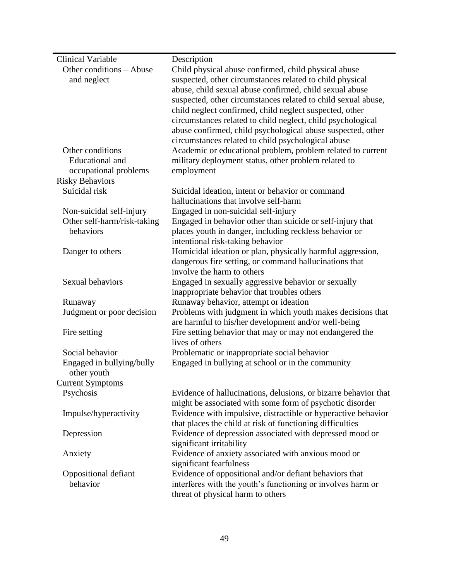| Clinical Variable                        | Description                                                     |
|------------------------------------------|-----------------------------------------------------------------|
| Other conditions - Abuse                 | Child physical abuse confirmed, child physical abuse            |
| and neglect                              | suspected, other circumstances related to child physical        |
|                                          | abuse, child sexual abuse confirmed, child sexual abuse         |
|                                          | suspected, other circumstances related to child sexual abuse,   |
|                                          | child neglect confirmed, child neglect suspected, other         |
|                                          | circumstances related to child neglect, child psychological     |
|                                          | abuse confirmed, child psychological abuse suspected, other     |
|                                          | circumstances related to child psychological abuse              |
| Other conditions -                       | Academic or educational problem, problem related to current     |
| <b>Educational</b> and                   | military deployment status, other problem related to            |
| occupational problems                    | employment                                                      |
| <b>Risky Behaviors</b>                   |                                                                 |
| Suicidal risk                            | Suicidal ideation, intent or behavior or command                |
|                                          | hallucinations that involve self-harm                           |
| Non-suicidal self-injury                 | Engaged in non-suicidal self-injury                             |
| Other self-harm/risk-taking              | Engaged in behavior other than suicide or self-injury that      |
| behaviors                                | places youth in danger, including reckless behavior or          |
|                                          | intentional risk-taking behavior                                |
| Danger to others                         | Homicidal ideation or plan, physically harmful aggression,      |
|                                          | dangerous fire setting, or command hallucinations that          |
|                                          | involve the harm to others                                      |
| Sexual behaviors                         | Engaged in sexually aggressive behavior or sexually             |
|                                          | inappropriate behavior that troubles others                     |
| Runaway                                  | Runaway behavior, attempt or ideation                           |
| Judgment or poor decision                | Problems with judgment in which youth makes decisions that      |
|                                          | are harmful to his/her development and/or well-being            |
| Fire setting                             | Fire setting behavior that may or may not endangered the        |
| Social behavior                          | lives of others                                                 |
|                                          | Problematic or inappropriate social behavior                    |
| Engaged in bullying/bully<br>other youth | Engaged in bullying at school or in the community               |
| <b>Current Symptoms</b>                  |                                                                 |
| Psychosis                                | Evidence of hallucinations, delusions, or bizarre behavior that |
|                                          | might be associated with some form of psychotic disorder        |
| Impulse/hyperactivity                    | Evidence with impulsive, distractible or hyperactive behavior   |
|                                          | that places the child at risk of functioning difficulties       |
| Depression                               | Evidence of depression associated with depressed mood or        |
|                                          | significant irritability                                        |
| Anxiety                                  | Evidence of anxiety associated with anxious mood or             |
|                                          | significant fearfulness                                         |
| Oppositional defiant                     | Evidence of oppositional and/or defiant behaviors that          |
| behavior                                 | interferes with the youth's functioning or involves harm or     |
|                                          | threat of physical harm to others                               |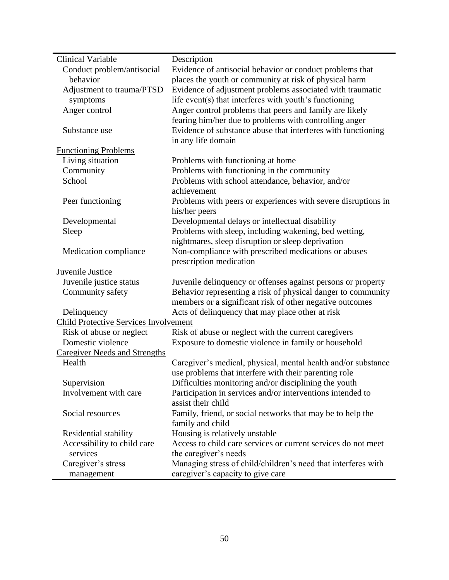| <b>Clinical Variable</b>                     | Description                                                   |
|----------------------------------------------|---------------------------------------------------------------|
| Conduct problem/antisocial                   | Evidence of antisocial behavior or conduct problems that      |
| behavior                                     | places the youth or community at risk of physical harm        |
| Adjustment to trauma/PTSD                    | Evidence of adjustment problems associated with traumatic     |
| symptoms                                     | life event(s) that interferes with youth's functioning        |
| Anger control                                | Anger control problems that peers and family are likely       |
|                                              | fearing him/her due to problems with controlling anger        |
| Substance use                                | Evidence of substance abuse that interferes with functioning  |
|                                              | in any life domain                                            |
| <b>Functioning Problems</b>                  |                                                               |
| Living situation                             | Problems with functioning at home                             |
| Community                                    | Problems with functioning in the community                    |
| School                                       | Problems with school attendance, behavior, and/or             |
|                                              | achievement                                                   |
| Peer functioning                             | Problems with peers or experiences with severe disruptions in |
|                                              | his/her peers                                                 |
| Developmental                                | Developmental delays or intellectual disability               |
| Sleep                                        | Problems with sleep, including wakening, bed wetting,         |
|                                              | nightmares, sleep disruption or sleep deprivation             |
| Medication compliance                        | Non-compliance with prescribed medications or abuses          |
|                                              | prescription medication                                       |
| <b>Juvenile Justice</b>                      |                                                               |
| Juvenile justice status                      | Juvenile delinquency or offenses against persons or property  |
| Community safety                             | Behavior representing a risk of physical danger to community  |
|                                              | members or a significant risk of other negative outcomes      |
| Delinquency                                  | Acts of delinquency that may place other at risk              |
| <b>Child Protective Services Involvement</b> |                                                               |
| Risk of abuse or neglect                     | Risk of abuse or neglect with the current caregivers          |
| Domestic violence                            | Exposure to domestic violence in family or household          |
| <b>Caregiver Needs and Strengths</b>         |                                                               |
| Health                                       | Caregiver's medical, physical, mental health and/or substance |
|                                              | use problems that interfere with their parenting role         |
| Supervision                                  | Difficulties monitoring and/or disciplining the youth         |
| Involvement with care                        | Participation in services and/or interventions intended to    |
|                                              | assist their child                                            |
| Social resources                             | Family, friend, or social networks that may be to help the    |
|                                              | family and child                                              |
| Residential stability                        | Housing is relatively unstable                                |
| Accessibility to child care                  | Access to child care services or current services do not meet |
| services                                     | the caregiver's needs                                         |
| Caregiver's stress                           | Managing stress of child/children's need that interferes with |
| management                                   | caregiver's capacity to give care                             |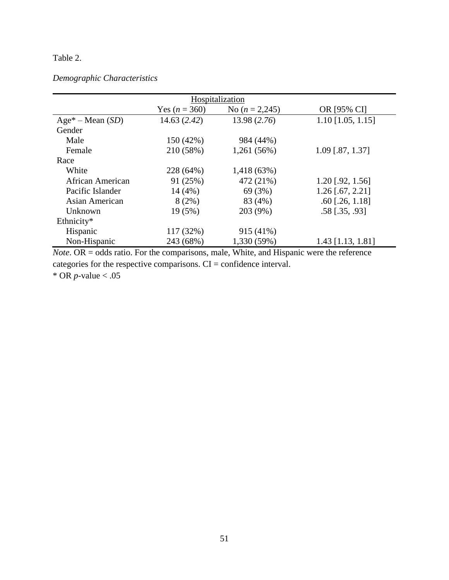# Table 2.

## *Demographic Characteristics*

| Hospitalization |                  |                      |  |  |  |
|-----------------|------------------|----------------------|--|--|--|
| Yes $(n = 360)$ | No $(n = 2,245)$ | OR [95% CI]          |  |  |  |
| 14.63(2.42)     | 13.98 (2.76)     | $1.10$ [1.05, 1.15]  |  |  |  |
|                 |                  |                      |  |  |  |
| 150 (42%)       | 984 (44%)        |                      |  |  |  |
| 210 (58%)       | 1,261 (56%)      | 1.09 [.87, 1.37]     |  |  |  |
|                 |                  |                      |  |  |  |
| 228 (64%)       | 1,418 (63%)      |                      |  |  |  |
| 91 (25%)        | 472 (21%)        | $1.20$ [.92, 1.56]   |  |  |  |
| 14(4%)          | 69 (3%)          | $1.26$ [.67, 2.21]   |  |  |  |
| 8(2%)           | 83 (4%)          | $.60$ [.26, 1.18]    |  |  |  |
| 19 (5%)         | 203 (9%)         | $.58$ [ $.35, .93$ ] |  |  |  |
|                 |                  |                      |  |  |  |
| 117 (32%)       | 915 (41%)        |                      |  |  |  |
| 243 (68%)       | 1,330 (59%)      | 1.43 [1.13, 1.81]    |  |  |  |
|                 |                  |                      |  |  |  |

*Note*. OR = odds ratio. For the comparisons, male, White, and Hispanic were the reference categories for the respective comparisons. CI = confidence interval.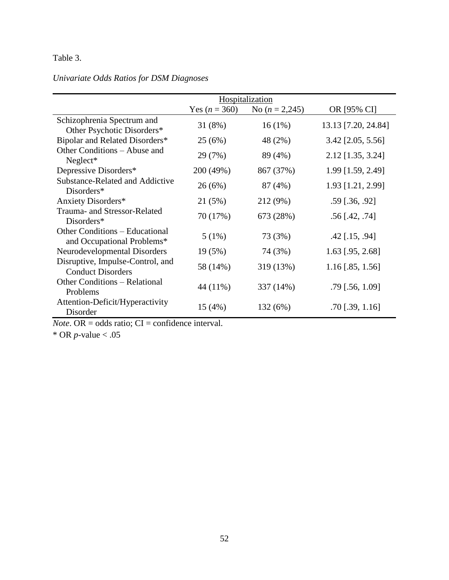# Table 3.

# *Univariate Odds Ratios for DSM Diagnoses*

|                                                              |                 | Hospitalization  |                       |
|--------------------------------------------------------------|-----------------|------------------|-----------------------|
|                                                              | Yes $(n = 360)$ | No $(n = 2,245)$ | OR [95% CI]           |
| Schizophrenia Spectrum and<br>Other Psychotic Disorders*     | 31 (8%)         | $16(1\%)$        | 13.13 [7.20, 24.84]   |
| Bipolar and Related Disorders*                               | 25(6%)          | 48 (2%)          | 3.42 [2.05, 5.56]     |
| Other Conditions – Abuse and<br>$Neglect*$                   | 29 (7%)         | 89 (4%)          | 2.12 [1.35, 3.24]     |
| Depressive Disorders*                                        | 200 (49%)       | 867 (37%)        | 1.99 [1.59, 2.49]     |
| Substance-Related and Addictive<br>Disorders*                | 26(6%)          | 87 (4%)          | 1.93 [1.21, 2.99]     |
| Anxiety Disorders*                                           | 21 (5%)         | 212 (9%)         | $.59$ [.36, .92]      |
| Trauma- and Stressor-Related<br>Disorders*                   | 70 (17%)        | 673 (28%)        | $.56$ [.42, .74]      |
| Other Conditions – Educational<br>and Occupational Problems* | 5(1%)           | 73 (3%)          | $.42$ [.15, .94]      |
| Neurodevelopmental Disorders                                 | 19 (5%)         | 74 (3%)          | $1.63$ [.95, 2.68]    |
| Disruptive, Impulse-Control, and<br><b>Conduct Disorders</b> | 58 (14%)        | 319 (13%)        | $1.16$ [.85, 1.56]    |
| <b>Other Conditions – Relational</b><br>Problems             | 44 (11%)        | 337 (14%)        | $.79$ [.56, 1.09]     |
| Attention-Deficit/Hyperactivity<br>Disorder                  | 15(4%)          | 132 (6%)         | $.70$ [ $.39$ , 1.16] |

*Note*. OR = odds ratio;  $CI =$  confidence interval.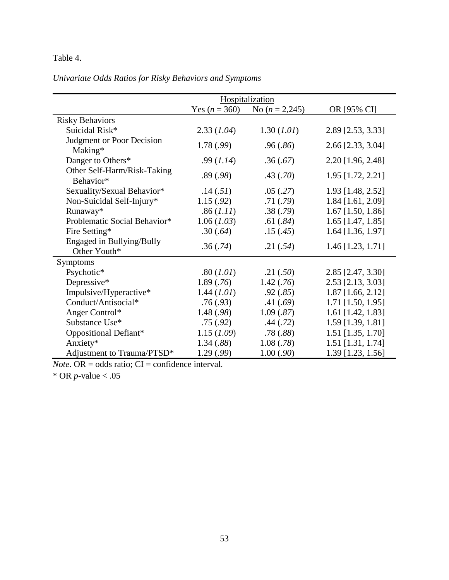# Table 4.

*Univariate Odds Ratios for Risky Behaviors and Symptoms*

|                                             | Hospitalization |                  |                     |
|---------------------------------------------|-----------------|------------------|---------------------|
|                                             | Yes $(n = 360)$ | No $(n = 2,245)$ | OR [95% CI]         |
| <b>Risky Behaviors</b>                      |                 |                  |                     |
| Suicidal Risk*                              | 2.33(1.04)      | 1.30 (1.01)      | 2.89 [2.53, 3.33]   |
| <b>Judgment or Poor Decision</b><br>Making* | 1.78 (.99)      | .96(.86)         | 2.66 [2.33, 3.04]   |
| Danger to Others*                           | .99(1.14)       | .36(.67)         | 2.20 [1.96, 2.48]   |
| Other Self-Harm/Risk-Taking<br>Behavior*    | .89(.98)        | .43(.70)         | 1.95 [1.72, 2.21]   |
| Sexuality/Sexual Behavior*                  | .14(.51)        | .05(.27)         | 1.93 [1.48, 2.52]   |
| Non-Suicidal Self-Injury*                   | 1.15(.92)       | .71(.79)         | 1.84 [1.61, 2.09]   |
| Runaway*                                    | .86 (1.11)      | .38(.79)         | $1.67$ [1.50, 1.86] |
| Problematic Social Behavior*                | 1.06(1.03)      | .61(.84)         | $1.65$ [1.47, 1.85] |
| Fire Setting*                               | .30(.64)        | .15(.45)         | 1.64 [1.36, 1.97]   |
| Engaged in Bullying/Bully<br>Other Youth*   | .36(.74)        | .21(.54)         | 1.46 [1.23, 1.71]   |
| <b>Symptoms</b>                             |                 |                  |                     |
| Psychotic*                                  | .80 (1.01)      | .21(.50)         | 2.85 [2.47, 3.30]   |
| Depressive*                                 | 1.89(.76)       | 1.42(.76)        | 2.53 [2.13, 3.03]   |
| Impulsive/Hyperactive*                      | 1.44 (1.01)     | .92(.85)         | $1.87$ [1.66, 2.12] |
| Conduct/Antisocial*                         | .76(.93)        | .41(.69)         | 1.71 [1.50, 1.95]   |
| Anger Control*                              | 1.48 (.98)      | 1.09(.87)        | 1.61 [1.42, 1.83]   |
| Substance Use*                              | .75(.92)        | .44(.72)         | 1.59 [1.39, 1.81]   |
| Oppositional Defiant*                       | 1.15(1.09)      | .78(.88)         | 1.51 [1.35, 1.70]   |
| Anxiety*                                    | 1.34(.88)       | 1.08(.78)        | 1.51 [1.31, 1.74]   |
| Adjustment to Trauma/PTSD*                  | 1.29 (.99)      | 1.00(.90)        | 1.39 [1.23, 1.56]   |

 $Note. OR = odds ratio; CI = confidence interval.$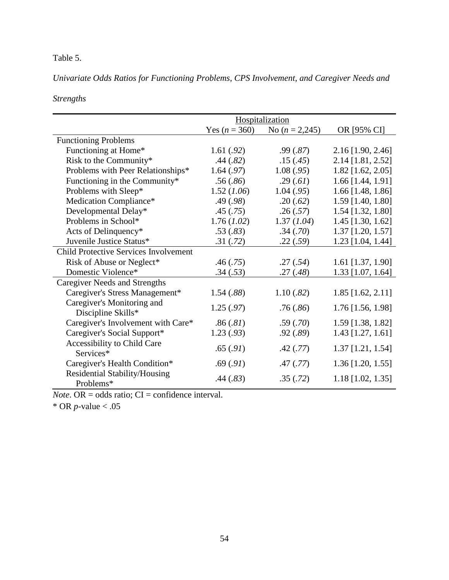# Table 5.

*Univariate Odds Ratios for Functioning Problems, CPS Involvement, and Caregiver Needs and* 

*Strengths*

|                                                   | Hospitalization |                  |                     |  |
|---------------------------------------------------|-----------------|------------------|---------------------|--|
|                                                   | Yes $(n = 360)$ | No $(n = 2,245)$ | OR [95% CI]         |  |
| <b>Functioning Problems</b>                       |                 |                  |                     |  |
| Functioning at Home*                              | 1.61(.92)       | .99(.87)         | 2.16 [1.90, 2.46]   |  |
| Risk to the Community*                            | .44(.82)        | .15(.45)         | 2.14 [1.81, 2.52]   |  |
| Problems with Peer Relationships*                 | 1.64(.97)       | 1.08(.95)        | $1.82$ [1.62, 2.05] |  |
| Functioning in the Community*                     | .56(.86)        | .29(.61)         | 1.66 [1.44, 1.91]   |  |
| Problems with Sleep*                              | 1.52(1.06)      | 1.04(.95)        | $1.66$ [1.48, 1.86] |  |
| Medication Compliance*                            | .49(.98)        | .20(.62)         | 1.59 [1.40, 1.80]   |  |
| Developmental Delay*                              | .45(.75)        | .26(.57)         | 1.54 [1.32, 1.80]   |  |
| Problems in School*                               | 1.76(1.02)      | 1.37(1.04)       | 1.45 [1.30, 1.62]   |  |
| Acts of Delinquency*                              | .53(.83)        | .34(.70)         | 1.37 [1.20, 1.57]   |  |
| Juvenile Justice Status*                          | .31(.72)        | .22(.59)         | 1.23 [1.04, 1.44]   |  |
| <b>Child Protective Services Involvement</b>      |                 |                  |                     |  |
| Risk of Abuse or Neglect*                         | .46(.75)        | .27(.54)         | 1.61 [1.37, 1.90]   |  |
| Domestic Violence*                                | .34(.53)        | .27(.48)         | 1.33 [1.07, 1.64]   |  |
| <b>Caregiver Needs and Strengths</b>              |                 |                  |                     |  |
| Caregiver's Stress Management*                    | 1.54(.88)       | 1.10(.82)        | $1.85$ [1.62, 2.11] |  |
| Caregiver's Monitoring and                        | 1.25(.97)       |                  | 1.76 [1.56, 1.98]   |  |
| Discipline Skills*                                |                 | .76(.86)         |                     |  |
| Caregiver's Involvement with Care*                | .86(.81)        | .59(.70)         | 1.59 [1.38, 1.82]   |  |
| Caregiver's Social Support*                       | 1.23(.93)       | .92(.89)         | 1.43 [1.27, 1.61]   |  |
| Accessibility to Child Care                       | .65(.91)        |                  | 1.37 [1.21, 1.54]   |  |
| Services*                                         |                 | .42(.77)         |                     |  |
| Caregiver's Health Condition*                     | .69(.91)        | .47(.77)         | $1.36$ [1.20, 1.55] |  |
| <b>Residential Stability/Housing</b><br>Problems* | .44(.83)        | .35(.72)         | $1.18$ [1.02, 1.35] |  |

 $Note. OR = odds ratio; CI = confidence interval.$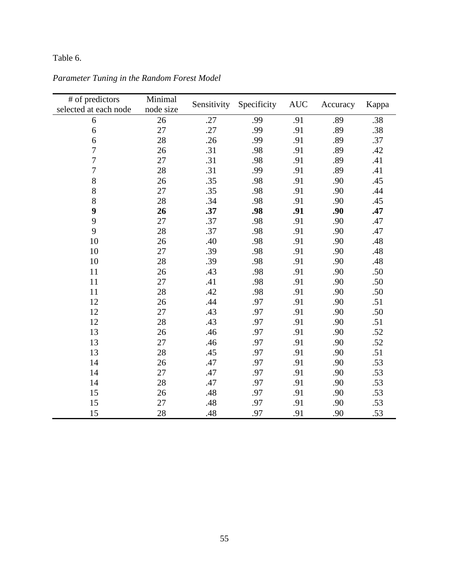# Table 6.

| # of predictors       | Minimal   | Sensitivity<br>Specificity |     | <b>AUC</b> | Accuracy |       |
|-----------------------|-----------|----------------------------|-----|------------|----------|-------|
| selected at each node | node size |                            |     |            |          | Kappa |
| 6                     | 26        | .27                        | .99 | .91        | .89      | .38   |
| 6                     | 27        | .27                        | .99 | .91        | .89      | .38   |
| 6                     | 28        | .26                        | .99 | .91        | .89      | .37   |
| $\overline{7}$        | 26        | .31                        | .98 | .91        | .89      | .42   |
| $\overline{7}$        | 27        | .31                        | .98 | .91        | .89      | .41   |
| $\overline{7}$        | 28        | .31                        | .99 | .91        | .89      | .41   |
| 8                     | 26        | .35                        | .98 | .91        | .90      | .45   |
| 8                     | 27        | .35                        | .98 | .91        | .90      | .44   |
| 8                     | 28        | .34                        | .98 | .91        | .90      | .45   |
| 9                     | 26        | .37                        | .98 | .91        | .90      | .47   |
| 9                     | 27        | .37                        | .98 | .91        | .90      | .47   |
| 9                     | 28        | .37                        | .98 | .91        | .90      | .47   |
| 10                    | 26        | .40                        | .98 | .91        | .90      | .48   |
| 10                    | 27        | .39                        | .98 | .91        | .90      | .48   |
| 10                    | 28        | .39                        | .98 | .91        | .90      | .48   |
| 11                    | 26        | .43                        | .98 | .91        | .90      | .50   |
| 11                    | 27        | .41                        | .98 | .91        | .90      | .50   |
| 11                    | 28        | .42                        | .98 | .91        | .90      | .50   |
| 12                    | 26        | .44                        | .97 | .91        | .90      | .51   |
| 12                    | 27        | .43                        | .97 | .91        | .90      | .50   |
| 12                    | 28        | .43                        | .97 | .91        | .90      | .51   |
| 13                    | 26        | .46                        | .97 | .91        | .90      | .52   |
| 13                    | 27        | .46                        | .97 | .91        | .90      | .52   |
| 13                    | 28        | .45                        | .97 | .91        | .90      | .51   |
| 14                    | 26        | .47                        | .97 | .91        | .90      | .53   |
| 14                    | 27        | .47                        | .97 | .91        | .90      | .53   |
| 14                    | 28        | .47                        | .97 | .91        | .90      | .53   |
| 15                    | 26        | .48                        | .97 | .91        | .90      | .53   |
| 15                    | 27        | .48                        | .97 | .91        | .90      | .53   |
| 15                    | 28        | .48                        | .97 | .91        | .90      | .53   |

*Parameter Tuning in the Random Forest Model*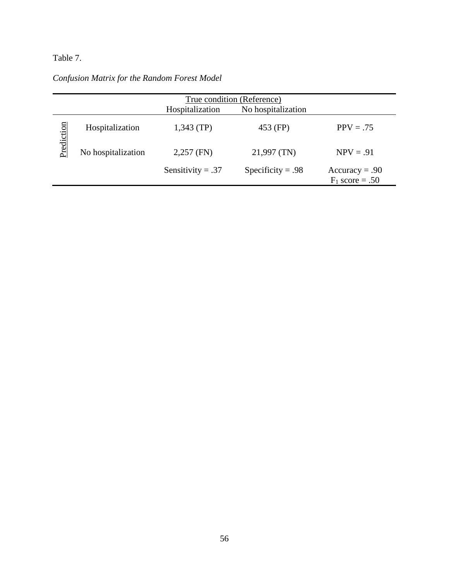# Table 7.

|  |  |  | Confusion Matrix for the Random Forest Model |
|--|--|--|----------------------------------------------|
|--|--|--|----------------------------------------------|

|            | True condition (Reference) |                     |                    |                                       |  |
|------------|----------------------------|---------------------|--------------------|---------------------------------------|--|
|            |                            | Hospitalization     | No hospitalization |                                       |  |
|            | Hospitalization            | $1,343$ (TP)        | 453 (FP)           | $PPV = .75$                           |  |
| Prediction | No hospitalization         | $2,257$ (FN)        | 21,997 (TN)        | $NPV = .91$                           |  |
|            |                            | Sensitivity = $.37$ | Specificity = .98  | $Accuracy = .90$<br>$F_1$ score = .50 |  |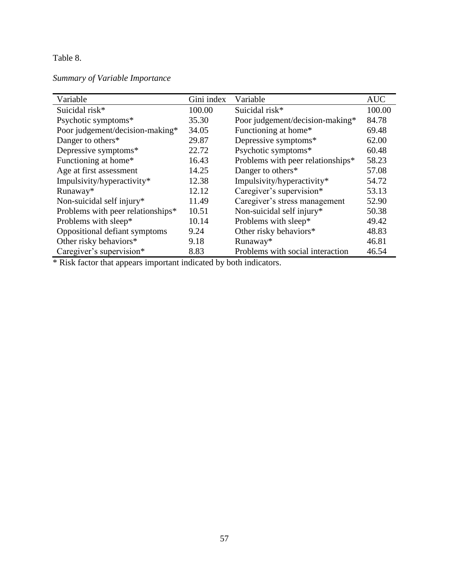# Table 8.

# *Summary of Variable Importance*

| Variable                          | Gini index | Variable                          | <b>AUC</b> |
|-----------------------------------|------------|-----------------------------------|------------|
| Suicidal risk*                    | 100.00     | Suicidal risk*                    | 100.00     |
| Psychotic symptoms*               | 35.30      | Poor judgement/decision-making*   | 84.78      |
| Poor judgement/decision-making*   | 34.05      | Functioning at home*              | 69.48      |
| Danger to others*                 | 29.87      | Depressive symptoms*              | 62.00      |
| Depressive symptoms*              | 22.72      | Psychotic symptoms*               | 60.48      |
| Functioning at home*              | 16.43      | Problems with peer relationships* | 58.23      |
| Age at first assessment           | 14.25      | Danger to others*                 | 57.08      |
| Impulsivity/hyperactivity*        | 12.38      | Impulsivity/hyperactivity*        | 54.72      |
| Runaway*                          | 12.12      | Caregiver's supervision*          | 53.13      |
| Non-suicidal self injury*         | 11.49      | Caregiver's stress management     | 52.90      |
| Problems with peer relationships* | 10.51      | Non-suicidal self injury*         | 50.38      |
| Problems with sleep*              | 10.14      | Problems with sleep*              | 49.42      |
| Oppositional defiant symptoms     | 9.24       | Other risky behaviors*            | 48.83      |
| Other risky behaviors*            | 9.18       | Runaway*                          | 46.81      |
| Caregiver's supervision*          | 8.83       | Problems with social interaction  | 46.54      |

\* Risk factor that appears important indicated by both indicators.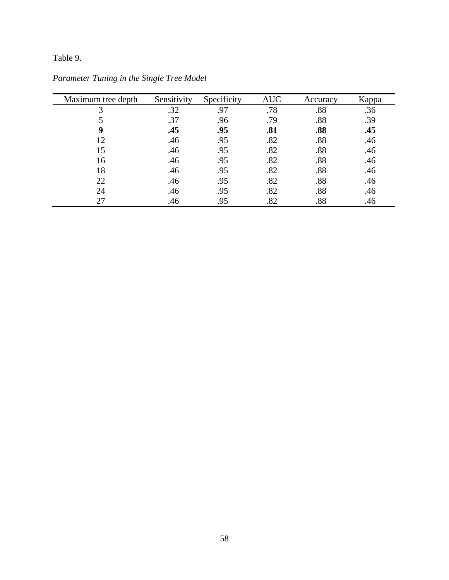# Table 9.

| Maximum tree depth | Sensitivity | Specificity | <b>AUC</b> | Accuracy | Kappa |
|--------------------|-------------|-------------|------------|----------|-------|
| 3                  | .32         | .97         | .78        | .88      | .36   |
|                    | .37         | .96         | .79        | .88      | .39   |
| 9                  | .45         | .95         | .81        | .88      | .45   |
| 12                 | .46         | .95         | .82        | .88      | .46   |
| 15                 | .46         | .95         | .82        | .88      | .46   |
| 16                 | .46         | .95         | .82        | .88      | .46   |
| 18                 | .46         | .95         | .82        | .88      | .46   |
| 22                 | .46         | .95         | .82        | .88      | .46   |
| 24                 | .46         | .95         | .82        | .88      | .46   |
| 27                 | .46         | .95         | .82        | .88      | .46   |

*Parameter Tuning in the Single Tree Model*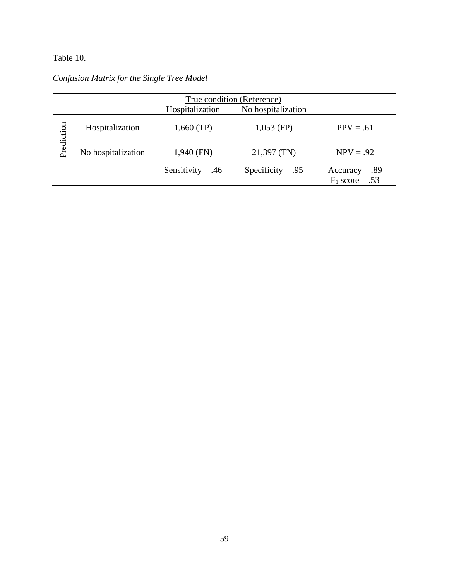# Table 10.

# *Confusion Matrix for the Single Tree Model*

|            | True condition (Reference) |                     |                    |                                       |  |  |  |
|------------|----------------------------|---------------------|--------------------|---------------------------------------|--|--|--|
|            |                            | Hospitalization     | No hospitalization |                                       |  |  |  |
| Prediction | Hospitalization            | $1,660$ (TP)        | $1,053$ (FP)       | $PPV = .61$                           |  |  |  |
|            | No hospitalization         | $1,940$ (FN)        | $21,397$ (TN)      | $NPV = .92$                           |  |  |  |
|            |                            | Sensitivity = $.46$ | Specificity = .95  | $Accuracy = .89$<br>$F_1$ score = .53 |  |  |  |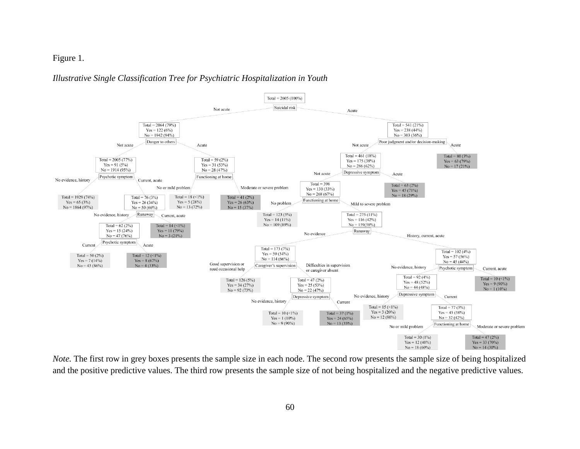Figure 1.

### *Illustrative Single Classification Tree for Psychiatric Hospitalization in Youth*



*Note*. The first row in grey boxes presents the sample size in each node. The second row presents the sample size of being hospitalized and the positive predictive values. The third row presents the sample size of not being hospitalized and the negative predictive values.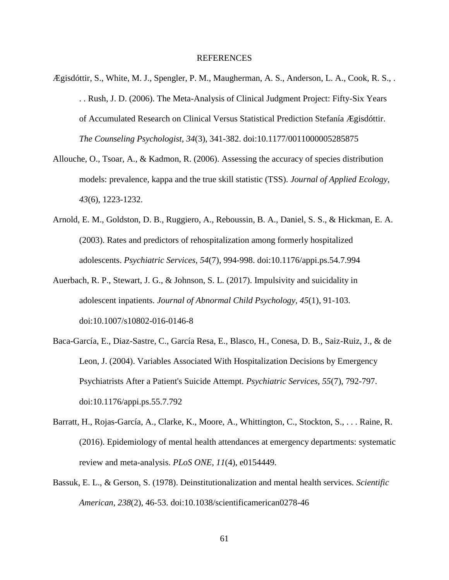## REFERENCES

- Ægisdóttir, S., White, M. J., Spengler, P. M., Maugherman, A. S., Anderson, L. A., Cook, R. S., . . . Rush, J. D. (2006). The Meta-Analysis of Clinical Judgment Project: Fifty-Six Years of Accumulated Research on Clinical Versus Statistical Prediction Stefanía Ægisdóttir. *The Counseling Psychologist, 34*(3), 341-382. doi:10.1177/0011000005285875
- Allouche, O., Tsoar, A., & Kadmon, R. (2006). Assessing the accuracy of species distribution models: prevalence, kappa and the true skill statistic (TSS). *Journal of Applied Ecology, 43*(6), 1223-1232.
- Arnold, E. M., Goldston, D. B., Ruggiero, A., Reboussin, B. A., Daniel, S. S., & Hickman, E. A. (2003). Rates and predictors of rehospitalization among formerly hospitalized adolescents. *Psychiatric Services, 54*(7), 994-998. doi:10.1176/appi.ps.54.7.994
- Auerbach, R. P., Stewart, J. G., & Johnson, S. L. (2017). Impulsivity and suicidality in adolescent inpatients. *Journal of Abnormal Child Psychology, 45*(1), 91-103. doi:10.1007/s10802-016-0146-8
- Baca-García, E., Diaz-Sastre, C., García Resa, E., Blasco, H., Conesa, D. B., Saiz-Ruiz, J., & de Leon, J. (2004). Variables Associated With Hospitalization Decisions by Emergency Psychiatrists After a Patient's Suicide Attempt. *Psychiatric Services, 55*(7), 792-797. doi:10.1176/appi.ps.55.7.792
- Barratt, H., Rojas-García, A., Clarke, K., Moore, A., Whittington, C., Stockton, S., . . . Raine, R. (2016). Epidemiology of mental health attendances at emergency departments: systematic review and meta-analysis. *PLoS ONE, 11*(4), e0154449.
- Bassuk, E. L., & Gerson, S. (1978). Deinstitutionalization and mental health services. *Scientific American, 238*(2), 46-53. doi:10.1038/scientificamerican0278-46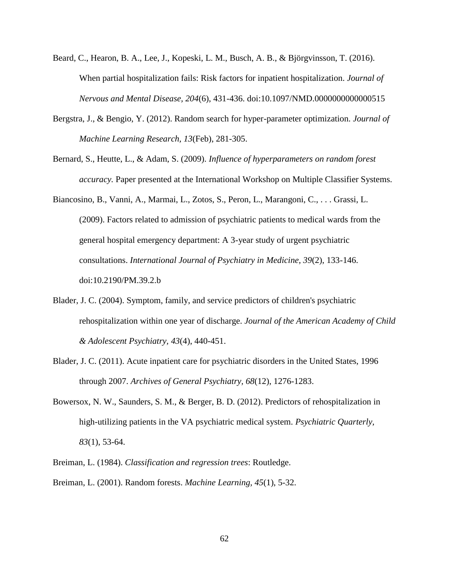- Beard, C., Hearon, B. A., Lee, J., Kopeski, L. M., Busch, A. B., & Björgvinsson, T. (2016). When partial hospitalization fails: Risk factors for inpatient hospitalization. *Journal of Nervous and Mental Disease, 204*(6), 431-436. doi:10.1097/NMD.0000000000000515
- Bergstra, J., & Bengio, Y. (2012). Random search for hyper-parameter optimization. *Journal of Machine Learning Research, 13*(Feb), 281-305.
- Bernard, S., Heutte, L., & Adam, S. (2009). *Influence of hyperparameters on random forest accuracy.* Paper presented at the International Workshop on Multiple Classifier Systems.
- Biancosino, B., Vanni, A., Marmai, L., Zotos, S., Peron, L., Marangoni, C., . . . Grassi, L. (2009). Factors related to admission of psychiatric patients to medical wards from the general hospital emergency department: A 3-year study of urgent psychiatric consultations. *International Journal of Psychiatry in Medicine, 39*(2), 133-146. doi:10.2190/PM.39.2.b
- Blader, J. C. (2004). Symptom, family, and service predictors of children's psychiatric rehospitalization within one year of discharge. *Journal of the American Academy of Child & Adolescent Psychiatry, 43*(4), 440-451.
- Blader, J. C. (2011). Acute inpatient care for psychiatric disorders in the United States, 1996 through 2007. *Archives of General Psychiatry, 68*(12), 1276-1283.
- Bowersox, N. W., Saunders, S. M., & Berger, B. D. (2012). Predictors of rehospitalization in high-utilizing patients in the VA psychiatric medical system. *Psychiatric Quarterly, 83*(1), 53-64.
- Breiman, L. (1984). *Classification and regression trees*: Routledge. Breiman, L. (2001). Random forests. *Machine Learning, 45*(1), 5-32.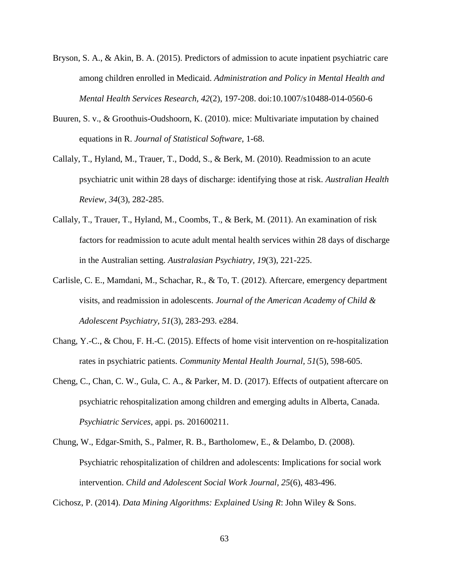- Bryson, S. A., & Akin, B. A. (2015). Predictors of admission to acute inpatient psychiatric care among children enrolled in Medicaid. *Administration and Policy in Mental Health and Mental Health Services Research, 42*(2), 197-208. doi:10.1007/s10488-014-0560-6
- Buuren, S. v., & Groothuis-Oudshoorn, K. (2010). mice: Multivariate imputation by chained equations in R. *Journal of Statistical Software*, 1-68.
- Callaly, T., Hyland, M., Trauer, T., Dodd, S., & Berk, M. (2010). Readmission to an acute psychiatric unit within 28 days of discharge: identifying those at risk. *Australian Health Review, 34*(3), 282-285.
- Callaly, T., Trauer, T., Hyland, M., Coombs, T., & Berk, M. (2011). An examination of risk factors for readmission to acute adult mental health services within 28 days of discharge in the Australian setting. *Australasian Psychiatry, 19*(3), 221-225.
- Carlisle, C. E., Mamdani, M., Schachar, R., & To, T. (2012). Aftercare, emergency department visits, and readmission in adolescents. *Journal of the American Academy of Child & Adolescent Psychiatry, 51*(3), 283-293. e284.
- Chang, Y.-C., & Chou, F. H.-C. (2015). Effects of home visit intervention on re-hospitalization rates in psychiatric patients. *Community Mental Health Journal, 51*(5), 598-605.
- Cheng, C., Chan, C. W., Gula, C. A., & Parker, M. D. (2017). Effects of outpatient aftercare on psychiatric rehospitalization among children and emerging adults in Alberta, Canada. *Psychiatric Services*, appi. ps. 201600211.
- Chung, W., Edgar-Smith, S., Palmer, R. B., Bartholomew, E., & Delambo, D. (2008). Psychiatric rehospitalization of children and adolescents: Implications for social work intervention. *Child and Adolescent Social Work Journal, 25*(6), 483-496.

Cichosz, P. (2014). *Data Mining Algorithms: Explained Using R*: John Wiley & Sons.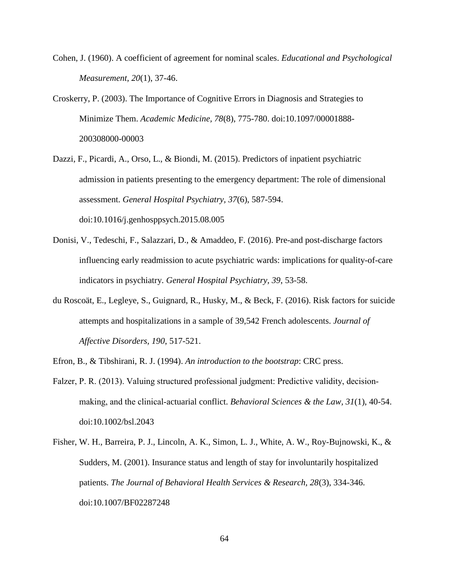- Cohen, J. (1960). A coefficient of agreement for nominal scales. *Educational and Psychological Measurement, 20*(1), 37-46.
- Croskerry, P. (2003). The Importance of Cognitive Errors in Diagnosis and Strategies to Minimize Them. *Academic Medicine, 78*(8), 775-780. doi:10.1097/00001888- 200308000-00003
- Dazzi, F., Picardi, A., Orso, L., & Biondi, M. (2015). Predictors of inpatient psychiatric admission in patients presenting to the emergency department: The role of dimensional assessment. *General Hospital Psychiatry, 37*(6), 587-594. doi:10.1016/j.genhosppsych.2015.08.005
- Donisi, V., Tedeschi, F., Salazzari, D., & Amaddeo, F. (2016). Pre-and post-discharge factors influencing early readmission to acute psychiatric wards: implications for quality-of-care indicators in psychiatry. *General Hospital Psychiatry, 39*, 53-58.
- du Roscoät, E., Legleye, S., Guignard, R., Husky, M., & Beck, F. (2016). Risk factors for suicide attempts and hospitalizations in a sample of 39,542 French adolescents. *Journal of Affective Disorders, 190*, 517-521.
- Efron, B., & Tibshirani, R. J. (1994). *An introduction to the bootstrap*: CRC press.
- Falzer, P. R. (2013). Valuing structured professional judgment: Predictive validity, decisionmaking, and the clinical‐actuarial conflict. *Behavioral Sciences & the Law, 31*(1), 40-54. doi:10.1002/bsl.2043
- Fisher, W. H., Barreira, P. J., Lincoln, A. K., Simon, L. J., White, A. W., Roy-Bujnowski, K., & Sudders, M. (2001). Insurance status and length of stay for involuntarily hospitalized patients. *The Journal of Behavioral Health Services & Research, 28*(3), 334-346. doi:10.1007/BF02287248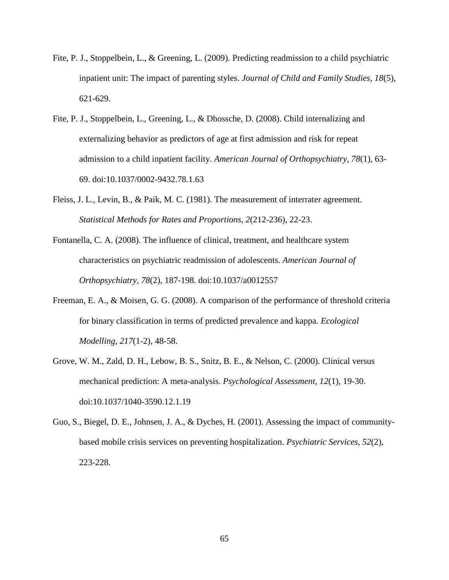- Fite, P. J., Stoppelbein, L., & Greening, L. (2009). Predicting readmission to a child psychiatric inpatient unit: The impact of parenting styles. *Journal of Child and Family Studies, 18*(5), 621-629.
- Fite, P. J., Stoppelbein, L., Greening, L., & Dhossche, D. (2008). Child internalizing and externalizing behavior as predictors of age at first admission and risk for repeat admission to a child inpatient facility. *American Journal of Orthopsychiatry, 78*(1), 63- 69. doi:10.1037/0002-9432.78.1.63
- Fleiss, J. L., Levin, B., & Paik, M. C. (1981). The measurement of interrater agreement. *Statistical Methods for Rates and Proportions, 2*(212-236), 22-23.
- Fontanella, C. A. (2008). The influence of clinical, treatment, and healthcare system characteristics on psychiatric readmission of adolescents. *American Journal of Orthopsychiatry, 78*(2), 187-198. doi:10.1037/a0012557
- Freeman, E. A., & Moisen, G. G. (2008). A comparison of the performance of threshold criteria for binary classification in terms of predicted prevalence and kappa. *Ecological Modelling, 217*(1-2), 48-58.
- Grove, W. M., Zald, D. H., Lebow, B. S., Snitz, B. E., & Nelson, C. (2000). Clinical versus mechanical prediction: A meta-analysis. *Psychological Assessment, 12*(1), 19-30. doi:10.1037/1040-3590.12.1.19
- Guo, S., Biegel, D. E., Johnsen, J. A., & Dyches, H. (2001). Assessing the impact of communitybased mobile crisis services on preventing hospitalization. *Psychiatric Services, 52*(2), 223-228.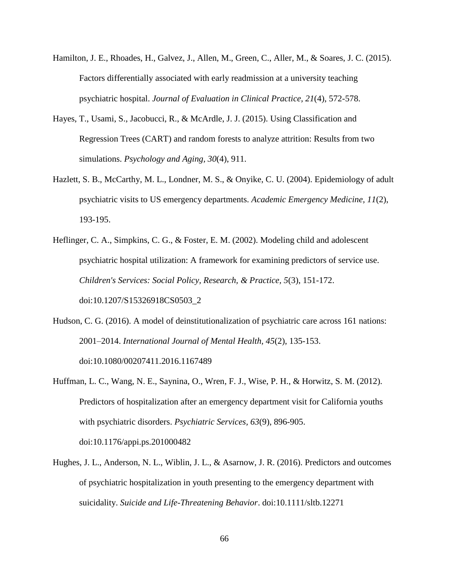- Hamilton, J. E., Rhoades, H., Galvez, J., Allen, M., Green, C., Aller, M., & Soares, J. C. (2015). Factors differentially associated with early readmission at a university teaching psychiatric hospital. *Journal of Evaluation in Clinical Practice, 21*(4), 572-578.
- Hayes, T., Usami, S., Jacobucci, R., & McArdle, J. J. (2015). Using Classification and Regression Trees (CART) and random forests to analyze attrition: Results from two simulations. *Psychology and Aging, 30*(4), 911.
- Hazlett, S. B., McCarthy, M. L., Londner, M. S., & Onyike, C. U. (2004). Epidemiology of adult psychiatric visits to US emergency departments. *Academic Emergency Medicine, 11*(2), 193-195.
- Heflinger, C. A., Simpkins, C. G., & Foster, E. M. (2002). Modeling child and adolescent psychiatric hospital utilization: A framework for examining predictors of service use. *Children's Services: Social Policy, Research, & Practice, 5*(3), 151-172. doi:10.1207/S15326918CS0503\_2
- Hudson, C. G. (2016). A model of deinstitutionalization of psychiatric care across 161 nations: 2001–2014. *International Journal of Mental Health, 45*(2), 135-153. doi:10.1080/00207411.2016.1167489
- Huffman, L. C., Wang, N. E., Saynina, O., Wren, F. J., Wise, P. H., & Horwitz, S. M. (2012). Predictors of hospitalization after an emergency department visit for California youths with psychiatric disorders. *Psychiatric Services, 63*(9), 896-905. doi:10.1176/appi.ps.201000482
- Hughes, J. L., Anderson, N. L., Wiblin, J. L., & Asarnow, J. R. (2016). Predictors and outcomes of psychiatric hospitalization in youth presenting to the emergency department with suicidality. *Suicide and Life-Threatening Behavior*. doi:10.1111/sltb.12271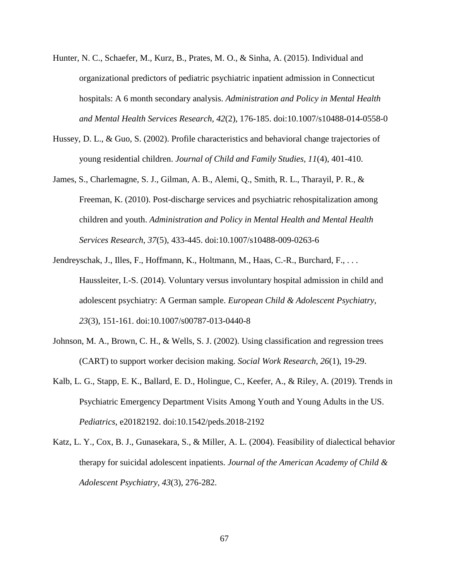- Hunter, N. C., Schaefer, M., Kurz, B., Prates, M. O., & Sinha, A. (2015). Individual and organizational predictors of pediatric psychiatric inpatient admission in Connecticut hospitals: A 6 month secondary analysis. *Administration and Policy in Mental Health and Mental Health Services Research, 42*(2), 176-185. doi:10.1007/s10488-014-0558-0
- Hussey, D. L., & Guo, S. (2002). Profile characteristics and behavioral change trajectories of young residential children. *Journal of Child and Family Studies, 11*(4), 401-410.
- James, S., Charlemagne, S. J., Gilman, A. B., Alemi, Q., Smith, R. L., Tharayil, P. R., & Freeman, K. (2010). Post-discharge services and psychiatric rehospitalization among children and youth. *Administration and Policy in Mental Health and Mental Health Services Research, 37*(5), 433-445. doi:10.1007/s10488-009-0263-6
- Jendreyschak, J., Illes, F., Hoffmann, K., Holtmann, M., Haas, C.-R., Burchard, F., ... Haussleiter, I.-S. (2014). Voluntary versus involuntary hospital admission in child and adolescent psychiatry: A German sample. *European Child & Adolescent Psychiatry, 23*(3), 151-161. doi:10.1007/s00787-013-0440-8
- Johnson, M. A., Brown, C. H., & Wells, S. J. (2002). Using classification and regression trees (CART) to support worker decision making. *Social Work Research, 26*(1), 19-29.
- Kalb, L. G., Stapp, E. K., Ballard, E. D., Holingue, C., Keefer, A., & Riley, A. (2019). Trends in Psychiatric Emergency Department Visits Among Youth and Young Adults in the US. *Pediatrics*, e20182192. doi:10.1542/peds.2018-2192
- Katz, L. Y., Cox, B. J., Gunasekara, S., & Miller, A. L. (2004). Feasibility of dialectical behavior therapy for suicidal adolescent inpatients. *Journal of the American Academy of Child & Adolescent Psychiatry, 43*(3), 276-282.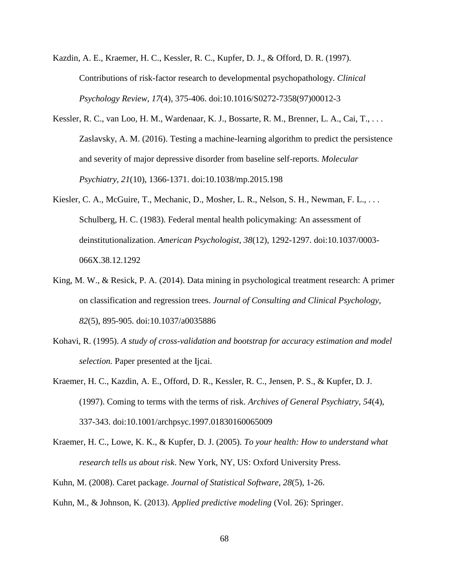- Kazdin, A. E., Kraemer, H. C., Kessler, R. C., Kupfer, D. J., & Offord, D. R. (1997). Contributions of risk-factor research to developmental psychopathology. *Clinical Psychology Review, 17*(4), 375-406. doi:10.1016/S0272-7358(97)00012-3
- Kessler, R. C., van Loo, H. M., Wardenaar, K. J., Bossarte, R. M., Brenner, L. A., Cai, T., . . . Zaslavsky, A. M. (2016). Testing a machine-learning algorithm to predict the persistence and severity of major depressive disorder from baseline self-reports. *Molecular Psychiatry, 21*(10), 1366-1371. doi:10.1038/mp.2015.198
- Kiesler, C. A., McGuire, T., Mechanic, D., Mosher, L. R., Nelson, S. H., Newman, F. L., ... Schulberg, H. C. (1983). Federal mental health policymaking: An assessment of deinstitutionalization. *American Psychologist, 38*(12), 1292-1297. doi:10.1037/0003- 066X.38.12.1292
- King, M. W., & Resick, P. A. (2014). Data mining in psychological treatment research: A primer on classification and regression trees. *Journal of Consulting and Clinical Psychology, 82*(5), 895-905. doi:10.1037/a0035886
- Kohavi, R. (1995). *A study of cross-validation and bootstrap for accuracy estimation and model selection.* Paper presented at the Ijcai.
- Kraemer, H. C., Kazdin, A. E., Offord, D. R., Kessler, R. C., Jensen, P. S., & Kupfer, D. J. (1997). Coming to terms with the terms of risk. *Archives of General Psychiatry, 54*(4), 337-343. doi:10.1001/archpsyc.1997.01830160065009
- Kraemer, H. C., Lowe, K. K., & Kupfer, D. J. (2005). *To your health: How to understand what research tells us about risk*. New York, NY, US: Oxford University Press.
- Kuhn, M. (2008). Caret package. *Journal of Statistical Software, 28*(5), 1-26.

Kuhn, M., & Johnson, K. (2013). *Applied predictive modeling* (Vol. 26): Springer.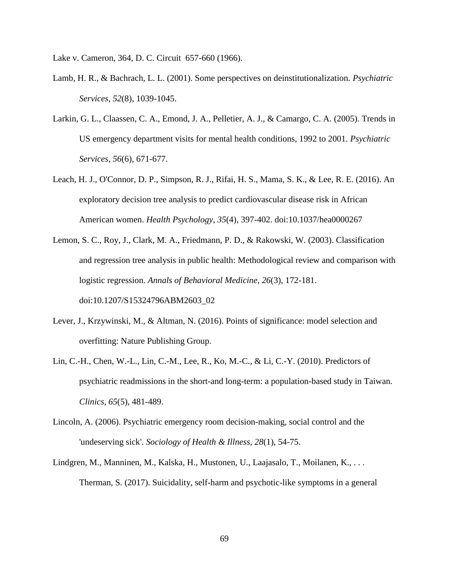Lake v. Cameron, 364, D. C. Circuit 657-660 (1966).

- Lamb, H. R., & Bachrach, L. L. (2001). Some perspectives on deinstitutionalization. *Psychiatric Services, 52*(8), 1039-1045.
- Larkin, G. L., Claassen, C. A., Emond, J. A., Pelletier, A. J., & Camargo, C. A. (2005). Trends in US emergency department visits for mental health conditions, 1992 to 2001. *Psychiatric Services, 56*(6), 671-677.
- Leach, H. J., O'Connor, D. P., Simpson, R. J., Rifai, H. S., Mama, S. K., & Lee, R. E. (2016). An exploratory decision tree analysis to predict cardiovascular disease risk in African American women. *Health Psychology, 35*(4), 397-402. doi:10.1037/hea0000267
- Lemon, S. C., Roy, J., Clark, M. A., Friedmann, P. D., & Rakowski, W. (2003). Classification and regression tree analysis in public health: Methodological review and comparison with logistic regression. *Annals of Behavioral Medicine, 26*(3), 172-181. doi:10.1207/S15324796ABM2603\_02
- Lever, J., Krzywinski, M., & Altman, N. (2016). Points of significance: model selection and overfitting: Nature Publishing Group.
- Lin, C.-H., Chen, W.-L., Lin, C.-M., Lee, R., Ko, M.-C., & Li, C.-Y. (2010). Predictors of psychiatric readmissions in the short-and long-term: a population-based study in Taiwan. *Clinics, 65*(5), 481-489.
- Lincoln, A. (2006). Psychiatric emergency room decision-making, social control and the 'undeserving sick'. *Sociology of Health & Illness, 28*(1), 54-75.
- Lindgren, M., Manninen, M., Kalska, H., Mustonen, U., Laajasalo, T., Moilanen, K., . . . Therman, S. (2017). Suicidality, self-harm and psychotic-like symptoms in a general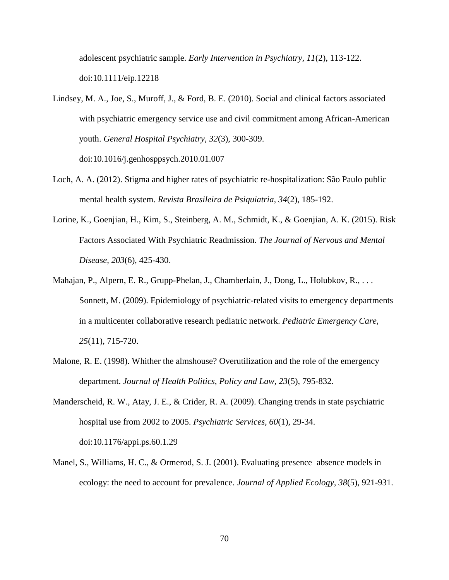adolescent psychiatric sample. *Early Intervention in Psychiatry, 11*(2), 113-122. doi:10.1111/eip.12218

- Lindsey, M. A., Joe, S., Muroff, J., & Ford, B. E. (2010). Social and clinical factors associated with psychiatric emergency service use and civil commitment among African-American youth. *General Hospital Psychiatry, 32*(3), 300-309. doi:10.1016/j.genhosppsych.2010.01.007
- Loch, A. A. (2012). Stigma and higher rates of psychiatric re-hospitalization: São Paulo public mental health system. *Revista Brasileira de Psiquiatria, 34*(2), 185-192.
- Lorine, K., Goenjian, H., Kim, S., Steinberg, A. M., Schmidt, K., & Goenjian, A. K. (2015). Risk Factors Associated With Psychiatric Readmission. *The Journal of Nervous and Mental Disease, 203*(6), 425-430.
- Mahajan, P., Alpern, E. R., Grupp-Phelan, J., Chamberlain, J., Dong, L., Holubkov, R., . . . Sonnett, M. (2009). Epidemiology of psychiatric-related visits to emergency departments in a multicenter collaborative research pediatric network. *Pediatric Emergency Care, 25*(11), 715-720.
- Malone, R. E. (1998). Whither the almshouse? Overutilization and the role of the emergency department. *Journal of Health Politics, Policy and Law, 23*(5), 795-832.
- Manderscheid, R. W., Atay, J. E., & Crider, R. A. (2009). Changing trends in state psychiatric hospital use from 2002 to 2005. *Psychiatric Services, 60*(1), 29-34. doi:10.1176/appi.ps.60.1.29
- Manel, S., Williams, H. C., & Ormerod, S. J. (2001). Evaluating presence–absence models in ecology: the need to account for prevalence. *Journal of Applied Ecology, 38*(5), 921-931.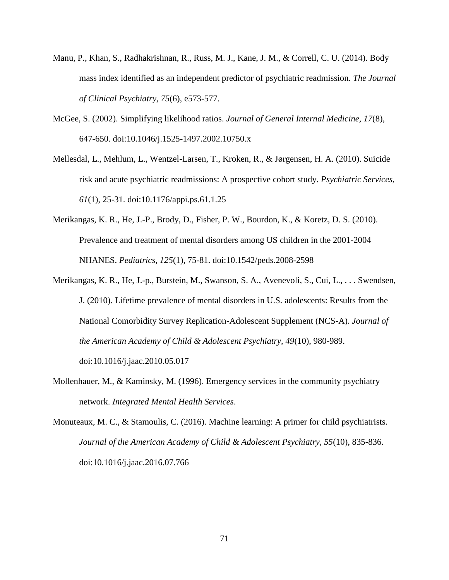- Manu, P., Khan, S., Radhakrishnan, R., Russ, M. J., Kane, J. M., & Correll, C. U. (2014). Body mass index identified as an independent predictor of psychiatric readmission. *The Journal of Clinical Psychiatry, 75*(6), e573-577.
- McGee, S. (2002). Simplifying likelihood ratios. *Journal of General Internal Medicine, 17*(8), 647-650. doi:10.1046/j.1525-1497.2002.10750.x
- Mellesdal, L., Mehlum, L., Wentzel-Larsen, T., Kroken, R., & Jørgensen, H. A. (2010). Suicide risk and acute psychiatric readmissions: A prospective cohort study. *Psychiatric Services, 61*(1), 25-31. doi:10.1176/appi.ps.61.1.25
- Merikangas, K. R., He, J.-P., Brody, D., Fisher, P. W., Bourdon, K., & Koretz, D. S. (2010). Prevalence and treatment of mental disorders among US children in the 2001-2004 NHANES. *Pediatrics, 125*(1), 75-81. doi:10.1542/peds.2008-2598
- Merikangas, K. R., He, J.-p., Burstein, M., Swanson, S. A., Avenevoli, S., Cui, L., . . . Swendsen, J. (2010). Lifetime prevalence of mental disorders in U.S. adolescents: Results from the National Comorbidity Survey Replication-Adolescent Supplement (NCS-A). *Journal of the American Academy of Child & Adolescent Psychiatry, 49*(10), 980-989. doi:10.1016/j.jaac.2010.05.017
- Mollenhauer, M., & Kaminsky, M. (1996). Emergency services in the community psychiatry network. *Integrated Mental Health Services*.
- Monuteaux, M. C., & Stamoulis, C. (2016). Machine learning: A primer for child psychiatrists. *Journal of the American Academy of Child & Adolescent Psychiatry, 55*(10), 835-836. doi:10.1016/j.jaac.2016.07.766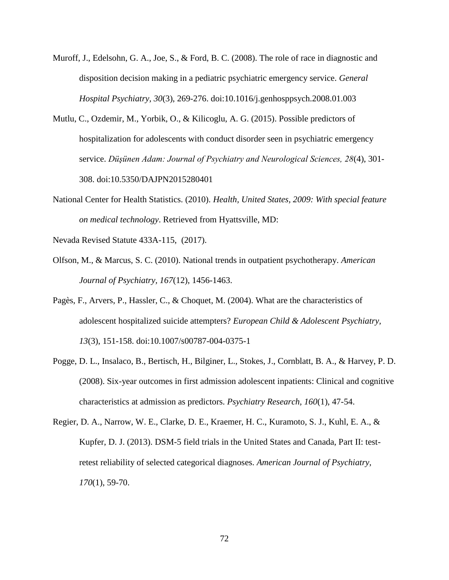- Muroff, J., Edelsohn, G. A., Joe, S., & Ford, B. C. (2008). The role of race in diagnostic and disposition decision making in a pediatric psychiatric emergency service. *General Hospital Psychiatry, 30*(3), 269-276. doi:10.1016/j.genhosppsych.2008.01.003
- Mutlu, C., Ozdemir, M., Yorbik, O., & Kilicoglu, A. G. (2015). Possible predictors of hospitalization for adolescents with conduct disorder seen in psychiatric emergency service. *Düşünen Adam: Journal of Psychiatry and Neurological Sciences, 28*(4), 301- 308. doi:10.5350/DAJPN2015280401
- National Center for Health Statistics. (2010). *Health, United States, 2009: With special feature on medical technology*. Retrieved from Hyattsville, MD:

Nevada Revised Statute 433A-115, (2017).

- Olfson, M., & Marcus, S. C. (2010). National trends in outpatient psychotherapy. *American Journal of Psychiatry, 167*(12), 1456-1463.
- Pagès, F., Arvers, P., Hassler, C., & Choquet, M. (2004). What are the characteristics of adolescent hospitalized suicide attempters? *European Child & Adolescent Psychiatry, 13*(3), 151-158. doi:10.1007/s00787-004-0375-1
- Pogge, D. L., Insalaco, B., Bertisch, H., Bilginer, L., Stokes, J., Cornblatt, B. A., & Harvey, P. D. (2008). Six-year outcomes in first admission adolescent inpatients: Clinical and cognitive characteristics at admission as predictors. *Psychiatry Research, 160*(1), 47-54.
- Regier, D. A., Narrow, W. E., Clarke, D. E., Kraemer, H. C., Kuramoto, S. J., Kuhl, E. A., & Kupfer, D. J. (2013). DSM-5 field trials in the United States and Canada, Part II: testretest reliability of selected categorical diagnoses. *American Journal of Psychiatry, 170*(1), 59-70.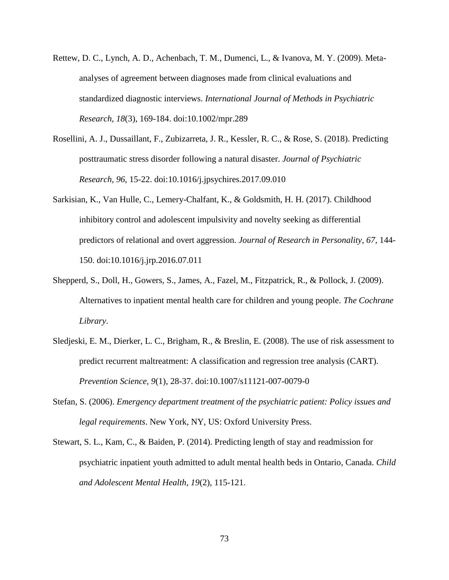- Rettew, D. C., Lynch, A. D., Achenbach, T. M., Dumenci, L., & Ivanova, M. Y. (2009). Metaanalyses of agreement between diagnoses made from clinical evaluations and standardized diagnostic interviews. *International Journal of Methods in Psychiatric Research, 18*(3), 169-184. doi:10.1002/mpr.289
- Rosellini, A. J., Dussaillant, F., Zubizarreta, J. R., Kessler, R. C., & Rose, S. (2018). Predicting posttraumatic stress disorder following a natural disaster. *Journal of Psychiatric Research, 96*, 15-22. doi:10.1016/j.jpsychires.2017.09.010
- Sarkisian, K., Van Hulle, C., Lemery-Chalfant, K., & Goldsmith, H. H. (2017). Childhood inhibitory control and adolescent impulsivity and novelty seeking as differential predictors of relational and overt aggression. *Journal of Research in Personality, 67*, 144- 150. doi:10.1016/j.jrp.2016.07.011
- Shepperd, S., Doll, H., Gowers, S., James, A., Fazel, M., Fitzpatrick, R., & Pollock, J. (2009). Alternatives to inpatient mental health care for children and young people. *The Cochrane Library*.
- Sledjeski, E. M., Dierker, L. C., Brigham, R., & Breslin, E. (2008). The use of risk assessment to predict recurrent maltreatment: A classification and regression tree analysis (CART). *Prevention Science, 9*(1), 28-37. doi:10.1007/s11121-007-0079-0
- Stefan, S. (2006). *Emergency department treatment of the psychiatric patient: Policy issues and legal requirements*. New York, NY, US: Oxford University Press.
- Stewart, S. L., Kam, C., & Baiden, P. (2014). Predicting length of stay and readmission for psychiatric inpatient youth admitted to adult mental health beds in Ontario, Canada. *Child and Adolescent Mental Health, 19*(2), 115-121.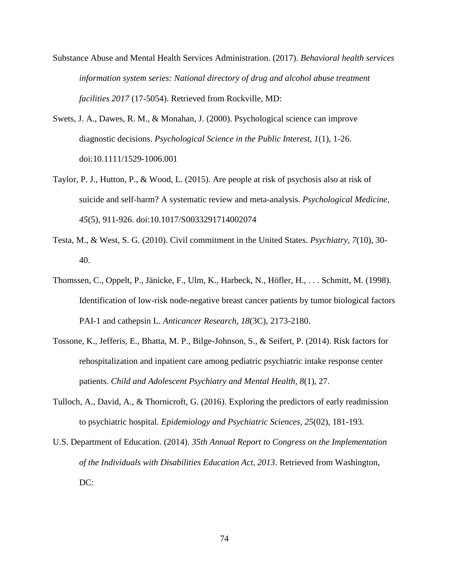- Substance Abuse and Mental Health Services Administration. (2017). *Behavioral health services information system series: National directory of drug and alcohol abuse treatment facilities 2017* (17-5054). Retrieved from Rockville, MD:
- Swets, J. A., Dawes, R. M., & Monahan, J. (2000). Psychological science can improve diagnostic decisions. *Psychological Science in the Public Interest, 1*(1), 1-26. doi:10.1111/1529-1006.001
- Taylor, P. J., Hutton, P., & Wood, L. (2015). Are people at risk of psychosis also at risk of suicide and self-harm? A systematic review and meta-analysis. *Psychological Medicine, 45*(5), 911-926. doi:10.1017/S0033291714002074
- Testa, M., & West, S. G. (2010). Civil commitment in the United States. *Psychiatry, 7*(10), 30- 40.
- Thomssen, C., Oppelt, P., Jänicke, F., Ulm, K., Harbeck, N., Höfler, H., . . . Schmitt, M. (1998). Identification of low-risk node-negative breast cancer patients by tumor biological factors PAI-1 and cathepsin L. *Anticancer Research, 18*(3C), 2173-2180.
- Tossone, K., Jefferis, E., Bhatta, M. P., Bilge-Johnson, S., & Seifert, P. (2014). Risk factors for rehospitalization and inpatient care among pediatric psychiatric intake response center patients. *Child and Adolescent Psychiatry and Mental Health, 8*(1), 27.
- Tulloch, A., David, A., & Thornicroft, G. (2016). Exploring the predictors of early readmission to psychiatric hospital. *Epidemiology and Psychiatric Sciences, 25*(02), 181-193.
- U.S. Department of Education. (2014). *35th Annual Report to Congress on the Implementation of the Individuals with Disabilities Education Act, 2013*. Retrieved from Washington, DC: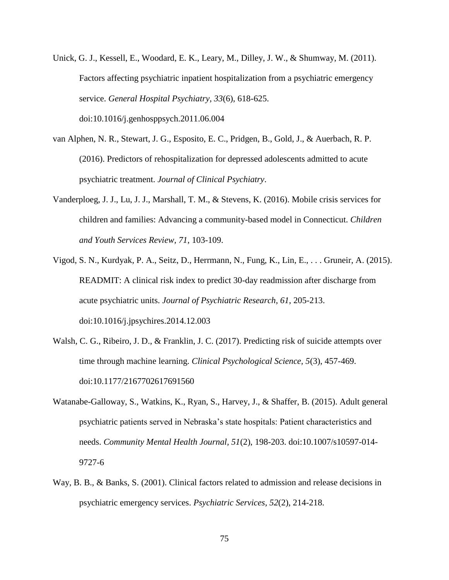- Unick, G. J., Kessell, E., Woodard, E. K., Leary, M., Dilley, J. W., & Shumway, M. (2011). Factors affecting psychiatric inpatient hospitalization from a psychiatric emergency service. *General Hospital Psychiatry, 33*(6), 618-625. doi:10.1016/j.genhosppsych.2011.06.004
- van Alphen, N. R., Stewart, J. G., Esposito, E. C., Pridgen, B., Gold, J., & Auerbach, R. P. (2016). Predictors of rehospitalization for depressed adolescents admitted to acute psychiatric treatment. *Journal of Clinical Psychiatry*.
- Vanderploeg, J. J., Lu, J. J., Marshall, T. M., & Stevens, K. (2016). Mobile crisis services for children and families: Advancing a community-based model in Connecticut. *Children and Youth Services Review, 71*, 103-109.
- Vigod, S. N., Kurdyak, P. A., Seitz, D., Herrmann, N., Fung, K., Lin, E., . . . Gruneir, A. (2015). READMIT: A clinical risk index to predict 30-day readmission after discharge from acute psychiatric units. *Journal of Psychiatric Research, 61*, 205-213. doi:10.1016/j.jpsychires.2014.12.003
- Walsh, C. G., Ribeiro, J. D., & Franklin, J. C. (2017). Predicting risk of suicide attempts over time through machine learning. *Clinical Psychological Science, 5*(3), 457-469. doi:10.1177/2167702617691560
- Watanabe-Galloway, S., Watkins, K., Ryan, S., Harvey, J., & Shaffer, B. (2015). Adult general psychiatric patients served in Nebraska's state hospitals: Patient characteristics and needs. *Community Mental Health Journal, 51*(2), 198-203. doi:10.1007/s10597-014- 9727-6
- Way, B. B., & Banks, S. (2001). Clinical factors related to admission and release decisions in psychiatric emergency services. *Psychiatric Services, 52*(2), 214-218.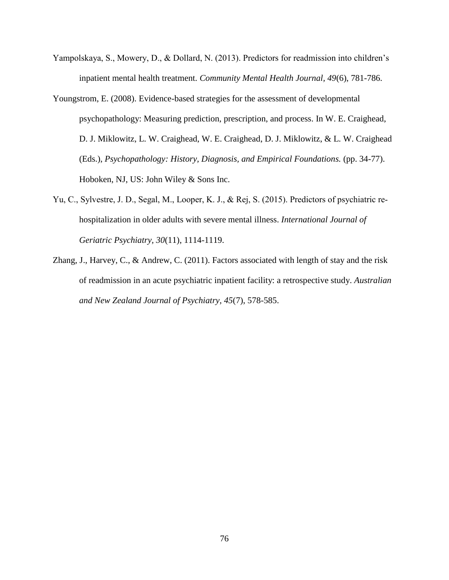- Yampolskaya, S., Mowery, D., & Dollard, N. (2013). Predictors for readmission into children's inpatient mental health treatment. *Community Mental Health Journal, 49*(6), 781-786.
- Youngstrom, E. (2008). Evidence-based strategies for the assessment of developmental psychopathology: Measuring prediction, prescription, and process. In W. E. Craighead, D. J. Miklowitz, L. W. Craighead, W. E. Craighead, D. J. Miklowitz, & L. W. Craighead (Eds.), *Psychopathology: History, Diagnosis, and Empirical Foundations.* (pp. 34-77). Hoboken, NJ, US: John Wiley & Sons Inc.
- Yu, C., Sylvestre, J. D., Segal, M., Looper, K. J., & Rej, S. (2015). Predictors of psychiatric re‐ hospitalization in older adults with severe mental illness. *International Journal of Geriatric Psychiatry, 30*(11), 1114-1119.
- Zhang, J., Harvey, C., & Andrew, C. (2011). Factors associated with length of stay and the risk of readmission in an acute psychiatric inpatient facility: a retrospective study. *Australian and New Zealand Journal of Psychiatry, 45*(7), 578-585.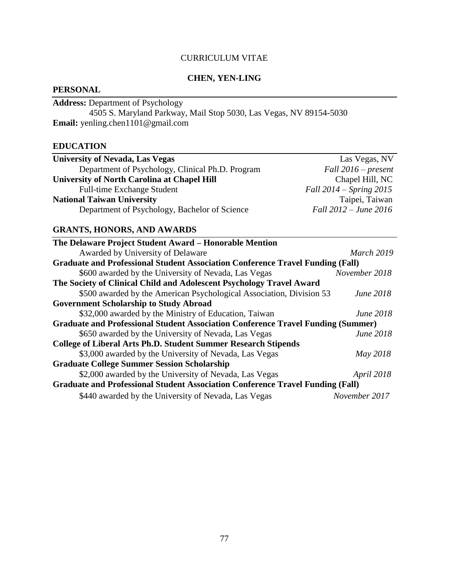# CURRICULUM VITAE

# **CHEN, YEN-LING**

# **PERSONAL**

**Address:** Department of Psychology 4505 S. Maryland Parkway, Mail Stop 5030, Las Vegas, NV 89154-5030 **Email:** yenling.chen1101@gmail.com

## **EDUCATION**

| <b>University of Nevada, Las Vegas</b>             | Las Vegas, NV               |
|----------------------------------------------------|-----------------------------|
| Department of Psychology, Clinical Ph.D. Program   | Fall $2016$ – present       |
| <b>University of North Carolina at Chapel Hill</b> | Chapel Hill, NC             |
| <b>Full-time Exchange Student</b>                  | Fall $2014$ – Spring $2015$ |
| <b>National Taiwan University</b>                  | Taipei, Taiwan              |
| Department of Psychology, Bachelor of Science      | Fall 2012 – June 2016       |

# **GRANTS, HONORS, AND AWARDS**

| The Delaware Project Student Award - Honorable Mention                                  |                  |
|-----------------------------------------------------------------------------------------|------------------|
| Awarded by University of Delaware                                                       | March 2019       |
| <b>Graduate and Professional Student Association Conference Travel Funding (Fall)</b>   |                  |
| \$600 awarded by the University of Nevada, Las Vegas                                    | November 2018    |
| The Society of Clinical Child and Adolescent Psychology Travel Award                    |                  |
| \$500 awarded by the American Psychological Association, Division 53                    | <i>June 2018</i> |
| <b>Government Scholarship to Study Abroad</b>                                           |                  |
| \$32,000 awarded by the Ministry of Education, Taiwan                                   | <i>June 2018</i> |
| <b>Graduate and Professional Student Association Conference Travel Funding (Summer)</b> |                  |
| \$650 awarded by the University of Nevada, Las Vegas                                    | June 2018        |
| <b>College of Liberal Arts Ph.D. Student Summer Research Stipends</b>                   |                  |
| \$3,000 awarded by the University of Nevada, Las Vegas                                  | May 2018         |
| <b>Graduate College Summer Session Scholarship</b>                                      |                  |
| \$2,000 awarded by the University of Nevada, Las Vegas                                  | April 2018       |
| <b>Graduate and Professional Student Association Conference Travel Funding (Fall)</b>   |                  |
| \$440 awarded by the University of Nevada, Las Vegas                                    | November 2017    |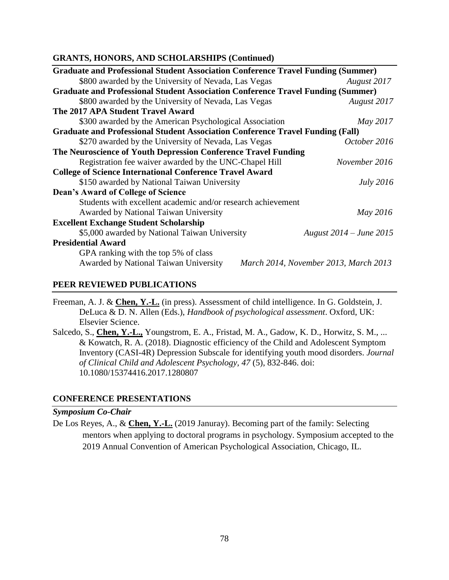## **GRANTS, HONORS, AND SCHOLARSHIPS (Continued)**

| <b>Graduate and Professional Student Association Conference Travel Funding (Summer)</b> |                                       |
|-----------------------------------------------------------------------------------------|---------------------------------------|
| \$800 awarded by the University of Nevada, Las Vegas                                    | August 2017                           |
| <b>Graduate and Professional Student Association Conference Travel Funding (Summer)</b> |                                       |
| \$800 awarded by the University of Nevada, Las Vegas                                    | August 2017                           |
| The 2017 APA Student Travel Award                                                       |                                       |
| \$300 awarded by the American Psychological Association                                 | May 2017                              |
| <b>Graduate and Professional Student Association Conference Travel Funding (Fall)</b>   |                                       |
| \$270 awarded by the University of Nevada, Las Vegas                                    | October 2016                          |
| The Neuroscience of Youth Depression Conference Travel Funding                          |                                       |
| Registration fee waiver awarded by the UNC-Chapel Hill                                  | November 2016                         |
| <b>College of Science International Conference Travel Award</b>                         |                                       |
| \$150 awarded by National Taiwan University                                             | <i>July</i> 2016                      |
| Dean's Award of College of Science                                                      |                                       |
| Students with excellent academic and/or research achievement                            |                                       |
| Awarded by National Taiwan University                                                   | May 2016                              |
| <b>Excellent Exchange Student Scholarship</b>                                           |                                       |
| \$5,000 awarded by National Taiwan University                                           | August 2014 – June 2015               |
| <b>Presidential Award</b>                                                               |                                       |
| GPA ranking with the top 5% of class                                                    |                                       |
| Awarded by National Taiwan University                                                   | March 2014, November 2013, March 2013 |

## **PEER REVIEWED PUBLICATIONS**

Freeman, A. J. & **Chen, Y.-L.** (in press). Assessment of child intelligence. In G. Goldstein, J. DeLuca & D. N. Allen (Eds.), *Handbook of psychological assessment*. Oxford, UK: Elsevier Science.

Salcedo, S., **Chen, Y.-L.,** Youngstrom, E. A., Fristad, M. A., Gadow, K. D., Horwitz, S. M., ... & Kowatch, R. A. (2018). Diagnostic efficiency of the Child and Adolescent Symptom Inventory (CASI-4R) Depression Subscale for identifying youth mood disorders. *Journal of Clinical Child and Adolescent Psychology, 47* (5), 832-846. doi: 10.1080/15374416.2017.1280807

# **CONFERENCE PRESENTATIONS**

## *Symposium Co-Chair*

De Los Reyes, A., & **Chen, Y.-L.** (2019 Januray). Becoming part of the family: Selecting mentors when applying to doctoral programs in psychology. Symposium accepted to the 2019 Annual Convention of American Psychological Association, Chicago, IL.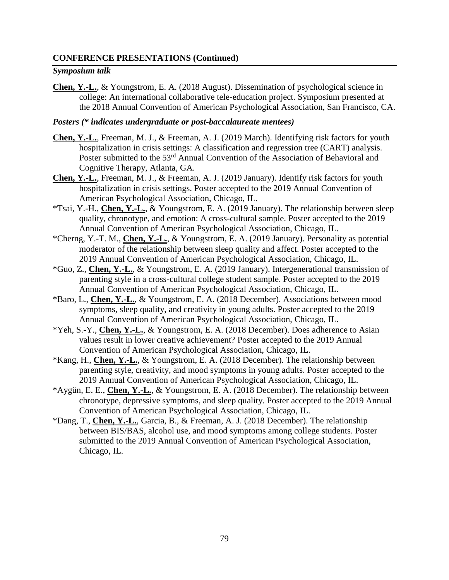## **CONFERENCE PRESENTATIONS (Continued)**

#### *Symposium talk*

**Chen, Y.-L.**, & Youngstrom, E. A. (2018 August). Dissemination of psychological science in college: An international collaborative tele-education project. Symposium presented at the 2018 Annual Convention of American Psychological Association, San Francisco, CA.

#### *Posters (\* indicates undergraduate or post-baccalaureate mentees)*

- **Chen, Y.-L.**, Freeman, M. J., & Freeman, A. J. (2019 March). Identifying risk factors for youth hospitalization in crisis settings: A classification and regression tree (CART) analysis. Poster submitted to the 53<sup>rd</sup> Annual Convention of the Association of Behavioral and Cognitive Therapy, Atlanta, GA.
- **Chen, Y.-L.**, Freeman, M. J., & Freeman, A. J. (2019 January). Identify risk factors for youth hospitalization in crisis settings. Poster accepted to the 2019 Annual Convention of American Psychological Association, Chicago, IL.
- \*Tsai, Y.-H., **Chen, Y.-L.**, & Youngstrom, E. A. (2019 January). The relationship between sleep quality, chronotype, and emotion: A cross-cultural sample. Poster accepted to the 2019 Annual Convention of American Psychological Association, Chicago, IL.
- \*Cherng, Y.-T. M., **Chen, Y.-L.**, & Youngstrom, E. A. (2019 January). Personality as potential moderator of the relationship between sleep quality and affect. Poster accepted to the 2019 Annual Convention of American Psychological Association, Chicago, IL.
- \*Guo, Z., **Chen, Y.-L.**, & Youngstrom, E. A. (2019 January). Intergenerational transmission of parenting style in a cross-cultural college student sample. Poster accepted to the 2019 Annual Convention of American Psychological Association, Chicago, IL.
- \*Baro, L., **Chen, Y.-L.**, & Youngstrom, E. A. (2018 December). Associations between mood symptoms, sleep quality, and creativity in young adults. Poster accepted to the 2019 Annual Convention of American Psychological Association, Chicago, IL.
- \*Yeh, S.-Y., **Chen, Y.-L.**, & Youngstrom, E. A. (2018 December). Does adherence to Asian values result in lower creative achievement? Poster accepted to the 2019 Annual Convention of American Psychological Association, Chicago, IL.
- \*Kang, H., **Chen, Y.-L.**, & Youngstrom, E. A. (2018 December). The relationship between parenting style, creativity, and mood symptoms in young adults. Poster accepted to the 2019 Annual Convention of American Psychological Association, Chicago, IL.
- \*Aygün, E. E., **Chen, Y.-L.**, & Youngstrom, E. A. (2018 December). The relationship between chronotype, depressive symptoms, and sleep quality. Poster accepted to the 2019 Annual Convention of American Psychological Association, Chicago, IL.
- \*Dang, T., **Chen, Y.-L.**, Garcia, B., & Freeman, A. J. (2018 December). The relationship between BIS/BAS, alcohol use, and mood symptoms among college students. Poster submitted to the 2019 Annual Convention of American Psychological Association, Chicago, IL.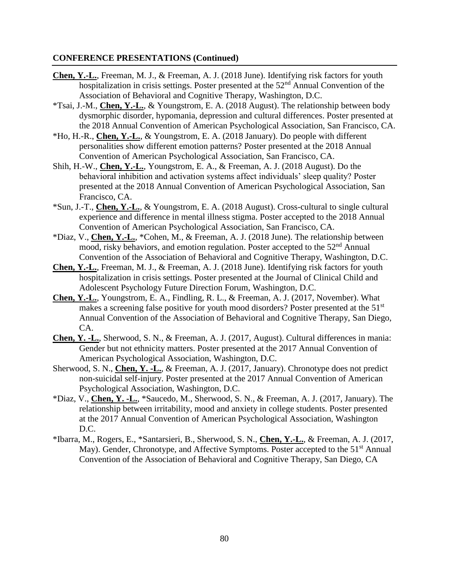#### **CONFERENCE PRESENTATIONS (Continued)**

- **Chen, Y.-L.**, Freeman, M. J., & Freeman, A. J. (2018 June). Identifying risk factors for youth hospitalization in crisis settings. Poster presented at the  $52<sup>nd</sup>$  Annual Convention of the Association of Behavioral and Cognitive Therapy, Washington, D.C.
- \*Tsai, J.-M., **Chen, Y.-L.**, & Youngstrom, E. A. (2018 August). The relationship between body dysmorphic disorder, hypomania, depression and cultural differences. Poster presented at the 2018 Annual Convention of American Psychological Association, San Francisco, CA.
- \*Ho, H.-R., **Chen, Y.-L.**, & Youngstrom, E. A. (2018 January). Do people with different personalities show different emotion patterns? Poster presented at the 2018 Annual Convention of American Psychological Association, San Francisco, CA.
- Shih, H.-W., **Chen, Y.-L.**, Youngstrom, E. A., & Freeman, A. J. (2018 August). Do the behavioral inhibition and activation systems affect individuals' sleep quality? Poster presented at the 2018 Annual Convention of American Psychological Association, San Francisco, CA.
- \*Sun, J.-T., **Chen, Y.-L.**, & Youngstrom, E. A. (2018 August). Cross-cultural to single cultural experience and difference in mental illness stigma. Poster accepted to the 2018 Annual Convention of American Psychological Association, San Francisco, CA.
- \*Diaz, V., **Chen, Y.-L.**, \*Cohen, M., & Freeman, A. J. (2018 June). The relationship between mood, risky behaviors, and emotion regulation. Poster accepted to the 52<sup>nd</sup> Annual Convention of the Association of Behavioral and Cognitive Therapy, Washington, D.C.
- **Chen, Y.-L.**, Freeman, M. J., & Freeman, A. J. (2018 June). Identifying risk factors for youth hospitalization in crisis settings. Poster presented at the Journal of Clinical Child and Adolescent Psychology Future Direction Forum, Washington, D.C.
- **Chen, Y.-L.**, Youngstrom, E. A., Findling, R. L., & Freeman, A. J. (2017, November). What makes a screening false positive for youth mood disorders? Poster presented at the 51<sup>st</sup> Annual Convention of the Association of Behavioral and Cognitive Therapy, San Diego, CA.
- **Chen, Y. -L.**, Sherwood, S. N., & Freeman, A. J. (2017, August). Cultural differences in mania: Gender but not ethnicity matters. Poster presented at the 2017 Annual Convention of American Psychological Association, Washington, D.C.
- Sherwood, S. N., **Chen, Y. -L.**, & Freeman, A. J. (2017, January). Chronotype does not predict non-suicidal self-injury. Poster presented at the 2017 Annual Convention of American Psychological Association, Washington, D.C.
- \*Diaz, V., **Chen, Y. -L.**, \*Saucedo, M., Sherwood, S. N., & Freeman, A. J. (2017, January). The relationship between irritability, mood and anxiety in college students. Poster presented at the 2017 Annual Convention of American Psychological Association, Washington D.C.
- \*Ibarra, M., Rogers, E., \*Santarsieri, B., Sherwood, S. N., **Chen, Y.-L.**, & Freeman, A. J. (2017, May). Gender, Chronotype, and Affective Symptoms. Poster accepted to the 51<sup>st</sup> Annual Convention of the Association of Behavioral and Cognitive Therapy, San Diego, CA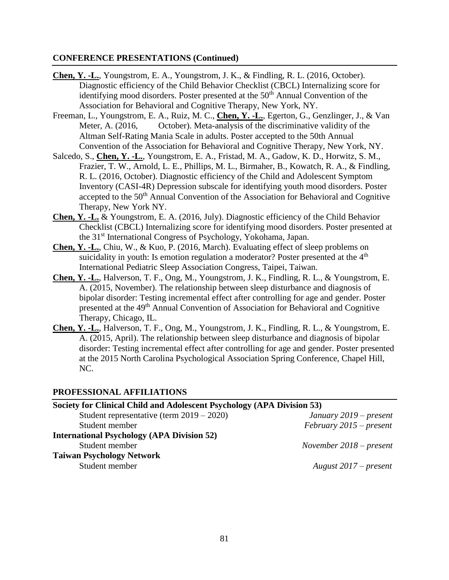#### **CONFERENCE PRESENTATIONS (Continued)**

- **Chen, Y. -L.**, Youngstrom, E. A., Youngstrom, J. K., & Findling, R. L. (2016, October). Diagnostic efficiency of the Child Behavior Checklist (CBCL) Internalizing score for identifying mood disorders. Poster presented at the 50<sup>th</sup> Annual Convention of the Association for Behavioral and Cognitive Therapy, New York, NY.
- Freeman, L., Youngstrom, E. A., Ruiz, M. C., **Chen, Y. -L.**, Egerton, G., Genzlinger, J., & Van Meter, A. (2016, October). Meta-analysis of the discriminative validity of the Altman Self-Rating Mania Scale in adults. Poster accepted to the 50th Annual Convention of the Association for Behavioral and Cognitive Therapy, New York, NY.
- Salcedo, S., **Chen, Y. -L.**, Youngstrom, E. A., Fristad, M. A., Gadow, K. D., Horwitz, S. M., Frazier, T. W., Arnold, L. E., Phillips, M. L., Birmaher, B., Kowatch, R. A., & Findling, R. L. (2016, October). Diagnostic efficiency of the Child and Adolescent Symptom Inventory (CASI-4R) Depression subscale for identifying youth mood disorders. Poster accepted to the 50<sup>th</sup> Annual Convention of the Association for Behavioral and Cognitive Therapy, New York NY.
- **Chen, Y. -L.** & Youngstrom, E. A. (2016, July). Diagnostic efficiency of the Child Behavior Checklist (CBCL) Internalizing score for identifying mood disorders. Poster presented at the 31st International Congress of Psychology, Yokohama, Japan.
- **Chen, Y. -L.**, Chiu, W., & Kuo, P. (2016, March). Evaluating effect of sleep problems on suicidality in youth: Is emotion regulation a moderator? Poster presented at the  $4<sup>th</sup>$ International Pediatric Sleep Association Congress, Taipei, Taiwan.
- **Chen, Y. -L.**, Halverson, T. F., Ong, M., Youngstrom, J. K., Findling, R. L., & Youngstrom, E. A. (2015, November). The relationship between sleep disturbance and diagnosis of bipolar disorder: Testing incremental effect after controlling for age and gender. Poster presented at the 49<sup>th</sup> Annual Convention of Association for Behavioral and Cognitive Therapy, Chicago, IL.
- **Chen, Y. -L.**, Halverson, T. F., Ong, M., Youngstrom, J. K., Findling, R. L., & Youngstrom, E. A. (2015, April). The relationship between sleep disturbance and diagnosis of bipolar disorder: Testing incremental effect after controlling for age and gender. Poster presented at the 2015 North Carolina Psychological Association Spring Conference, Chapel Hill, NC.

## **PROFESSIONAL AFFILIATIONS**

| Society for Clinical Child and Adolescent Psychology (APA Division 53) |                           |  |
|------------------------------------------------------------------------|---------------------------|--|
| Student representative (term $2019 - 2020$ )                           | January $2019$ – present  |  |
| Student member                                                         | $February\,2015–present$  |  |
| <b>International Psychology (APA Division 52)</b>                      |                           |  |
| Student member                                                         | November $2018$ – present |  |
| <b>Taiwan Psychology Network</b>                                       |                           |  |
| Student member                                                         | August $2017$ – present   |  |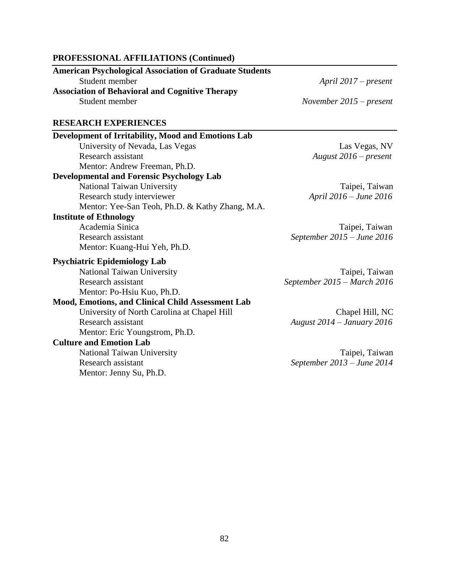#### **PROFESSIONAL AFFILIATIONS (Continued)**

| <b>American Psychological Association of Graduate Students</b> |                           |  |  |  |
|----------------------------------------------------------------|---------------------------|--|--|--|
| Student member                                                 | April $2017$ – present    |  |  |  |
| <b>Association of Behavioral and Cognitive Therapy</b>         |                           |  |  |  |
| Student member                                                 | November $2015$ – present |  |  |  |
| <b>RESEARCH EXPERIENCES</b>                                    |                           |  |  |  |
| Development of Irritability, Mood and Emotions Lab             |                           |  |  |  |
| University of Nevada, Las Vegas                                | Las Vegas, NV             |  |  |  |
|                                                                |                           |  |  |  |

National Taiwan University Taipei, Taiwan Research study interviewer *April 2016 – June 2016*

Academia Sinica Taipei, Taiwan Research assistant *September 2015 – June 2016*

Mentor: Kuang-Hui Yeh, Ph.D.

Mentor: Andrew Freeman, Ph.D. **Developmental and Forensic Psychology Lab**

**Psychiatric Epidemiology Lab**

**Institute of Ethnology**

Research assistant *September 2015 – March 2016* Mentor: Po-Hsiu Kuo, Ph.D.

National Taiwan University Taipei, Taiwan

# **Mood, Emotions, and Clinical Child Assessment Lab** University of North Carolina at Chapel Hill Chapel Hill, NC Research assistant *August 2014 – January 2016* Mentor: Eric Youngstrom, Ph.D.

Mentor: Yee-San Teoh, Ph.D. & Kathy Zhang, M.A.

**Culture and Emotion Lab**

Mentor: Jenny Su, Ph.D.

National Taiwan University Taipei, Taiwan Research assistant *September 2013 – June 2014*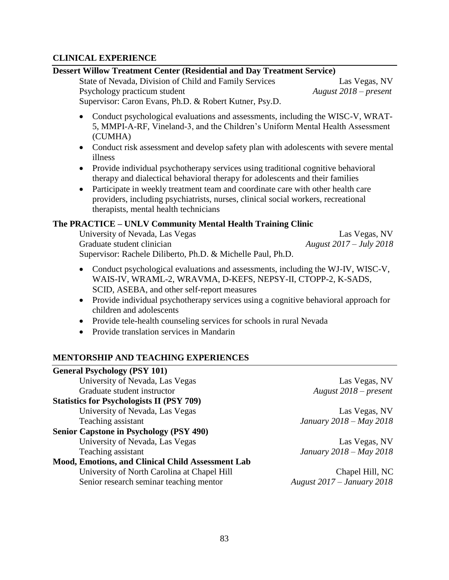# **CLINICAL EXPERIENCE**

## **Dessert Willow Treatment Center (Residential and Day Treatment Service)**

State of Nevada, Division of Child and Family Services Las Vegas, NV Psychology practicum student *August 2018 – present*

Supervisor: Caron Evans, Ph.D. & Robert Kutner, Psy.D.

- Conduct psychological evaluations and assessments, including the WISC-V, WRAT-5, MMPI-A-RF, Vineland-3, and the Children's Uniform Mental Health Assessment (CUMHA)
- Conduct risk assessment and develop safety plan with adolescents with severe mental illness
- Provide individual psychotherapy services using traditional cognitive behavioral therapy and dialectical behavioral therapy for adolescents and their families
- Participate in weekly treatment team and coordinate care with other health care providers, including psychiatrists, nurses, clinical social workers, recreational therapists, mental health technicians

# **The PRACTICE – UNLV Community Mental Health Training Clinic**

University of Nevada, Las Vegas Las Vegas, NV Graduate student clinician *August 2017 – July 2018* Supervisor: Rachele Diliberto, Ph.D. & Michelle Paul, Ph.D.

- Conduct psychological evaluations and assessments, including the WJ-IV, WISC-V, WAIS-IV, WRAML-2, WRAVMA, D-KEFS, NEPSY-II, CTOPP-2, K-SADS, SCID, ASEBA, and other self-report measures
- Provide individual psychotherapy services using a cognitive behavioral approach for children and adolescents
- Provide tele-health counseling services for schools in rural Nevada
- Provide translation services in Mandarin

# **MENTORSHIP AND TEACHING EXPERIENCES**

| <b>General Psychology (PSY 101)</b>               |                                   |
|---------------------------------------------------|-----------------------------------|
| University of Nevada, Las Vegas                   | Las Vegas, NV                     |
| Graduate student instructor                       | August $2018$ – present           |
| <b>Statistics for Psychologists II (PSY 709)</b>  |                                   |
| University of Nevada, Las Vegas                   | Las Vegas, NV                     |
| Teaching assistant                                | January 2018 - May 2018           |
| <b>Senior Capstone in Psychology (PSY 490)</b>    |                                   |
| University of Nevada, Las Vegas                   | Las Vegas, NV                     |
| Teaching assistant                                | January 2018 - May 2018           |
| Mood, Emotions, and Clinical Child Assessment Lab |                                   |
| University of North Carolina at Chapel Hill       | Chapel Hill, NC                   |
| Senior research seminar teaching mentor           | <b>August 2017 – January 2018</b> |